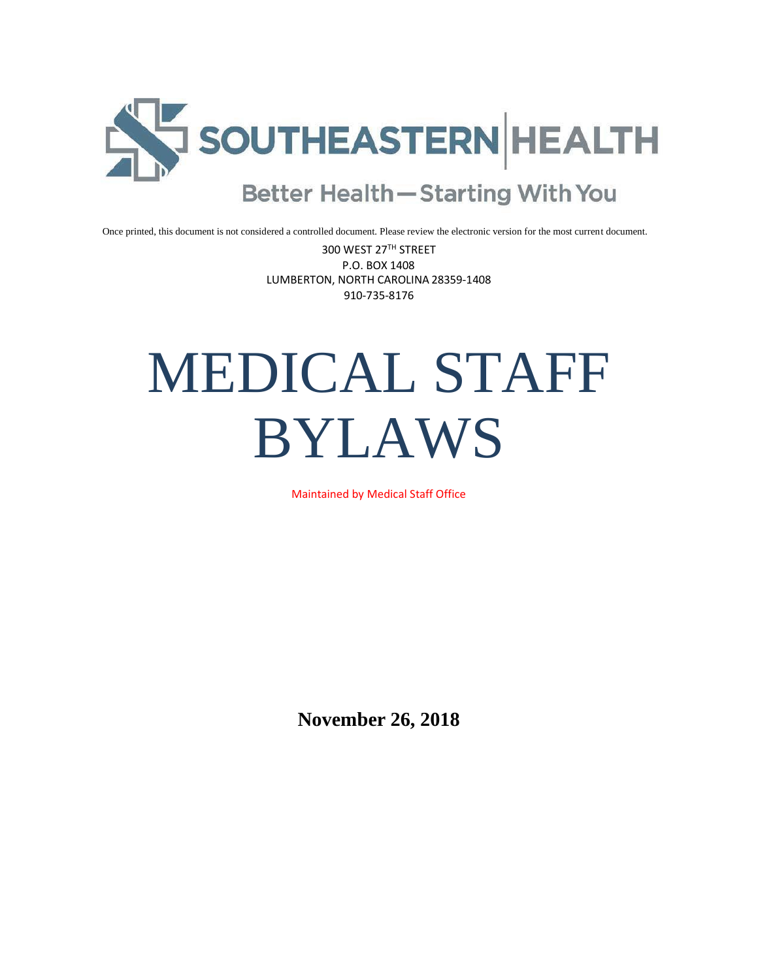

Once printed, this document is not considered a controlled document. Please review the electronic version for the most current document.

300 WEST 27TH STREET P.O. BOX 1408 LUMBERTON, NORTH CAROLINA 28359-1408 910-735-8176

# MEDICAL STAFF BYLAWS

Maintained by Medical Staff Office

**November 26, 2018**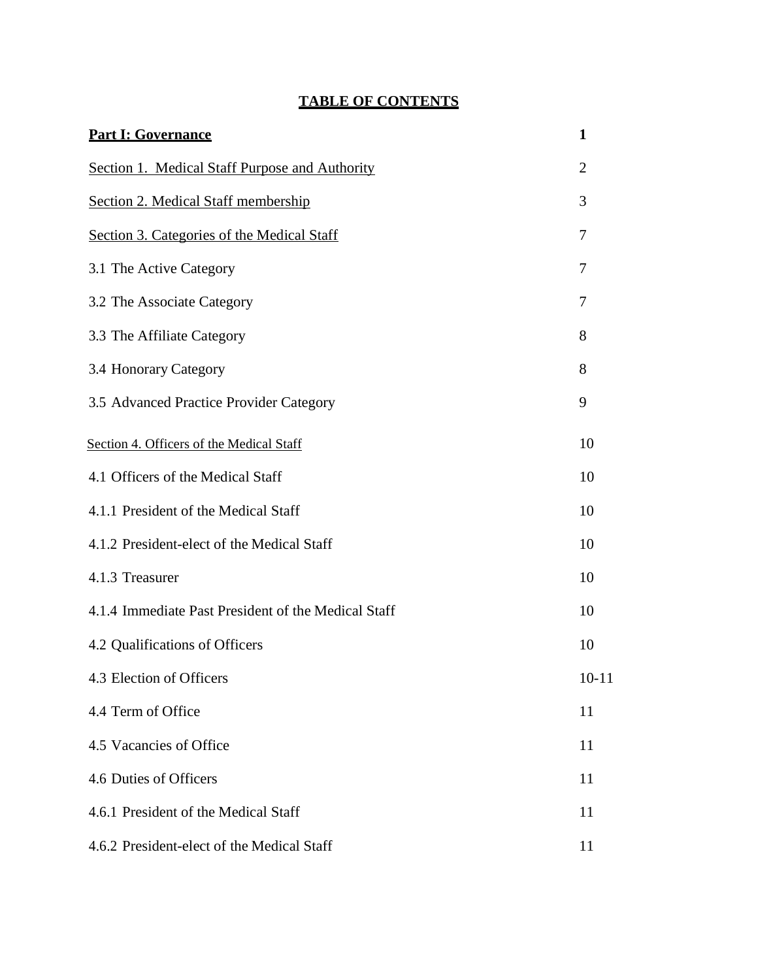| <b>Part I: Governance</b>                           | 1              |
|-----------------------------------------------------|----------------|
| Section 1. Medical Staff Purpose and Authority      | $\overline{2}$ |
| Section 2. Medical Staff membership                 | 3              |
| Section 3. Categories of the Medical Staff          | 7              |
| 3.1 The Active Category                             | 7              |
| 3.2 The Associate Category                          | 7              |
| 3.3 The Affiliate Category                          | 8              |
| 3.4 Honorary Category                               | 8              |
| 3.5 Advanced Practice Provider Category             | 9              |
| Section 4. Officers of the Medical Staff            | 10             |
| 4.1 Officers of the Medical Staff                   | 10             |
| 4.1.1 President of the Medical Staff                | 10             |
| 4.1.2 President-elect of the Medical Staff          | 10             |
| 4.1.3 Treasurer                                     | 10             |
| 4.1.4 Immediate Past President of the Medical Staff | 10             |
| 4.2 Qualifications of Officers                      | 10             |
| 4.3 Election of Officers                            | $10 - 11$      |
| 4.4 Term of Office                                  | 11             |
| 4.5 Vacancies of Office                             | 11             |
| 4.6 Duties of Officers                              | 11             |
| 4.6.1 President of the Medical Staff                | 11             |
| 4.6.2 President-elect of the Medical Staff          | 11             |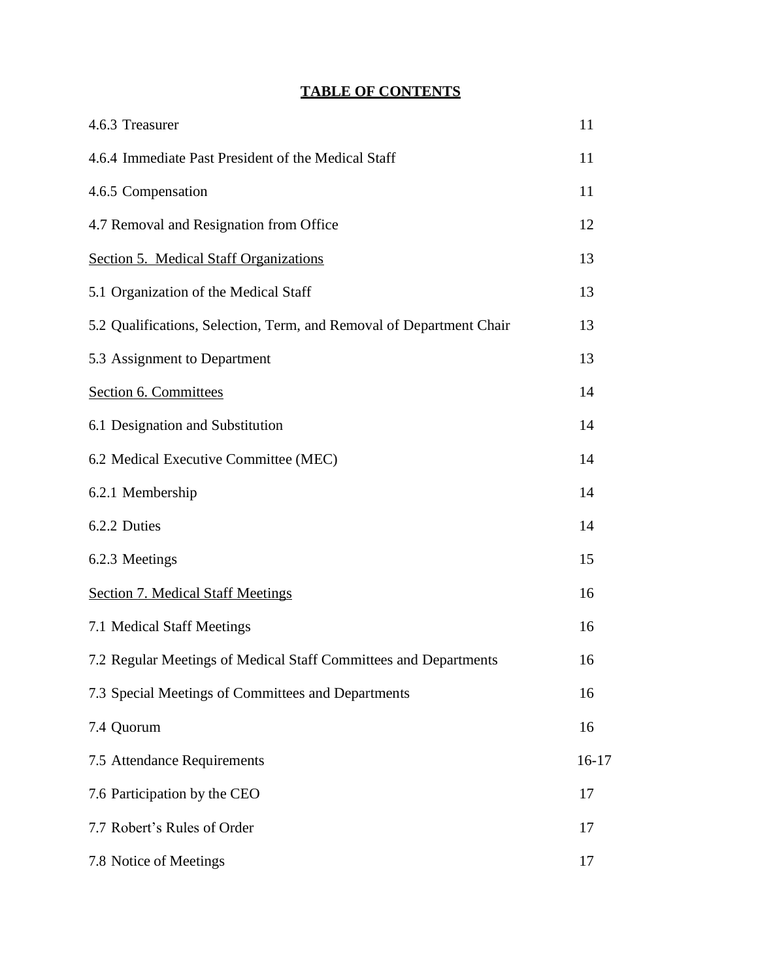| 4.6.3 Treasurer                                                      | 11      |
|----------------------------------------------------------------------|---------|
| 4.6.4 Immediate Past President of the Medical Staff                  | 11      |
| 4.6.5 Compensation                                                   | 11      |
| 4.7 Removal and Resignation from Office                              | 12      |
| Section 5. Medical Staff Organizations                               | 13      |
| 5.1 Organization of the Medical Staff                                | 13      |
| 5.2 Qualifications, Selection, Term, and Removal of Department Chair | 13      |
| 5.3 Assignment to Department                                         | 13      |
| Section 6. Committees                                                | 14      |
| 6.1 Designation and Substitution                                     | 14      |
| 6.2 Medical Executive Committee (MEC)                                | 14      |
| 6.2.1 Membership                                                     | 14      |
| 6.2.2 Duties                                                         | 14      |
| 6.2.3 Meetings                                                       | 15      |
| <b>Section 7. Medical Staff Meetings</b>                             | 16      |
| 7.1 Medical Staff Meetings                                           | 16      |
| 7.2 Regular Meetings of Medical Staff Committees and Departments     | 16      |
| 7.3 Special Meetings of Committees and Departments                   | 16      |
| 7.4 Quorum                                                           | 16      |
| 7.5 Attendance Requirements                                          | $16-17$ |
| 7.6 Participation by the CEO                                         | 17      |
| 7.7 Robert's Rules of Order                                          | 17      |
| 7.8 Notice of Meetings                                               | 17      |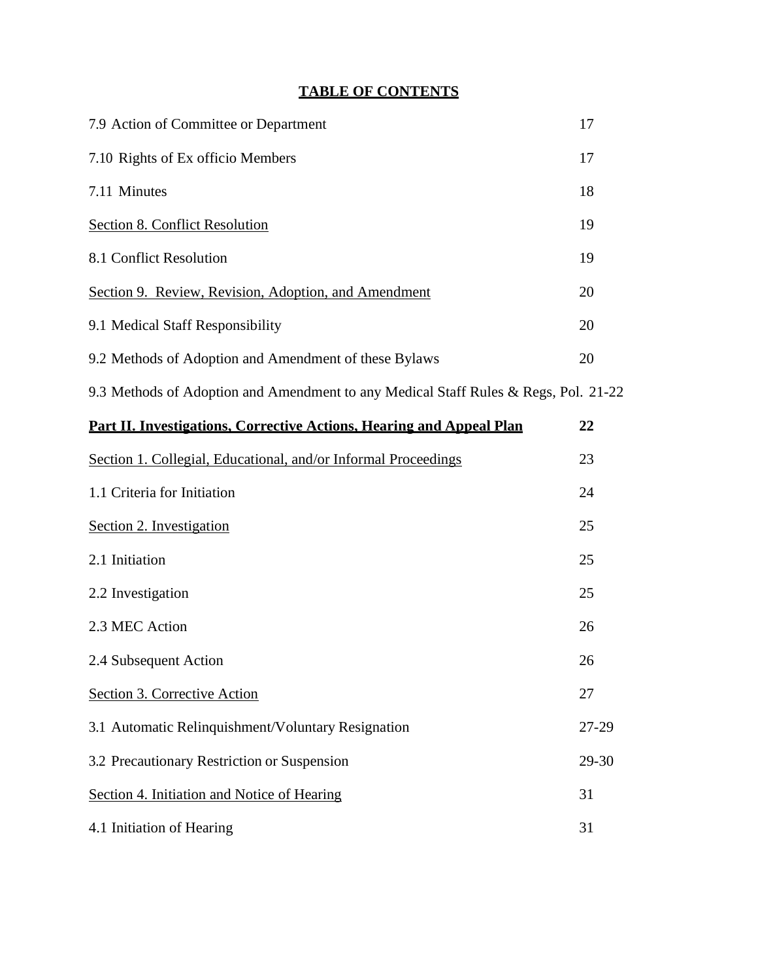| 7.9 Action of Committee or Department                                               | 17    |
|-------------------------------------------------------------------------------------|-------|
| 7.10 Rights of Ex officio Members                                                   | 17    |
| 7.11 Minutes                                                                        | 18    |
| <b>Section 8. Conflict Resolution</b>                                               | 19    |
| 8.1 Conflict Resolution                                                             | 19    |
| Section 9. Review, Revision, Adoption, and Amendment                                | 20    |
| 9.1 Medical Staff Responsibility                                                    | 20    |
| 9.2 Methods of Adoption and Amendment of these Bylaws                               | 20    |
| 9.3 Methods of Adoption and Amendment to any Medical Staff Rules & Regs, Pol. 21-22 |       |
| <b>Part II. Investigations, Corrective Actions, Hearing and Appeal Plan</b>         | 22    |
| Section 1. Collegial, Educational, and/or Informal Proceedings                      | 23    |
| 1.1 Criteria for Initiation                                                         | 24    |
| Section 2. Investigation                                                            | 25    |
| 2.1 Initiation                                                                      | 25    |
| 2.2 Investigation                                                                   | 25    |
| 2.3 MEC Action                                                                      | 26    |
| 2.4 Subsequent Action                                                               | 26    |
| Section 3. Corrective Action                                                        | 27    |
| 3.1 Automatic Relinquishment/Voluntary Resignation                                  | 27-29 |
| 3.2 Precautionary Restriction or Suspension                                         | 29-30 |
| Section 4. Initiation and Notice of Hearing                                         | 31    |
| 4.1 Initiation of Hearing                                                           | 31    |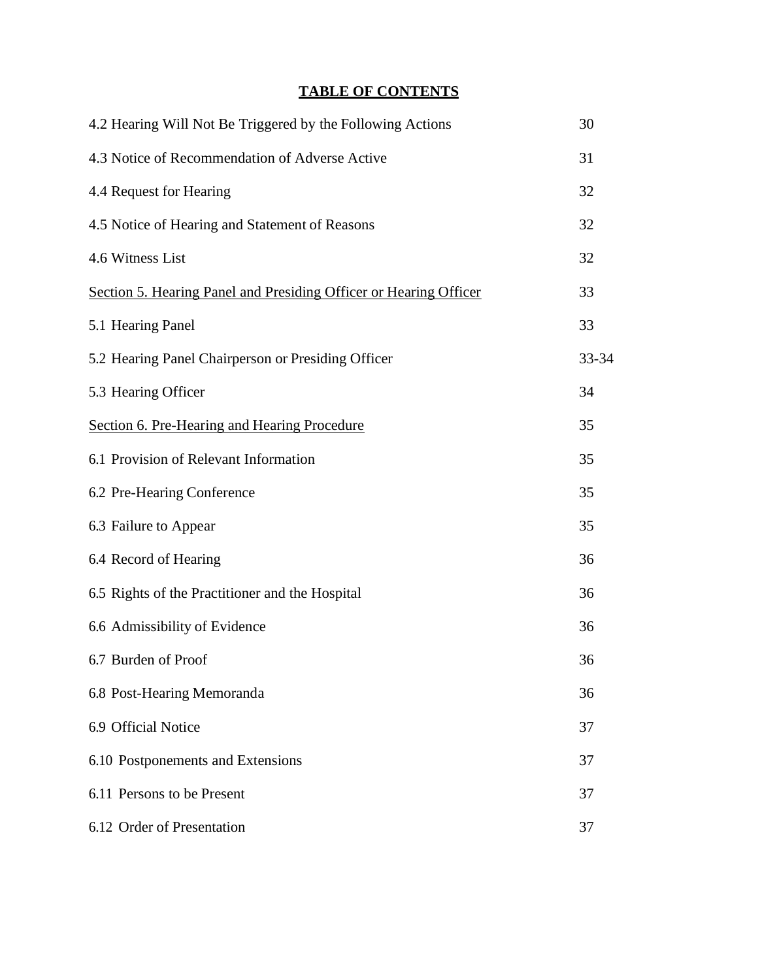| 4.2 Hearing Will Not Be Triggered by the Following Actions        | 30    |
|-------------------------------------------------------------------|-------|
| 4.3 Notice of Recommendation of Adverse Active                    | 31    |
| 4.4 Request for Hearing                                           | 32    |
| 4.5 Notice of Hearing and Statement of Reasons                    | 32    |
| 4.6 Witness List                                                  | 32    |
| Section 5. Hearing Panel and Presiding Officer or Hearing Officer | 33    |
| 5.1 Hearing Panel                                                 | 33    |
| 5.2 Hearing Panel Chairperson or Presiding Officer                | 33-34 |
| 5.3 Hearing Officer                                               | 34    |
| Section 6. Pre-Hearing and Hearing Procedure                      | 35    |
| 6.1 Provision of Relevant Information                             | 35    |
| 6.2 Pre-Hearing Conference                                        | 35    |
| 6.3 Failure to Appear                                             | 35    |
| 6.4 Record of Hearing                                             | 36    |
| 6.5 Rights of the Practitioner and the Hospital                   | 36    |
| 6.6 Admissibility of Evidence                                     | 36    |
| 6.7 Burden of Proof                                               | 36    |
| 6.8 Post-Hearing Memoranda                                        | 36    |
| 6.9 Official Notice                                               | 37    |
| 6.10 Postponements and Extensions                                 | 37    |
| 6.11 Persons to be Present                                        | 37    |
| 6.12 Order of Presentation                                        | 37    |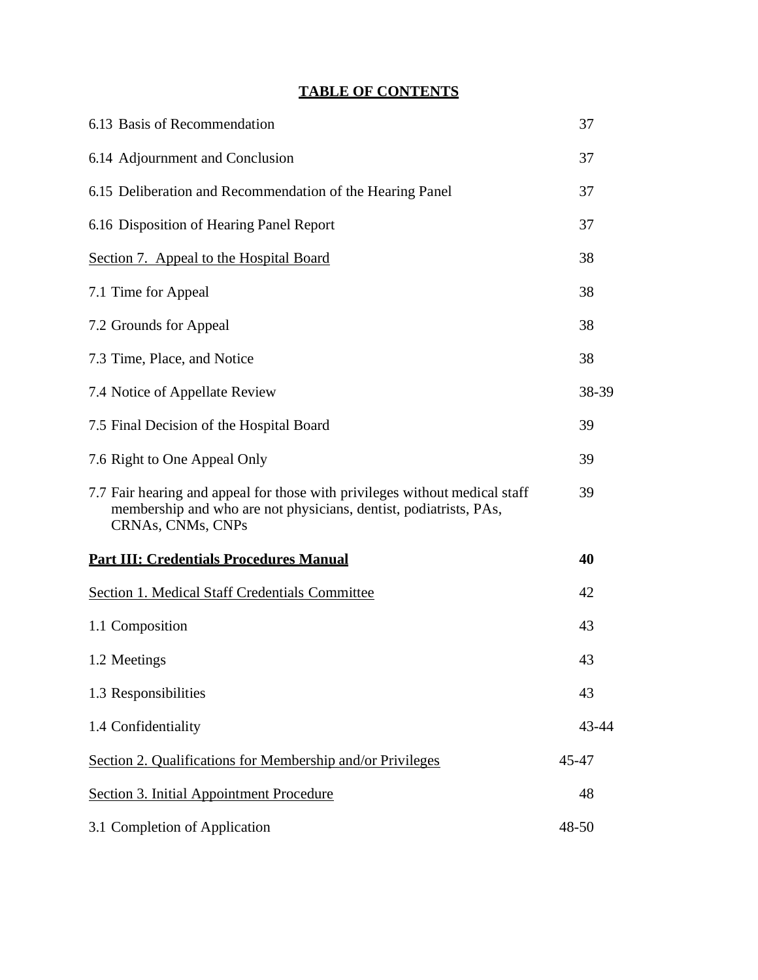| 6.13 Basis of Recommendation                                                                                                                                          | 37    |
|-----------------------------------------------------------------------------------------------------------------------------------------------------------------------|-------|
| 6.14 Adjournment and Conclusion                                                                                                                                       | 37    |
| 6.15 Deliberation and Recommendation of the Hearing Panel                                                                                                             | 37    |
| 6.16 Disposition of Hearing Panel Report                                                                                                                              | 37    |
| Section 7. Appeal to the Hospital Board                                                                                                                               | 38    |
| 7.1 Time for Appeal                                                                                                                                                   | 38    |
| 7.2 Grounds for Appeal                                                                                                                                                | 38    |
| 7.3 Time, Place, and Notice                                                                                                                                           | 38    |
| 7.4 Notice of Appellate Review                                                                                                                                        | 38-39 |
| 7.5 Final Decision of the Hospital Board                                                                                                                              | 39    |
| 7.6 Right to One Appeal Only                                                                                                                                          | 39    |
| 7.7 Fair hearing and appeal for those with privileges without medical staff<br>membership and who are not physicians, dentist, podiatrists, PAs,<br>CRNAs, CNMs, CNPs | 39    |
| <b>Part III: Credentials Procedures Manual</b>                                                                                                                        | 40    |
| <b>Section 1. Medical Staff Credentials Committee</b>                                                                                                                 | 42    |
| 1.1 Composition                                                                                                                                                       | 43    |
| 1.2 Meetings                                                                                                                                                          | 43    |
| 1.3 Responsibilities                                                                                                                                                  | 43    |
| 1.4 Confidentiality                                                                                                                                                   | 43-44 |
| Section 2. Qualifications for Membership and/or Privileges                                                                                                            | 45-47 |
| Section 3. Initial Appointment Procedure                                                                                                                              | 48    |
| 3.1 Completion of Application                                                                                                                                         | 48-50 |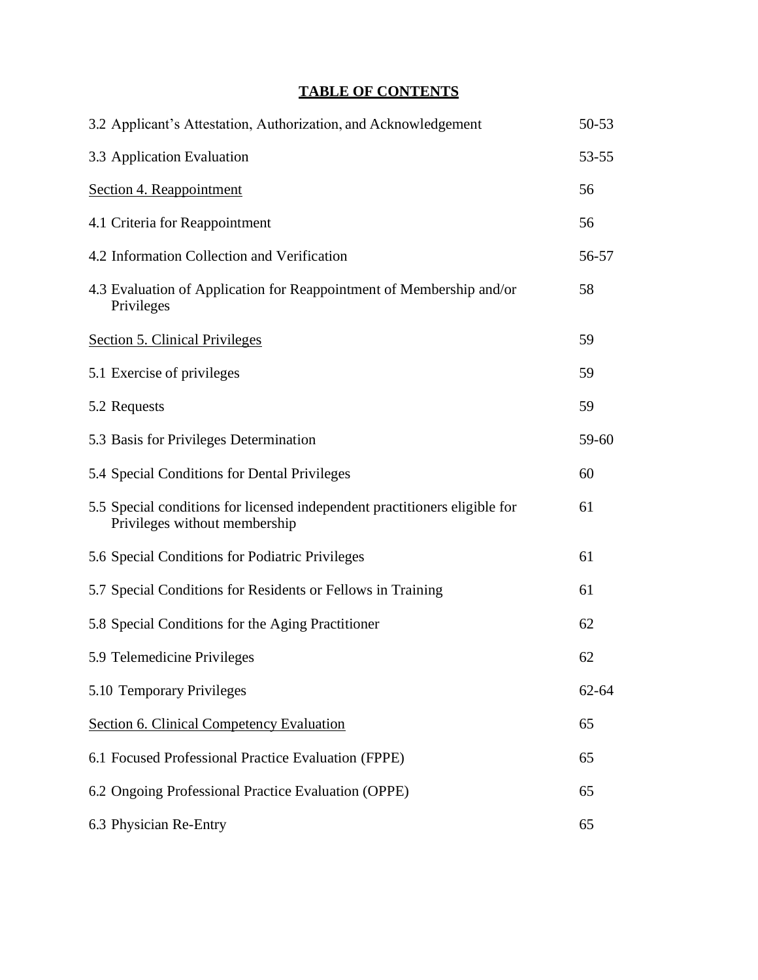| 3.2 Applicant's Attestation, Authorization, and Acknowledgement                                             | $50 - 53$ |
|-------------------------------------------------------------------------------------------------------------|-----------|
| 3.3 Application Evaluation                                                                                  | 53-55     |
| Section 4. Reappointment                                                                                    | 56        |
| 4.1 Criteria for Reappointment                                                                              | 56        |
| 4.2 Information Collection and Verification                                                                 | 56-57     |
| 4.3 Evaluation of Application for Reappointment of Membership and/or<br>Privileges                          | 58        |
| <b>Section 5. Clinical Privileges</b>                                                                       | 59        |
| 5.1 Exercise of privileges                                                                                  | 59        |
| 5.2 Requests                                                                                                | 59        |
| 5.3 Basis for Privileges Determination                                                                      | 59-60     |
| 5.4 Special Conditions for Dental Privileges                                                                | 60        |
| 5.5 Special conditions for licensed independent practitioners eligible for<br>Privileges without membership | 61        |
| 5.6 Special Conditions for Podiatric Privileges                                                             | 61        |
| 5.7 Special Conditions for Residents or Fellows in Training                                                 | 61        |
| 5.8 Special Conditions for the Aging Practitioner                                                           | 62        |
| 5.9 Telemedicine Privileges                                                                                 | 62        |
| 5.10 Temporary Privileges                                                                                   | $62 - 64$ |
| <b>Section 6. Clinical Competency Evaluation</b>                                                            | 65        |
| 6.1 Focused Professional Practice Evaluation (FPPE)                                                         | 65        |
| 6.2 Ongoing Professional Practice Evaluation (OPPE)                                                         | 65        |
| 6.3 Physician Re-Entry                                                                                      | 65        |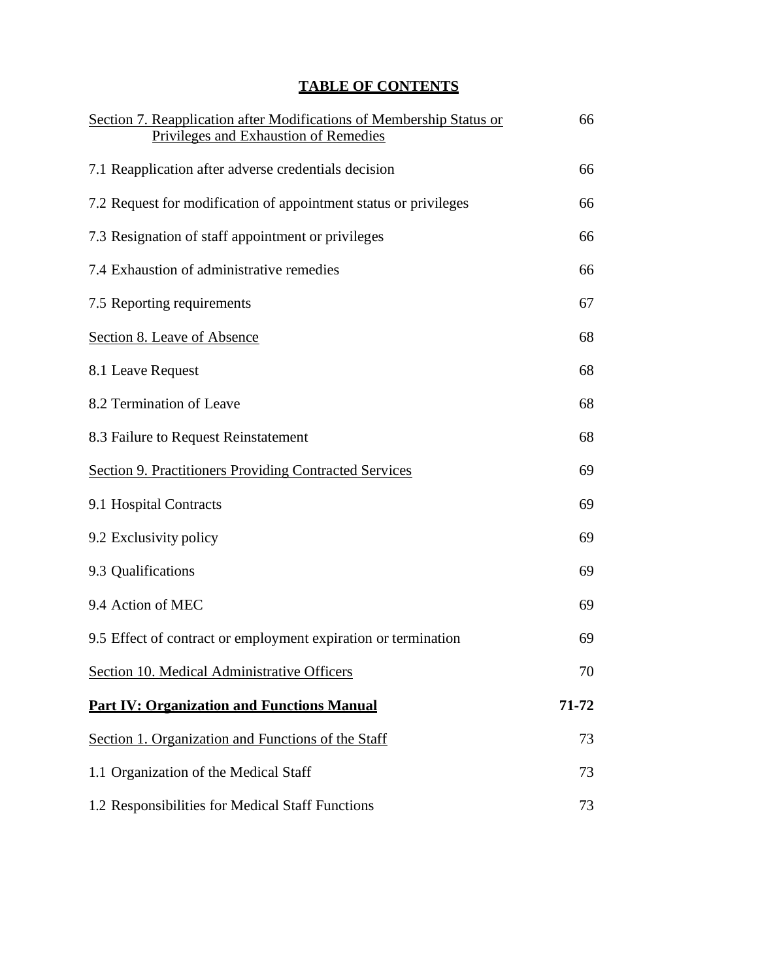| Section 7. Reapplication after Modifications of Membership Status or<br>Privileges and Exhaustion of Remedies | 66    |
|---------------------------------------------------------------------------------------------------------------|-------|
| 7.1 Reapplication after adverse credentials decision                                                          | 66    |
| 7.2 Request for modification of appointment status or privileges                                              | 66    |
| 7.3 Resignation of staff appointment or privileges                                                            | 66    |
| 7.4 Exhaustion of administrative remedies                                                                     | 66    |
| 7.5 Reporting requirements                                                                                    | 67    |
| Section 8. Leave of Absence                                                                                   | 68    |
| 8.1 Leave Request                                                                                             | 68    |
| 8.2 Termination of Leave                                                                                      | 68    |
| 8.3 Failure to Request Reinstatement                                                                          | 68    |
| <b>Section 9. Practitioners Providing Contracted Services</b>                                                 | 69    |
| 9.1 Hospital Contracts                                                                                        | 69    |
| 9.2 Exclusivity policy                                                                                        | 69    |
| 9.3 Qualifications                                                                                            | 69    |
| 9.4 Action of MEC                                                                                             | 69    |
| 9.5 Effect of contract or employment expiration or termination                                                | 69    |
| Section 10. Medical Administrative Officers                                                                   | 70    |
| <b>Part IV: Organization and Functions Manual</b>                                                             | 71-72 |
| Section 1. Organization and Functions of the Staff                                                            | 73    |
| 1.1 Organization of the Medical Staff                                                                         | 73    |
| 1.2 Responsibilities for Medical Staff Functions                                                              | 73    |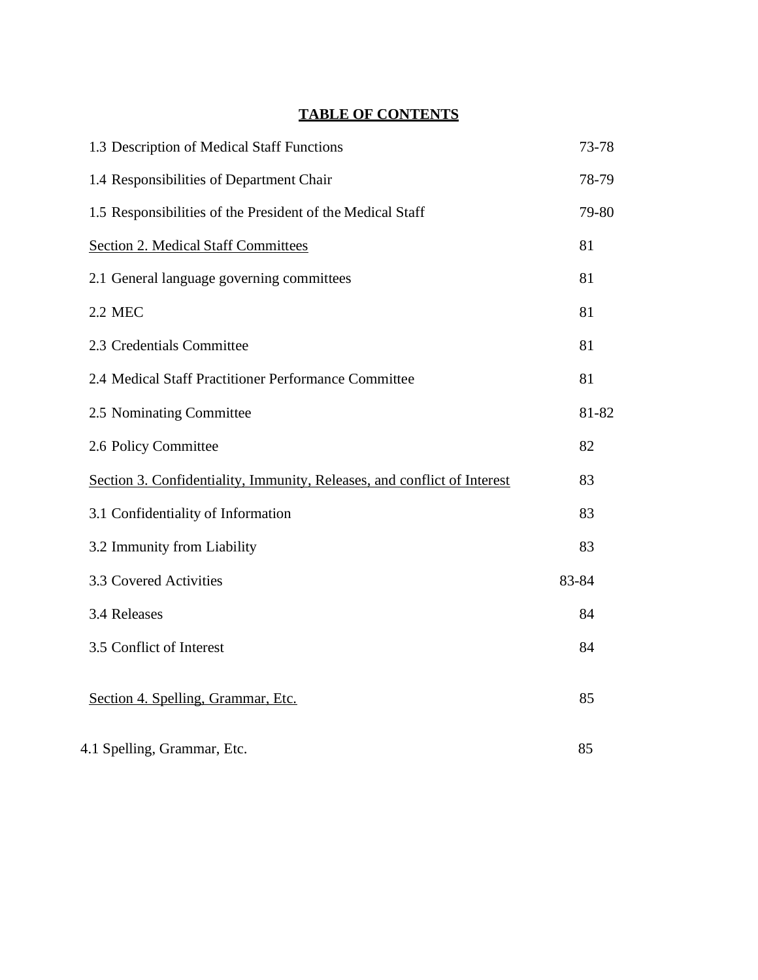| 1.3 Description of Medical Staff Functions                               | 73-78 |
|--------------------------------------------------------------------------|-------|
| 1.4 Responsibilities of Department Chair                                 | 78-79 |
| 1.5 Responsibilities of the President of the Medical Staff               | 79-80 |
| <b>Section 2. Medical Staff Committees</b>                               | 81    |
| 2.1 General language governing committees                                | 81    |
| <b>2.2 MEC</b>                                                           | 81    |
| 2.3 Credentials Committee                                                | 81    |
| 2.4 Medical Staff Practitioner Performance Committee                     | 81    |
| 2.5 Nominating Committee                                                 | 81-82 |
| 2.6 Policy Committee                                                     | 82    |
| Section 3. Confidentiality, Immunity, Releases, and conflict of Interest | 83    |
| 3.1 Confidentiality of Information                                       | 83    |
| 3.2 Immunity from Liability                                              | 83    |
| 3.3 Covered Activities                                                   | 83-84 |
| 3.4 Releases                                                             | 84    |
| 3.5 Conflict of Interest                                                 | 84    |
| Section 4. Spelling, Grammar, Etc.                                       | 85    |
| 4.1 Spelling, Grammar, Etc.                                              | 85    |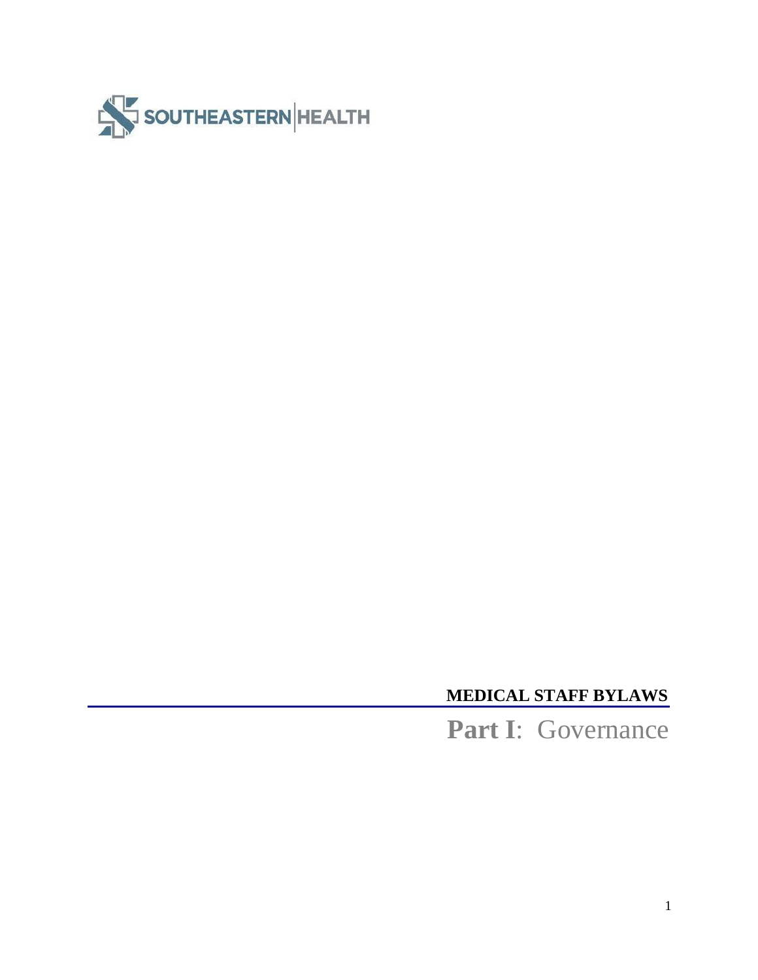

# **MEDICAL STAFF BYLAWS**

**Part I**: Governance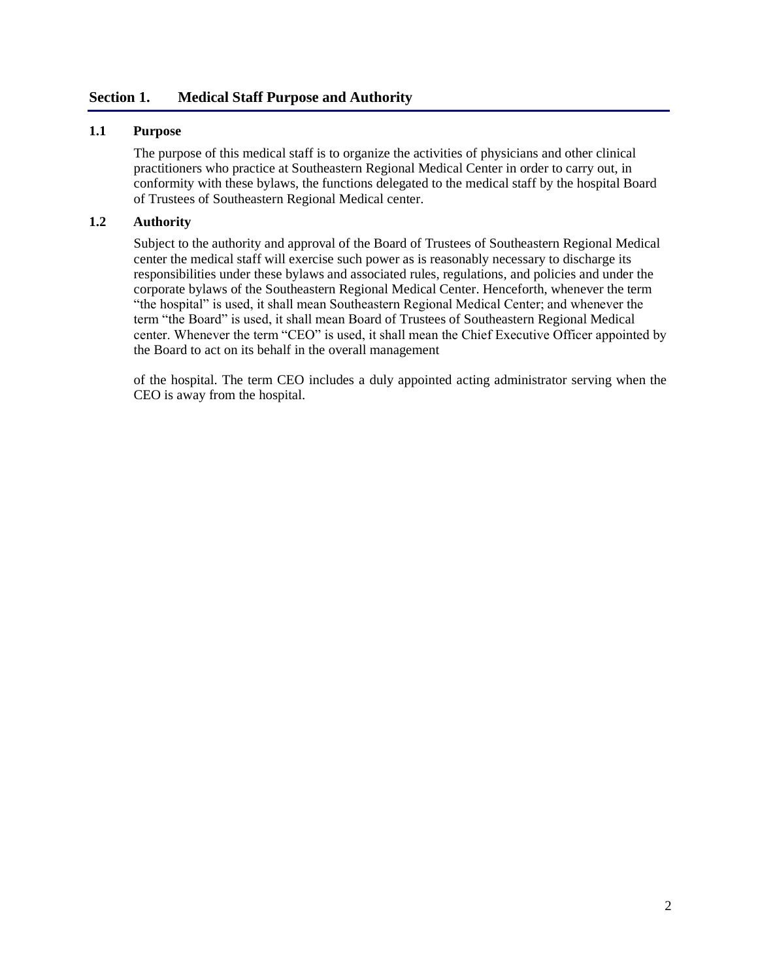#### <span id="page-10-0"></span>**Section 1. Medical Staff Purpose and Authority**

#### **1.1 Purpose**

The purpose of this medical staff is to organize the activities of physicians and other clinical practitioners who practice at Southeastern Regional Medical Center in order to carry out, in conformity with these bylaws, the functions delegated to the medical staff by the hospital Board of Trustees of Southeastern Regional Medical center.

#### **1.2 Authority**

Subject to the authority and approval of the Board of Trustees of Southeastern Regional Medical center the medical staff will exercise such power as is reasonably necessary to discharge its responsibilities under these bylaws and associated rules, regulations, and policies and under the corporate bylaws of the Southeastern Regional Medical Center. Henceforth, whenever the term "the hospital" is used, it shall mean Southeastern Regional Medical Center; and whenever the term "the Board" is used, it shall mean Board of Trustees of Southeastern Regional Medical center. Whenever the term "CEO" is used, it shall mean the Chief Executive Officer appointed by the Board to act on its behalf in the overall management

of the hospital. The term CEO includes a duly appointed acting administrator serving when the CEO is away from the hospital.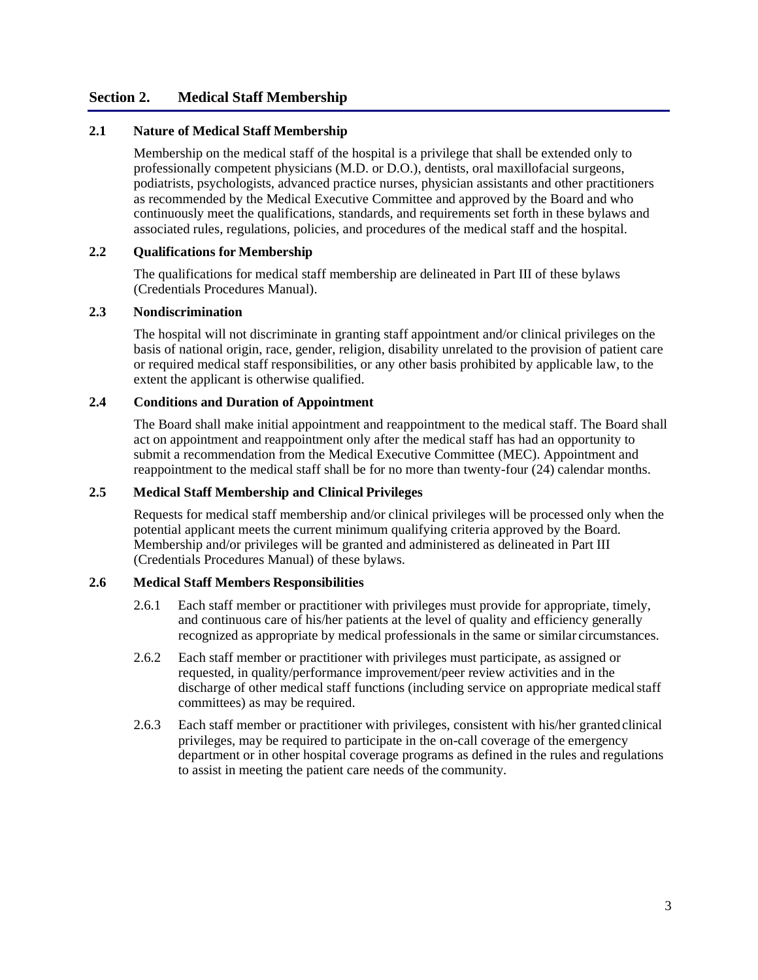#### <span id="page-11-0"></span>**Section 2. Medical Staff Membership**

#### **2.1 Nature of Medical Staff Membership**

Membership on the medical staff of the hospital is a privilege that shall be extended only to professionally competent physicians (M.D. or D.O.), dentists, oral maxillofacial surgeons, podiatrists, psychologists, advanced practice nurses, physician assistants and other practitioners as recommended by the Medical Executive Committee and approved by the Board and who continuously meet the qualifications, standards, and requirements set forth in these bylaws and associated rules, regulations, policies, and procedures of the medical staff and the hospital.

#### **2.2 Qualifications for Membership**

The qualifications for medical staff membership are delineated in Part III of these bylaws (Credentials Procedures Manual).

#### **2.3 Nondiscrimination**

The hospital will not discriminate in granting staff appointment and/or clinical privileges on the basis of national origin, race, gender, religion, disability unrelated to the provision of patient care or required medical staff responsibilities, or any other basis prohibited by applicable law, to the extent the applicant is otherwise qualified.

#### **2.4 Conditions and Duration of Appointment**

The Board shall make initial appointment and reappointment to the medical staff. The Board shall act on appointment and reappointment only after the medical staff has had an opportunity to submit a recommendation from the Medical Executive Committee (MEC). Appointment and reappointment to the medical staff shall be for no more than twenty-four (24) calendar months.

#### **2.5 Medical Staff Membership and Clinical Privileges**

Requests for medical staff membership and/or clinical privileges will be processed only when the potential applicant meets the current minimum qualifying criteria approved by the Board. Membership and/or privileges will be granted and administered as delineated in Part III (Credentials Procedures Manual) of these bylaws.

#### **2.6 Medical Staff Members Responsibilities**

- 2.6.1 Each staff member or practitioner with privileges must provide for appropriate, timely, and continuous care of his/her patients at the level of quality and efficiency generally recognized as appropriate by medical professionals in the same or similar circumstances.
- 2.6.2 Each staff member or practitioner with privileges must participate, as assigned or requested, in quality/performance improvement/peer review activities and in the discharge of other medical staff functions (including service on appropriate medicalstaff committees) as may be required.
- 2.6.3 Each staff member or practitioner with privileges, consistent with his/her grantedclinical privileges, may be required to participate in the on-call coverage of the emergency department or in other hospital coverage programs as defined in the rules and regulations to assist in meeting the patient care needs of the community.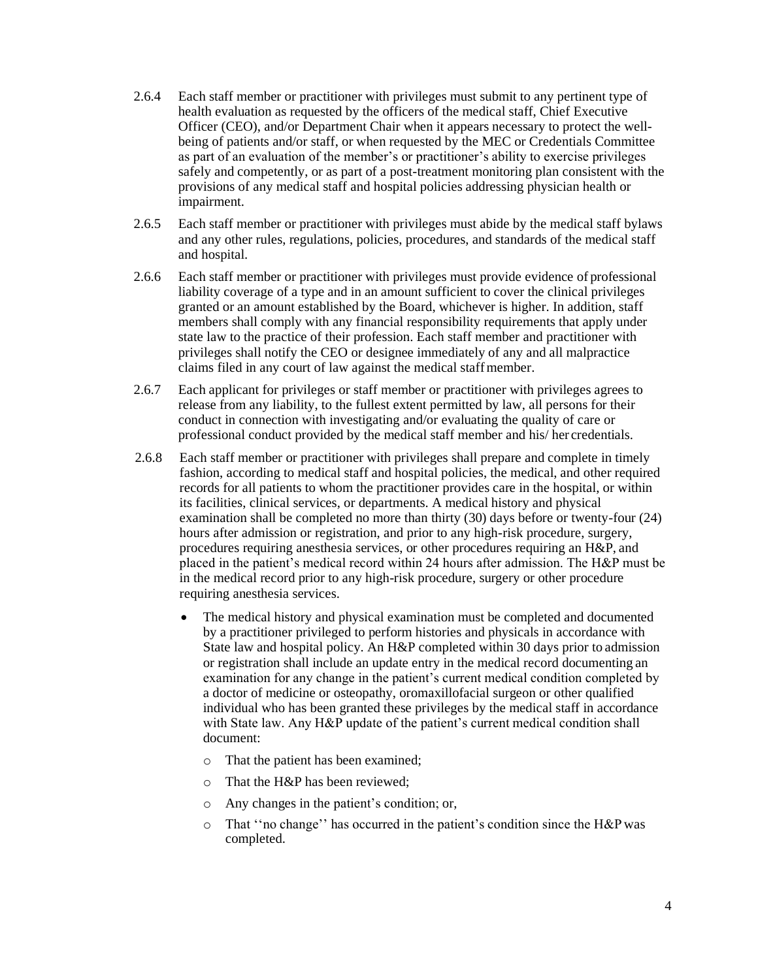- 2.6.4 Each staff member or practitioner with privileges must submit to any pertinent type of health evaluation as requested by the officers of the medical staff, Chief Executive Officer (CEO), and/or Department Chair when it appears necessary to protect the wellbeing of patients and/or staff, or when requested by the MEC or Credentials Committee as part of an evaluation of the member's or practitioner's ability to exercise privileges safely and competently, or as part of a post-treatment monitoring plan consistent with the provisions of any medical staff and hospital policies addressing physician health or impairment.
- 2.6.5 Each staff member or practitioner with privileges must abide by the medical staff bylaws and any other rules, regulations, policies, procedures, and standards of the medical staff and hospital.
- 2.6.6 Each staff member or practitioner with privileges must provide evidence of professional liability coverage of a type and in an amount sufficient to cover the clinical privileges granted or an amount established by the Board, whichever is higher. In addition, staff members shall comply with any financial responsibility requirements that apply under state law to the practice of their profession. Each staff member and practitioner with privileges shall notify the CEO or designee immediately of any and all malpractice claims filed in any court of law against the medical staffmember.
- 2.6.7 Each applicant for privileges or staff member or practitioner with privileges agrees to release from any liability, to the fullest extent permitted by law, all persons for their conduct in connection with investigating and/or evaluating the quality of care or professional conduct provided by the medical staff member and his/ her credentials.
- 2.6.8 Each staff member or practitioner with privileges shall prepare and complete in timely fashion, according to medical staff and hospital policies, the medical, and other required records for all patients to whom the practitioner provides care in the hospital, or within its facilities, clinical services, or departments. A medical history and physical examination shall be completed no more than thirty (30) days before or twenty-four (24) hours after admission or registration, and prior to any high-risk procedure, surgery, procedures requiring anesthesia services, or other procedures requiring an H&P, and placed in the patient's medical record within 24 hours after admission. The H&P must be in the medical record prior to any high-risk procedure, surgery or other procedure requiring anesthesia services.
	- The medical history and physical examination must be completed and documented by a practitioner privileged to perform histories and physicals in accordance with State law and hospital policy. An H&P completed within 30 days prior to admission or registration shall include an update entry in the medical record documenting an examination for any change in the patient's current medical condition completed by a doctor of medicine or osteopathy, oromaxillofacial surgeon or other qualified individual who has been granted these privileges by the medical staff in accordance with State law. Any H&P update of the patient's current medical condition shall document:
		- o That the patient has been examined;
		- o That the H&P has been reviewed;
		- o Any changes in the patient's condition; or,
		- o That ''no change'' has occurred in the patient's condition since the H&P was completed.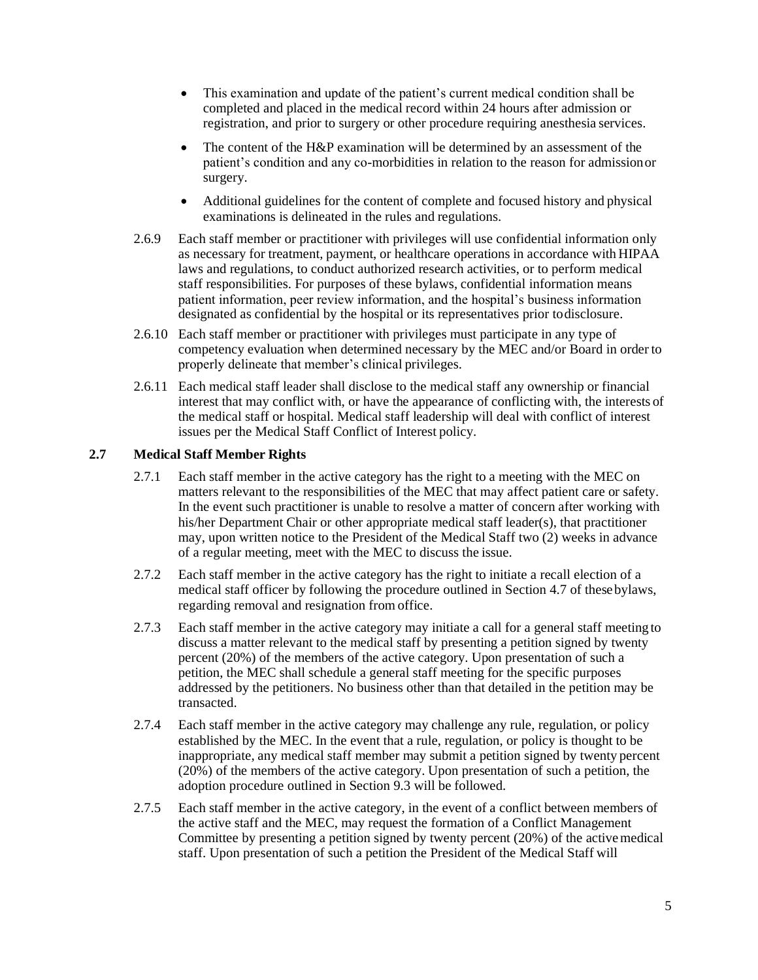- This examination and update of the patient's current medical condition shall be completed and placed in the medical record within 24 hours after admission or registration, and prior to surgery or other procedure requiring anesthesia services.
- The content of the H&P examination will be determined by an assessment of the patient's condition and any co-morbidities in relation to the reason for admissionor surgery.
- Additional guidelines for the content of complete and focused history and physical examinations is delineated in the rules and regulations.
- 2.6.9 Each staff member or practitioner with privileges will use confidential information only as necessary for treatment, payment, or healthcare operations in accordance with HIPAA laws and regulations, to conduct authorized research activities, or to perform medical staff responsibilities. For purposes of these bylaws, confidential information means patient information, peer review information, and the hospital's business information designated as confidential by the hospital or its representatives prior todisclosure.
- 2.6.10 Each staff member or practitioner with privileges must participate in any type of competency evaluation when determined necessary by the MEC and/or Board in order to properly delineate that member's clinical privileges.
- 2.6.11 Each medical staff leader shall disclose to the medical staff any ownership or financial interest that may conflict with, or have the appearance of conflicting with, the interests of the medical staff or hospital. Medical staff leadership will deal with conflict of interest issues per the Medical Staff Conflict of Interest policy.

#### **2.7 Medical Staff Member Rights**

- 2.7.1 Each staff member in the active category has the right to a meeting with the MEC on matters relevant to the responsibilities of the MEC that may affect patient care or safety. In the event such practitioner is unable to resolve a matter of concern after working with his/her Department Chair or other appropriate medical staff leader(s), that practitioner may, upon written notice to the President of the Medical Staff two (2) weeks in advance of a regular meeting, meet with the MEC to discuss the issue.
- 2.7.2 Each staff member in the active category has the right to initiate a recall election of a medical staff officer by following the procedure outlined in Section 4.7 of these bylaws, regarding removal and resignation from office.
- 2.7.3 Each staff member in the active category may initiate a call for a general staff meeting to discuss a matter relevant to the medical staff by presenting a petition signed by twenty percent (20%) of the members of the active category. Upon presentation of such a petition, the MEC shall schedule a general staff meeting for the specific purposes addressed by the petitioners. No business other than that detailed in the petition may be transacted.
- 2.7.4 Each staff member in the active category may challenge any rule, regulation, or policy established by the MEC. In the event that a rule, regulation, or policy is thought to be inappropriate, any medical staff member may submit a petition signed by twenty percent (20%) of the members of the active category. Upon presentation of such a petition, the adoption procedure outlined in Section 9.3 will be followed.
- 2.7.5 Each staff member in the active category, in the event of a conflict between members of the active staff and the MEC, may request the formation of a Conflict Management Committee by presenting a petition signed by twenty percent (20%) of the activemedical staff. Upon presentation of such a petition the President of the Medical Staff will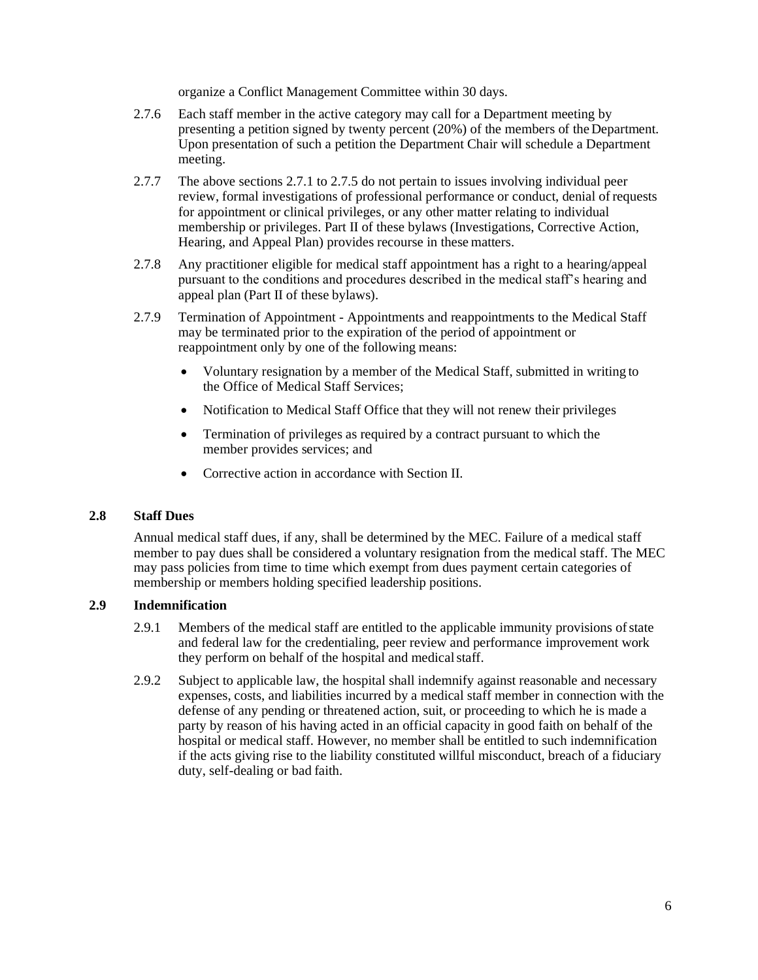organize a Conflict Management Committee within 30 days.

- 2.7.6 Each staff member in the active category may call for a Department meeting by presenting a petition signed by twenty percent (20%) of the members of the Department. Upon presentation of such a petition the Department Chair will schedule a Department meeting.
- 2.7.7 The above sections 2.7.1 to 2.7.5 do not pertain to issues involving individual peer review, formal investigations of professional performance or conduct, denial of requests for appointment or clinical privileges, or any other matter relating to individual membership or privileges. Part II of these bylaws (Investigations, Corrective Action, Hearing, and Appeal Plan) provides recourse in these matters.
- 2.7.8 Any practitioner eligible for medical staff appointment has a right to a hearing/appeal pursuant to the conditions and procedures described in the medical staff's hearing and appeal plan (Part II of these bylaws).
- 2.7.9 Termination of Appointment Appointments and reappointments to the Medical Staff may be terminated prior to the expiration of the period of appointment or reappointment only by one of the following means:
	- Voluntary resignation by a member of the Medical Staff, submitted in writing to the Office of Medical Staff Services;
	- Notification to Medical Staff Office that they will not renew their privileges
	- Termination of privileges as required by a contract pursuant to which the member provides services; and
	- Corrective action in accordance with Section II.

#### **2.8 Staff Dues**

Annual medical staff dues, if any, shall be determined by the MEC. Failure of a medical staff member to pay dues shall be considered a voluntary resignation from the medical staff. The MEC may pass policies from time to time which exempt from dues payment certain categories of membership or members holding specified leadership positions.

#### **2.9 Indemnification**

- 2.9.1 Members of the medical staff are entitled to the applicable immunity provisions ofstate and federal law for the credentialing, peer review and performance improvement work they perform on behalf of the hospital and medical staff.
- 2.9.2 Subject to applicable law, the hospital shall indemnify against reasonable and necessary expenses, costs, and liabilities incurred by a medical staff member in connection with the defense of any pending or threatened action, suit, or proceeding to which he is made a party by reason of his having acted in an official capacity in good faith on behalf of the hospital or medical staff. However, no member shall be entitled to such indemnification if the acts giving rise to the liability constituted willful misconduct, breach of a fiduciary duty, self-dealing or bad faith.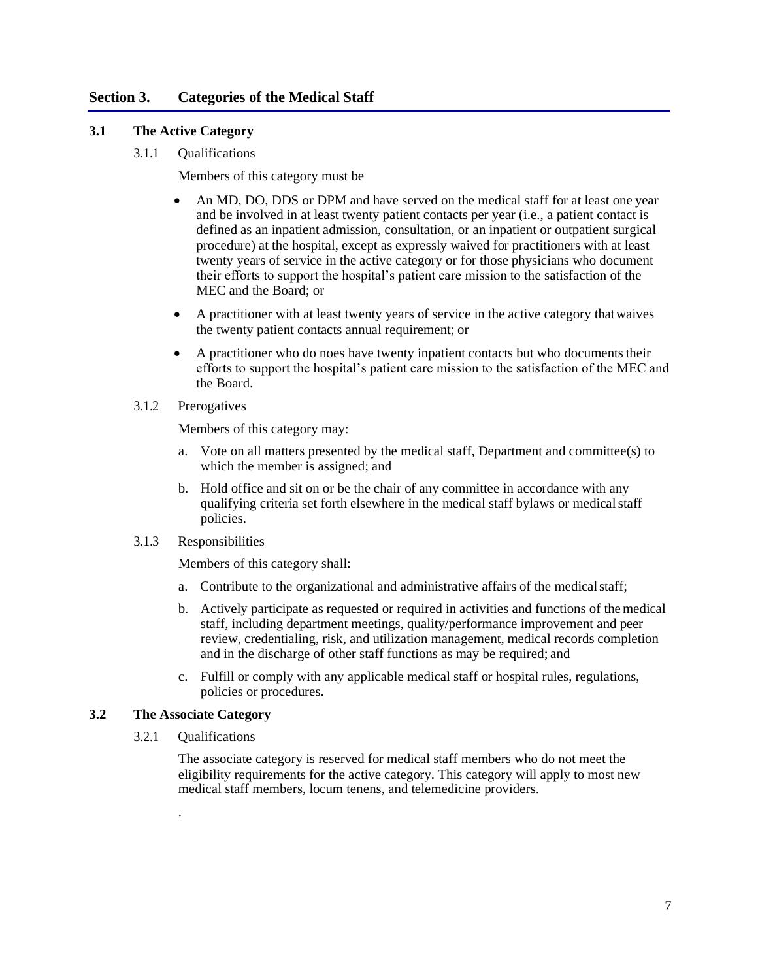#### <span id="page-15-0"></span>**Section 3. Categories of the Medical Staff**

#### <span id="page-15-1"></span>**3.1 The Active Category**

3.1.1 Qualifications

Members of this category must be

- An MD, DO, DDS or DPM and have served on the medical staff for at least one year and be involved in at least twenty patient contacts per year (i.e., a patient contact is defined as an inpatient admission, consultation, or an inpatient or outpatient surgical procedure) at the hospital, except as expressly waived for practitioners with at least twenty years of service in the active category or for those physicians who document their efforts to support the hospital's patient care mission to the satisfaction of the MEC and the Board; or
- A practitioner with at least twenty years of service in the active category thatwaives the twenty patient contacts annual requirement; or
- A practitioner who do noes have twenty inpatient contacts but who documents their efforts to support the hospital's patient care mission to the satisfaction of the MEC and the Board.
- 3.1.2 Prerogatives

Members of this category may:

- a. Vote on all matters presented by the medical staff, Department and committee(s) to which the member is assigned; and
- b. Hold office and sit on or be the chair of any committee in accordance with any qualifying criteria set forth elsewhere in the medical staff bylaws or medicalstaff policies.
- 3.1.3 Responsibilities

Members of this category shall:

- a. Contribute to the organizational and administrative affairs of the medicalstaff;
- b. Actively participate as requested or required in activities and functions of themedical staff, including department meetings, quality/performance improvement and peer review, credentialing, risk, and utilization management, medical records completion and in the discharge of other staff functions as may be required; and
- c. Fulfill or comply with any applicable medical staff or hospital rules, regulations, policies or procedures.

#### <span id="page-15-2"></span>**3.2 The Associate Category**

.

3.2.1 Qualifications

The associate category is reserved for medical staff members who do not meet the eligibility requirements for the active category. This category will apply to most new medical staff members, locum tenens, and telemedicine providers.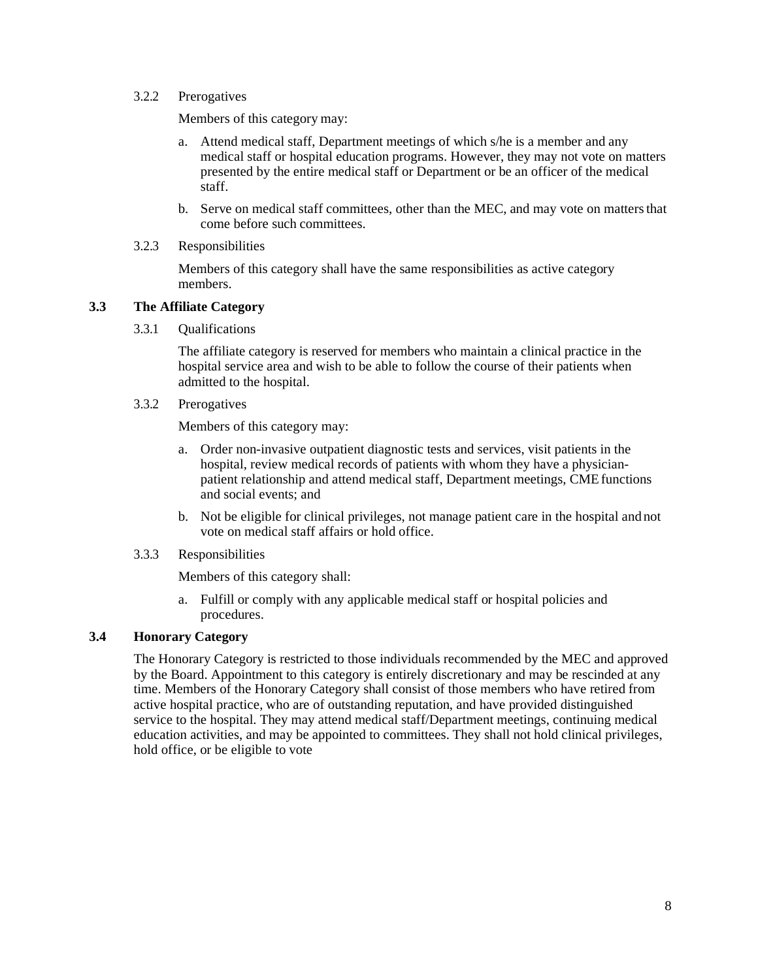#### 3.2.2 Prerogatives

Members of this category may:

- a. Attend medical staff, Department meetings of which s/he is a member and any medical staff or hospital education programs. However, they may not vote on matters presented by the entire medical staff or Department or be an officer of the medical staff.
- b. Serve on medical staff committees, other than the MEC, and may vote on mattersthat come before such committees.

#### 3.2.3 Responsibilities

Members of this category shall have the same responsibilities as active category members.

#### <span id="page-16-0"></span>**3.3 The Affiliate Category**

3.3.1 Qualifications

The affiliate category is reserved for members who maintain a clinical practice in the hospital service area and wish to be able to follow the course of their patients when admitted to the hospital.

3.3.2 Prerogatives

Members of this category may:

- a. Order non-invasive outpatient diagnostic tests and services, visit patients in the hospital, review medical records of patients with whom they have a physicianpatient relationship and attend medical staff, Department meetings, CME functions and social events; and
- b. Not be eligible for clinical privileges, not manage patient care in the hospital and not vote on medical staff affairs or hold office.

#### 3.3.3 Responsibilities

Members of this category shall:

a. Fulfill or comply with any applicable medical staff or hospital policies and procedures.

#### <span id="page-16-1"></span>**3.4 Honorary Category**

The Honorary Category is restricted to those individuals recommended by the MEC and approved by the Board. Appointment to this category is entirely discretionary and may be rescinded at any time. Members of the Honorary Category shall consist of those members who have retired from active hospital practice, who are of outstanding reputation, and have provided distinguished service to the hospital. They may attend medical staff/Department meetings, continuing medical education activities, and may be appointed to committees. They shall not hold clinical privileges, hold office, or be eligible to vote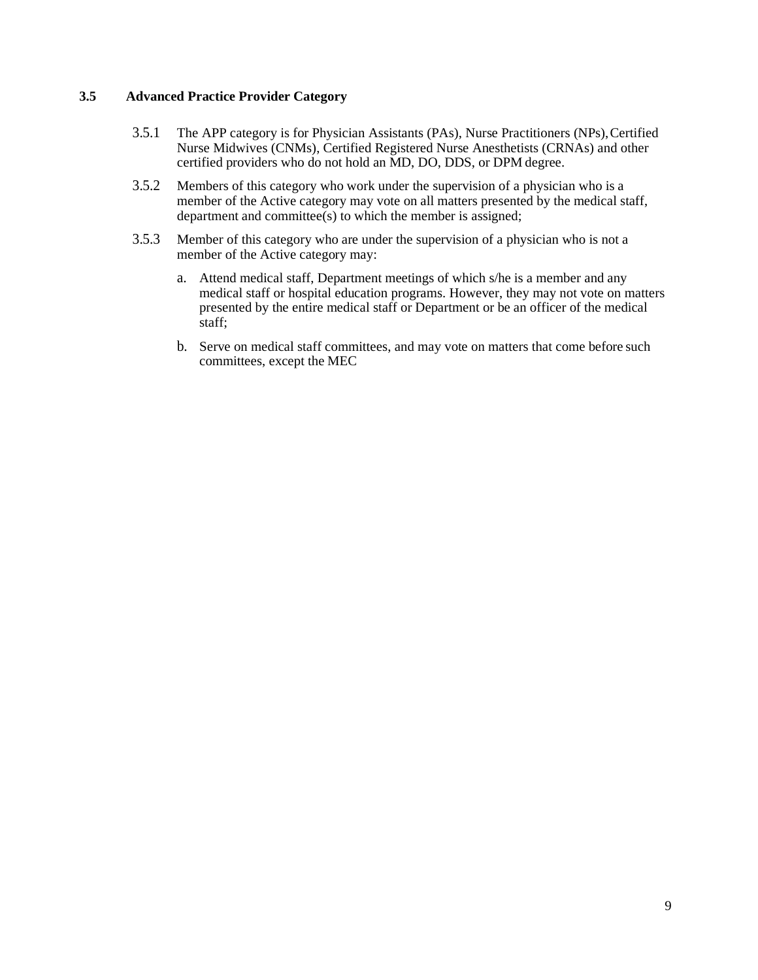#### **3.5 Advanced Practice Provider Category**

- 3.5.1 The APP category is for Physician Assistants (PAs), Nurse Practitioners (NPs), Certified Nurse Midwives (CNMs), Certified Registered Nurse Anesthetists (CRNAs) and other certified providers who do not hold an MD, DO, DDS, or DPM degree.
- 3.5.2 Members of this category who work under the supervision of a physician who is a member of the Active category may vote on all matters presented by the medical staff, department and committee(s) to which the member is assigned;
- 3.5.3 Member of this category who are under the supervision of a physician who is not a member of the Active category may:
	- a. Attend medical staff, Department meetings of which s/he is a member and any medical staff or hospital education programs. However, they may not vote on matters presented by the entire medical staff or Department or be an officer of the medical staff;
	- b. Serve on medical staff committees, and may vote on matters that come before such committees, except the MEC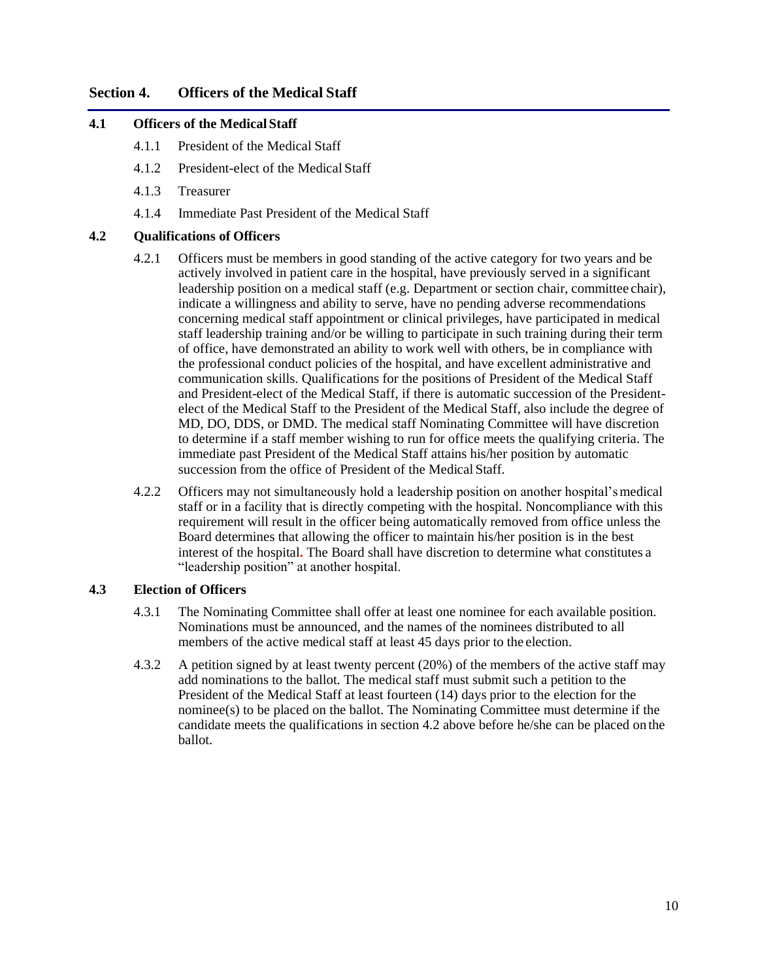#### <span id="page-18-0"></span>**Section 4. Officers of the Medical Staff**

#### <span id="page-18-1"></span>**4.1 Officers of the Medical Staff**

- 4.1.1 President of the Medical Staff
- 4.1.2 President-elect of the Medical Staff
- 4.1.3 Treasurer
- 4.1.4 Immediate Past President of the Medical Staff

#### <span id="page-18-2"></span>**4.2 Qualifications of Officers**

- 4.2.1 Officers must be members in good standing of the active category for two years and be actively involved in patient care in the hospital, have previously served in a significant leadership position on a medical staff (e.g. Department or section chair, committee chair), indicate a willingness and ability to serve, have no pending adverse recommendations concerning medical staff appointment or clinical privileges, have participated in medical staff leadership training and/or be willing to participate in such training during their term of office, have demonstrated an ability to work well with others, be in compliance with the professional conduct policies of the hospital, and have excellent administrative and communication skills. Qualifications for the positions of President of the Medical Staff and President-elect of the Medical Staff, if there is automatic succession of the Presidentelect of the Medical Staff to the President of the Medical Staff, also include the degree of MD, DO, DDS, or DMD. The medical staff Nominating Committee will have discretion to determine if a staff member wishing to run for office meets the qualifying criteria. The immediate past President of the Medical Staff attains his/her position by automatic succession from the office of President of the Medical Staff.
- 4.2.2 Officers may not simultaneously hold a leadership position on another hospital'smedical staff or in a facility that is directly competing with the hospital. Noncompliance with this requirement will result in the officer being automatically removed from office unless the Board determines that allowing the officer to maintain his/her position is in the best interest of the hospital**.** The Board shall have discretion to determine what constitutes a "leadership position" at another hospital.

#### <span id="page-18-3"></span>**4.3 Election of Officers**

- 4.3.1 The Nominating Committee shall offer at least one nominee for each available position. Nominations must be announced, and the names of the nominees distributed to all members of the active medical staff at least 45 days prior to the election.
- 4.3.2 A petition signed by at least twenty percent (20%) of the members of the active staff may add nominations to the ballot. The medical staff must submit such a petition to the President of the Medical Staff at least fourteen (14) days prior to the election for the nominee(s) to be placed on the ballot. The Nominating Committee must determine if the candidate meets the qualifications in section 4.2 above before he/she can be placed on the ballot.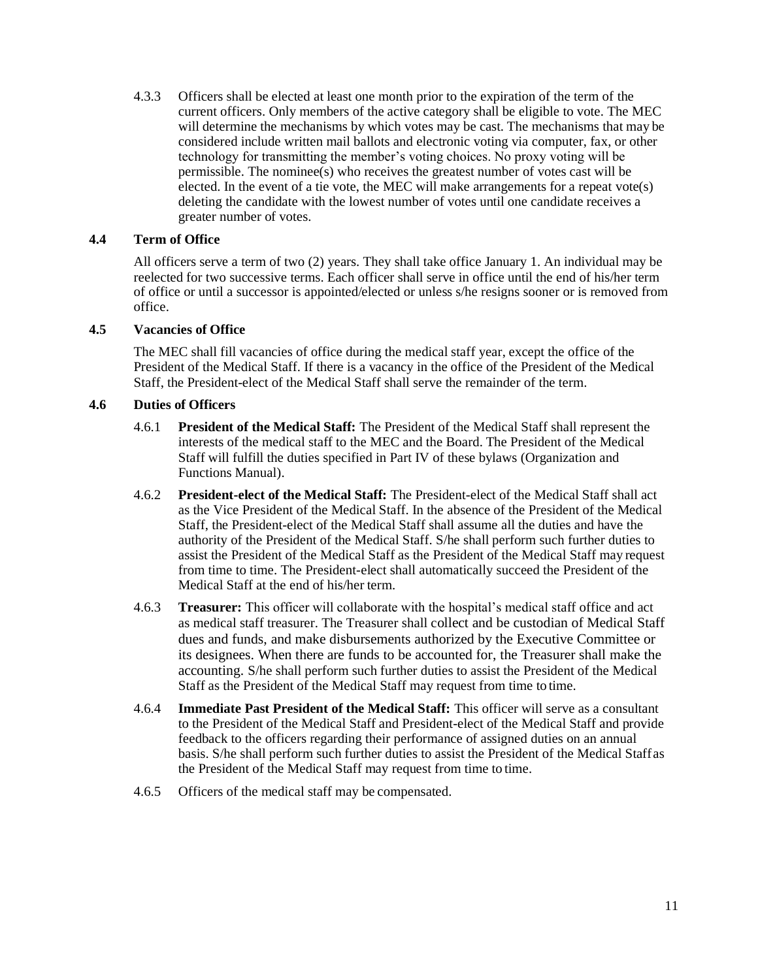4.3.3 Officers shall be elected at least one month prior to the expiration of the term of the current officers. Only members of the active category shall be eligible to vote. The MEC will determine the mechanisms by which votes may be cast. The mechanisms that may be considered include written mail ballots and electronic voting via computer, fax, or other technology for transmitting the member's voting choices. No proxy voting will be permissible. The nominee(s) who receives the greatest number of votes cast will be elected. In the event of a tie vote, the MEC will make arrangements for a repeat vote(s) deleting the candidate with the lowest number of votes until one candidate receives a greater number of votes.

#### <span id="page-19-0"></span>**4.4 Term of Office**

All officers serve a term of two (2) years. They shall take office January 1. An individual may be reelected for two successive terms. Each officer shall serve in office until the end of his/her term of office or until a successor is appointed/elected or unless s/he resigns sooner or is removed from office.

#### <span id="page-19-1"></span>**4.5 Vacancies of Office**

The MEC shall fill vacancies of office during the medical staff year, except the office of the President of the Medical Staff. If there is a vacancy in the office of the President of the Medical Staff, the President-elect of the Medical Staff shall serve the remainder of the term.

#### <span id="page-19-2"></span>**4.6 Duties of Officers**

- 4.6.1 **President of the Medical Staff:** The President of the Medical Staff shall represent the interests of the medical staff to the MEC and the Board. The President of the Medical Staff will fulfill the duties specified in Part IV of these bylaws (Organization and Functions Manual).
- 4.6.2 **President-elect of the Medical Staff:** The President-elect of the Medical Staff shall act as the Vice President of the Medical Staff. In the absence of the President of the Medical Staff, the President-elect of the Medical Staff shall assume all the duties and have the authority of the President of the Medical Staff. S/he shall perform such further duties to assist the President of the Medical Staff as the President of the Medical Staff may request from time to time. The President-elect shall automatically succeed the President of the Medical Staff at the end of his/her term.
- 4.6.3 **Treasurer:** This officer will collaborate with the hospital's medical staff office and act as medical staff treasurer. The Treasurer shall collect and be custodian of Medical Staff dues and funds, and make disbursements authorized by the Executive Committee or its designees. When there are funds to be accounted for, the Treasurer shall make the accounting. S/he shall perform such further duties to assist the President of the Medical Staff as the President of the Medical Staff may request from time to time.
- 4.6.4 **Immediate Past President of the Medical Staff:** This officer will serve as a consultant to the President of the Medical Staff and President-elect of the Medical Staff and provide feedback to the officers regarding their performance of assigned duties on an annual basis. S/he shall perform such further duties to assist the President of the Medical Staffas the President of the Medical Staff may request from time to time.
- 4.6.5 Officers of the medical staff may be compensated.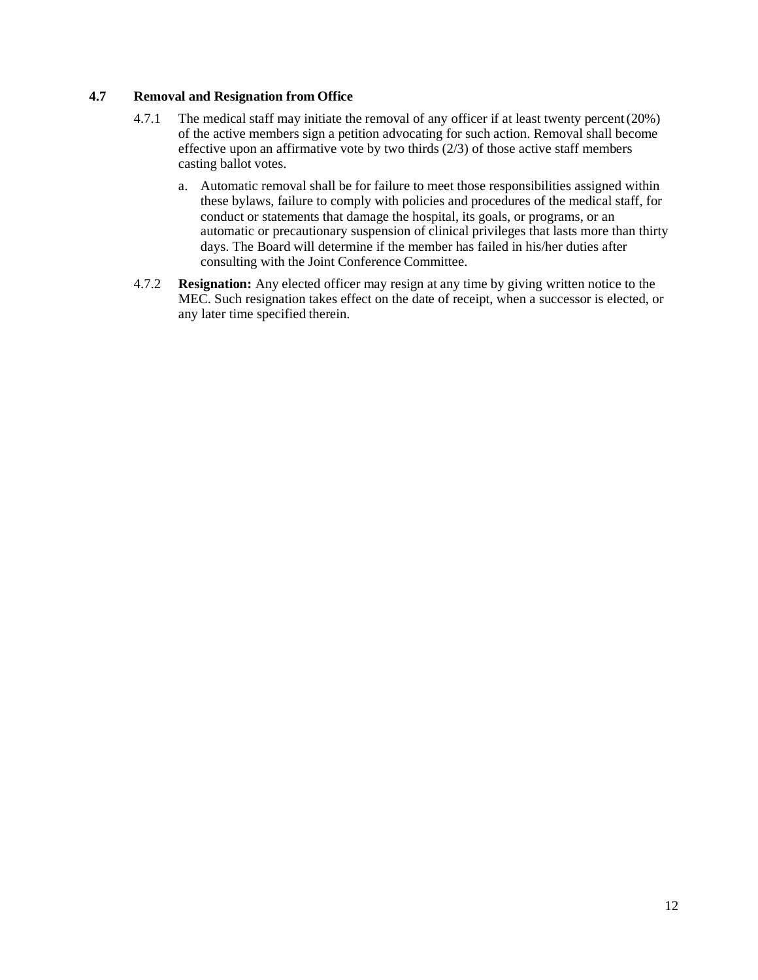#### **4.7 Removal and Resignation from Office**

- 4.7.1 The medical staff may initiate the removal of any officer if at least twenty percent(20%) of the active members sign a petition advocating for such action. Removal shall become effective upon an affirmative vote by two thirds (2/3) of those active staff members casting ballot votes.
	- a. Automatic removal shall be for failure to meet those responsibilities assigned within these bylaws, failure to comply with policies and procedures of the medical staff, for conduct or statements that damage the hospital, its goals, or programs, or an automatic or precautionary suspension of clinical privileges that lasts more than thirty days. The Board will determine if the member has failed in his/her duties after consulting with the Joint Conference Committee.
- 4.7.2 **Resignation:** Any elected officer may resign at any time by giving written notice to the MEC. Such resignation takes effect on the date of receipt, when a successor is elected, or any later time specified therein.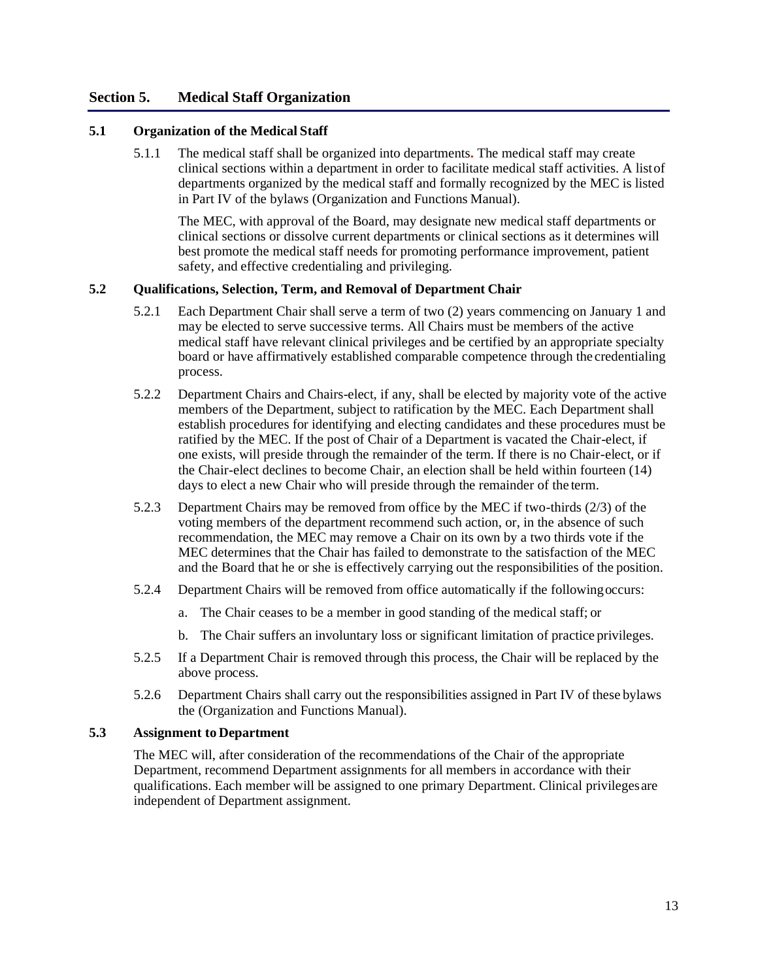#### **Section 5. Medical Staff Organization**

#### **5.1 Organization of the Medical Staff**

5.1.1 The medical staff shall be organized into departments**.** The medical staff may create clinical sections within a department in order to facilitate medical staff activities. A listof departments organized by the medical staff and formally recognized by the MEC is listed in Part IV of the bylaws (Organization and Functions Manual).

The MEC, with approval of the Board, may designate new medical staff departments or clinical sections or dissolve current departments or clinical sections as it determines will best promote the medical staff needs for promoting performance improvement, patient safety, and effective credentialing and privileging.

#### **5.2 Qualifications, Selection, Term, and Removal of Department Chair**

- 5.2.1 Each Department Chair shall serve a term of two (2) years commencing on January 1 and may be elected to serve successive terms. All Chairs must be members of the active medical staff have relevant clinical privileges and be certified by an appropriate specialty board or have affirmatively established comparable competence through the credentialing process.
- 5.2.2 Department Chairs and Chairs-elect, if any, shall be elected by majority vote of the active members of the Department, subject to ratification by the MEC. Each Department shall establish procedures for identifying and electing candidates and these procedures must be ratified by the MEC. If the post of Chair of a Department is vacated the Chair-elect, if one exists, will preside through the remainder of the term. If there is no Chair-elect, or if the Chair-elect declines to become Chair, an election shall be held within fourteen (14) days to elect a new Chair who will preside through the remainder of the term.
- 5.2.3 Department Chairs may be removed from office by the MEC if two-thirds (2/3) of the voting members of the department recommend such action, or, in the absence of such recommendation, the MEC may remove a Chair on its own by a two thirds vote if the MEC determines that the Chair has failed to demonstrate to the satisfaction of the MEC and the Board that he or she is effectively carrying out the responsibilities of the position.
- 5.2.4 Department Chairs will be removed from office automatically if the followingoccurs:
	- a. The Chair ceases to be a member in good standing of the medical staff; or
	- b. The Chair suffers an involuntary loss or significant limitation of practice privileges.
- 5.2.5 If a Department Chair is removed through this process, the Chair will be replaced by the above process.
- 5.2.6 Department Chairs shall carry out the responsibilities assigned in Part IV of these bylaws the (Organization and Functions Manual).

#### **5.3 Assignment to Department**

The MEC will, after consideration of the recommendations of the Chair of the appropriate Department, recommend Department assignments for all members in accordance with their qualifications. Each member will be assigned to one primary Department. Clinical privilegesare independent of Department assignment.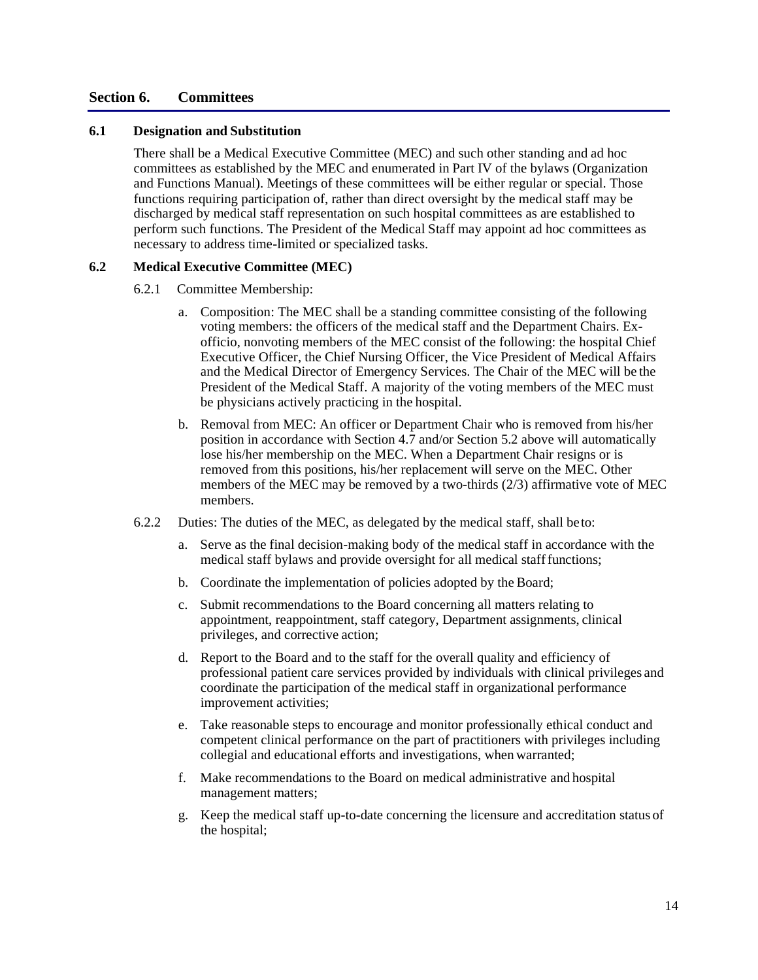#### **Section 6. Committees**

#### **6.1 Designation and Substitution**

There shall be a Medical Executive Committee (MEC) and such other standing and ad hoc committees as established by the MEC and enumerated in Part IV of the bylaws (Organization and Functions Manual). Meetings of these committees will be either regular or special. Those functions requiring participation of, rather than direct oversight by the medical staff may be discharged by medical staff representation on such hospital committees as are established to perform such functions. The President of the Medical Staff may appoint ad hoc committees as necessary to address time-limited or specialized tasks.

#### **6.2 Medical Executive Committee (MEC)**

- 6.2.1 Committee Membership:
	- a. Composition: The MEC shall be a standing committee consisting of the following voting members: the officers of the medical staff and the Department Chairs. Exofficio, nonvoting members of the MEC consist of the following: the hospital Chief Executive Officer, the Chief Nursing Officer, the Vice President of Medical Affairs and the Medical Director of Emergency Services. The Chair of the MEC will be the President of the Medical Staff. A majority of the voting members of the MEC must be physicians actively practicing in the hospital.
	- b. Removal from MEC: An officer or Department Chair who is removed from his/her position in accordance with Section 4.7 and/or Section 5.2 above will automatically lose his/her membership on the MEC. When a Department Chair resigns or is removed from this positions, his/her replacement will serve on the MEC. Other members of the MEC may be removed by a two-thirds (2/3) affirmative vote of MEC members.
- 6.2.2 Duties: The duties of the MEC, as delegated by the medical staff, shall beto:
	- a. Serve as the final decision-making body of the medical staff in accordance with the medical staff bylaws and provide oversight for all medical stafffunctions;
	- b. Coordinate the implementation of policies adopted by the Board;
	- c. Submit recommendations to the Board concerning all matters relating to appointment, reappointment, staff category, Department assignments, clinical privileges, and corrective action;
	- d. Report to the Board and to the staff for the overall quality and efficiency of professional patient care services provided by individuals with clinical privileges and coordinate the participation of the medical staff in organizational performance improvement activities;
	- e. Take reasonable steps to encourage and monitor professionally ethical conduct and competent clinical performance on the part of practitioners with privileges including collegial and educational efforts and investigations, when warranted;
	- f. Make recommendations to the Board on medical administrative and hospital management matters;
	- g. Keep the medical staff up-to-date concerning the licensure and accreditation status of the hospital;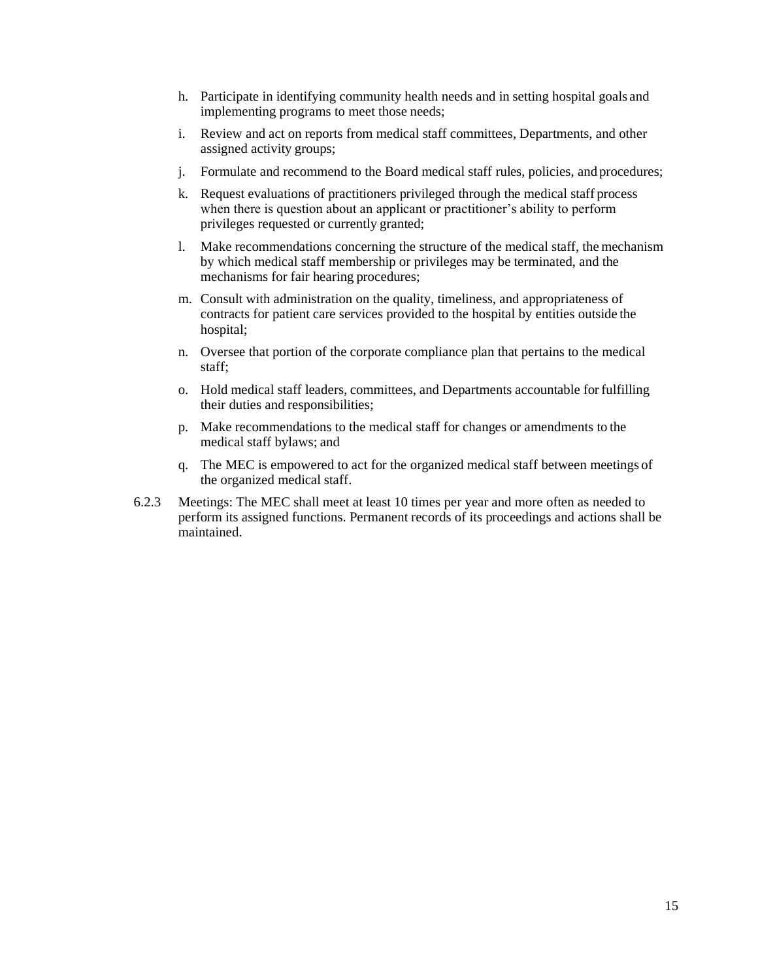- h. Participate in identifying community health needs and in setting hospital goals and implementing programs to meet those needs;
- i. Review and act on reports from medical staff committees, Departments, and other assigned activity groups;
- j. Formulate and recommend to the Board medical staff rules, policies, and procedures;
- k. Request evaluations of practitioners privileged through the medical staff process when there is question about an applicant or practitioner's ability to perform privileges requested or currently granted;
- l. Make recommendations concerning the structure of the medical staff, the mechanism by which medical staff membership or privileges may be terminated, and the mechanisms for fair hearing procedures;
- m. Consult with administration on the quality, timeliness, and appropriateness of contracts for patient care services provided to the hospital by entities outside the hospital;
- n. Oversee that portion of the corporate compliance plan that pertains to the medical staff;
- o. Hold medical staff leaders, committees, and Departments accountable for fulfilling their duties and responsibilities;
- p. Make recommendations to the medical staff for changes or amendments to the medical staff bylaws; and
- q. The MEC is empowered to act for the organized medical staff between meetings of the organized medical staff.
- 6.2.3 Meetings: The MEC shall meet at least 10 times per year and more often as needed to perform its assigned functions. Permanent records of its proceedings and actions shall be maintained.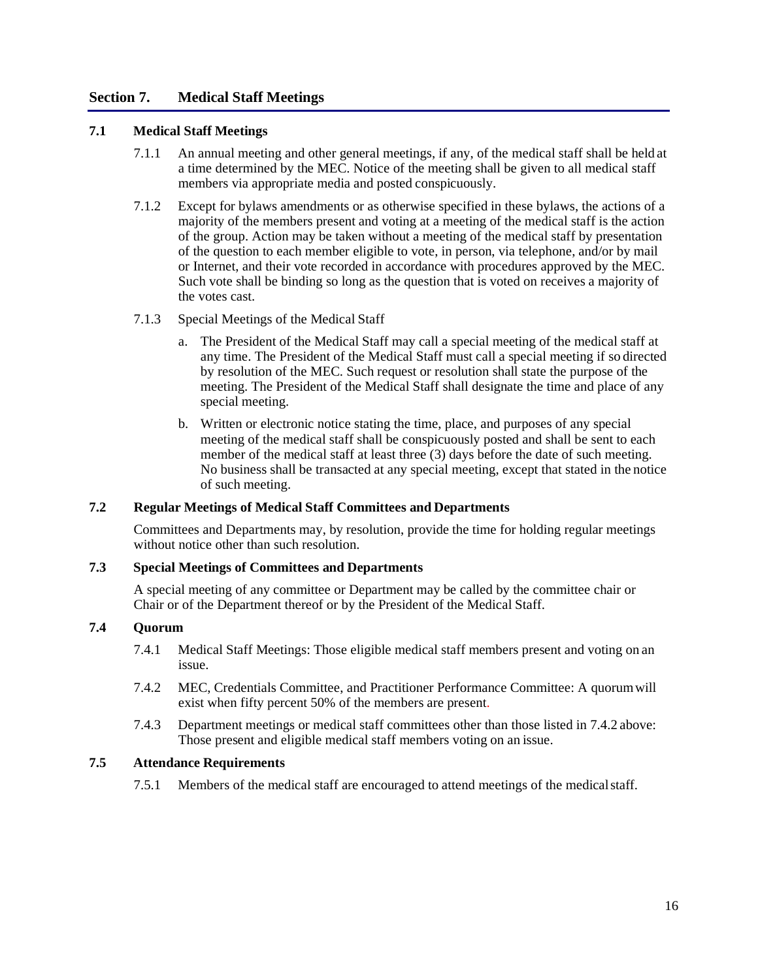#### **Section 7. Medical Staff Meetings**

#### **7.1 Medical Staff Meetings**

- 7.1.1 An annual meeting and other general meetings, if any, of the medical staff shall be held at a time determined by the MEC. Notice of the meeting shall be given to all medical staff members via appropriate media and posted conspicuously.
- 7.1.2 Except for bylaws amendments or as otherwise specified in these bylaws, the actions of a majority of the members present and voting at a meeting of the medical staff is the action of the group. Action may be taken without a meeting of the medical staff by presentation of the question to each member eligible to vote, in person, via telephone, and/or by mail or Internet, and their vote recorded in accordance with procedures approved by the MEC. Such vote shall be binding so long as the question that is voted on receives a majority of the votes cast.
- 7.1.3 Special Meetings of the Medical Staff
	- a. The President of the Medical Staff may call a special meeting of the medical staff at any time. The President of the Medical Staff must call a special meeting if so directed by resolution of the MEC. Such request or resolution shall state the purpose of the meeting. The President of the Medical Staff shall designate the time and place of any special meeting.
	- b. Written or electronic notice stating the time, place, and purposes of any special meeting of the medical staff shall be conspicuously posted and shall be sent to each member of the medical staff at least three (3) days before the date of such meeting. No business shall be transacted at any special meeting, except that stated in the notice of such meeting.

#### **7.2 Regular Meetings of Medical Staff Committees and Departments**

Committees and Departments may, by resolution, provide the time for holding regular meetings without notice other than such resolution.

#### **7.3 Special Meetings of Committees and Departments**

A special meeting of any committee or Department may be called by the committee chair or Chair or of the Department thereof or by the President of the Medical Staff.

#### **7.4 Quorum**

- 7.4.1 Medical Staff Meetings: Those eligible medical staff members present and voting on an issue.
- 7.4.2 MEC, Credentials Committee, and Practitioner Performance Committee: A quorumwill exist when fifty percent 50% of the members are present.
- 7.4.3 Department meetings or medical staff committees other than those listed in 7.4.2 above: Those present and eligible medical staff members voting on an issue.

#### **7.5 Attendance Requirements**

7.5.1 Members of the medical staff are encouraged to attend meetings of the medicalstaff.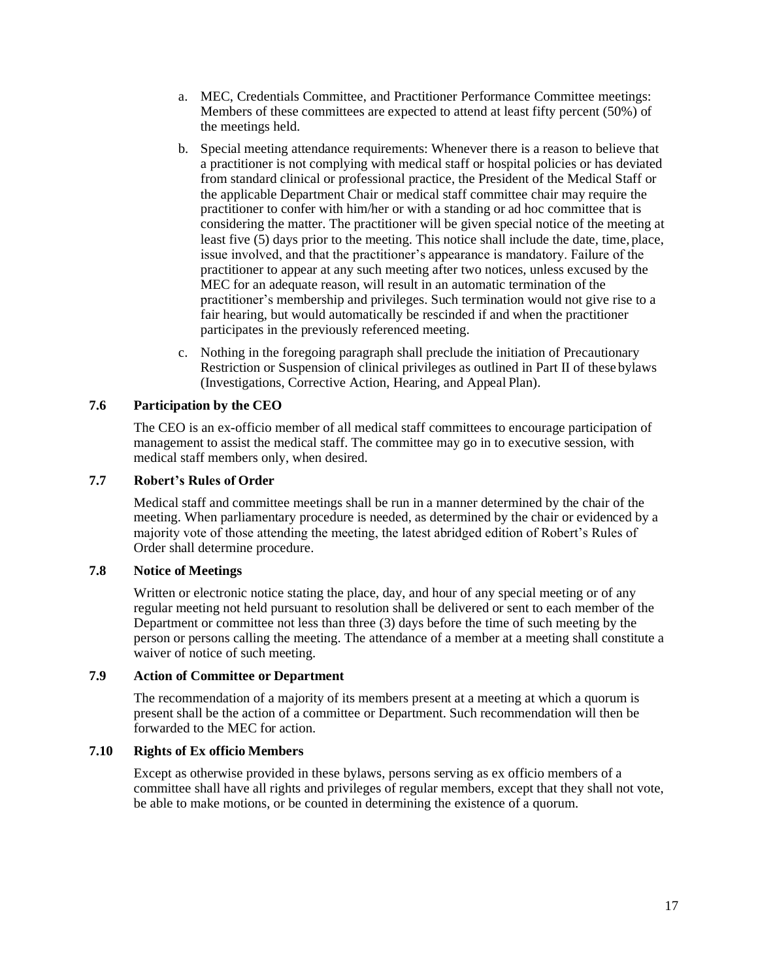- a. MEC, Credentials Committee, and Practitioner Performance Committee meetings: Members of these committees are expected to attend at least fifty percent (50%) of the meetings held.
- b. Special meeting attendance requirements: Whenever there is a reason to believe that a practitioner is not complying with medical staff or hospital policies or has deviated from standard clinical or professional practice, the President of the Medical Staff or the applicable Department Chair or medical staff committee chair may require the practitioner to confer with him/her or with a standing or ad hoc committee that is considering the matter. The practitioner will be given special notice of the meeting at least five (5) days prior to the meeting. This notice shall include the date, time, place, issue involved, and that the practitioner's appearance is mandatory. Failure of the practitioner to appear at any such meeting after two notices, unless excused by the MEC for an adequate reason, will result in an automatic termination of the practitioner's membership and privileges. Such termination would not give rise to a fair hearing, but would automatically be rescinded if and when the practitioner participates in the previously referenced meeting.
- c. Nothing in the foregoing paragraph shall preclude the initiation of Precautionary Restriction or Suspension of clinical privileges as outlined in Part II of these bylaws (Investigations, Corrective Action, Hearing, and Appeal Plan).

#### **7.6 Participation by the CEO**

The CEO is an ex-officio member of all medical staff committees to encourage participation of management to assist the medical staff. The committee may go in to executive session, with medical staff members only, when desired.

#### **7.7 Robert's Rules of Order**

Medical staff and committee meetings shall be run in a manner determined by the chair of the meeting. When parliamentary procedure is needed, as determined by the chair or evidenced by a majority vote of those attending the meeting, the latest abridged edition of Robert's Rules of Order shall determine procedure.

#### **7.8 Notice of Meetings**

Written or electronic notice stating the place, day, and hour of any special meeting or of any regular meeting not held pursuant to resolution shall be delivered or sent to each member of the Department or committee not less than three (3) days before the time of such meeting by the person or persons calling the meeting. The attendance of a member at a meeting shall constitute a waiver of notice of such meeting.

#### **7.9 Action of Committee or Department**

The recommendation of a majority of its members present at a meeting at which a quorum is present shall be the action of a committee or Department. Such recommendation will then be forwarded to the MEC for action.

#### **7.10 Rights of Ex officio Members**

Except as otherwise provided in these bylaws, persons serving as ex officio members of a committee shall have all rights and privileges of regular members, except that they shall not vote, be able to make motions, or be counted in determining the existence of a quorum.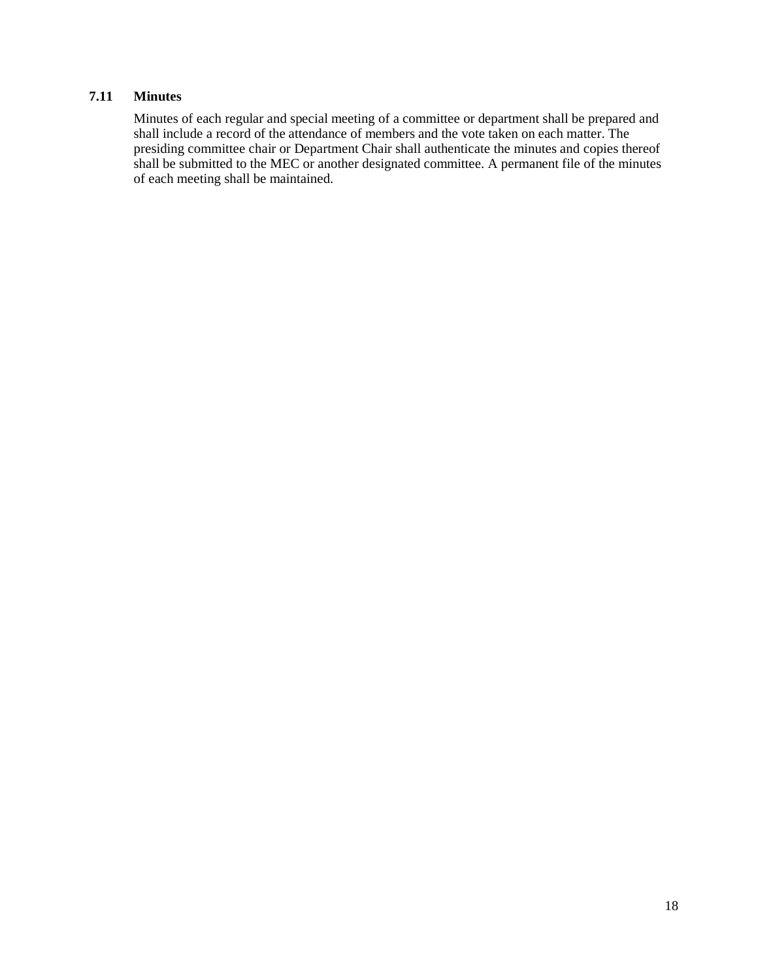#### **7.11 Minutes**

Minutes of each regular and special meeting of a committee or department shall be prepared and shall include a record of the attendance of members and the vote taken on each matter. The presiding committee chair or Department Chair shall authenticate the minutes and copies thereof shall be submitted to the MEC or another designated committee. A permanent file of the minutes of each meeting shall be maintained.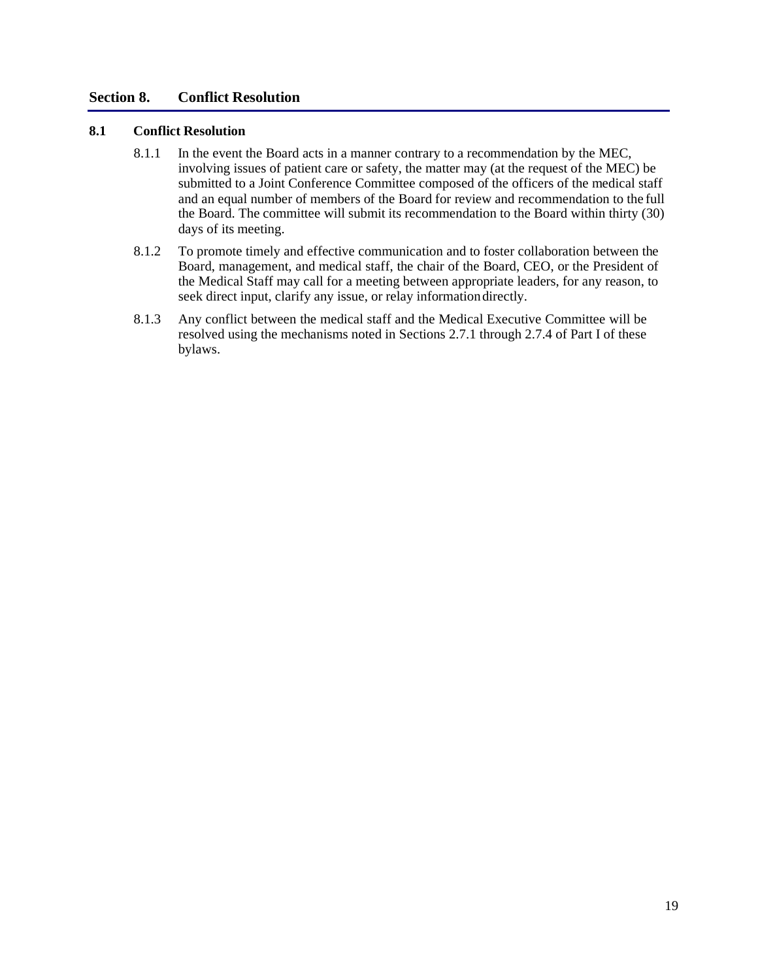#### **Section 8. Conflict Resolution**

#### **8.1 Conflict Resolution**

- 8.1.1 In the event the Board acts in a manner contrary to a recommendation by the MEC, involving issues of patient care or safety, the matter may (at the request of the MEC) be submitted to a Joint Conference Committee composed of the officers of the medical staff and an equal number of members of the Board for review and recommendation to the full the Board. The committee will submit its recommendation to the Board within thirty (30) days of its meeting.
- 8.1.2 To promote timely and effective communication and to foster collaboration between the Board, management, and medical staff, the chair of the Board, CEO, or the President of the Medical Staff may call for a meeting between appropriate leaders, for any reason, to seek direct input, clarify any issue, or relay informationdirectly.
- 8.1.3 Any conflict between the medical staff and the Medical Executive Committee will be resolved using the mechanisms noted in Sections 2.7.1 through 2.7.4 of Part I of these bylaws.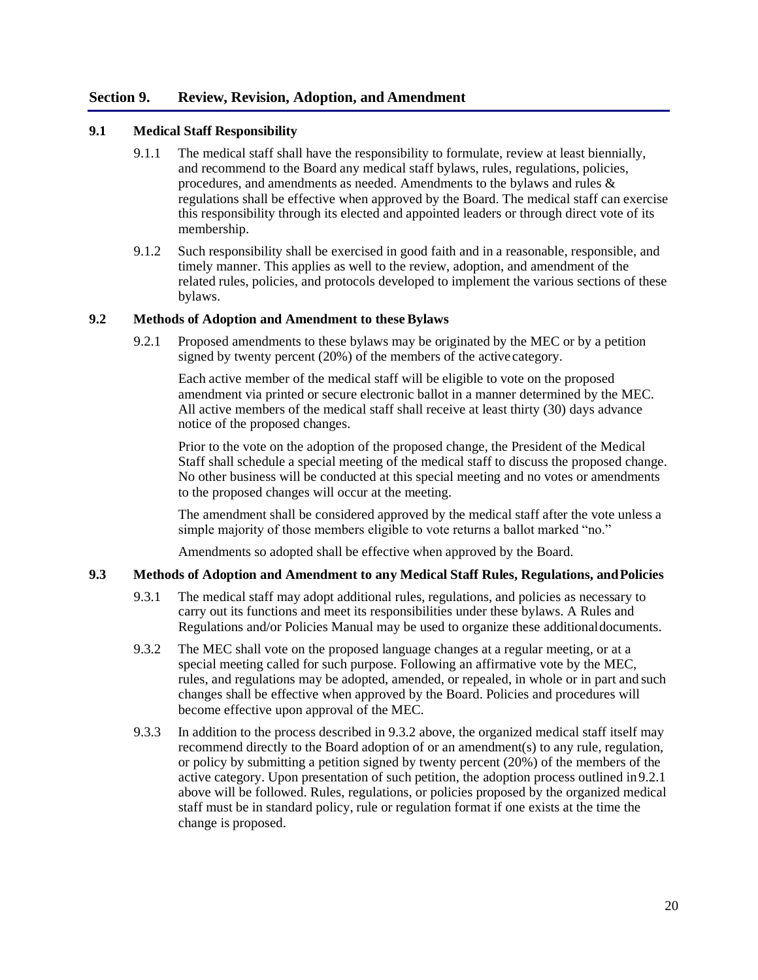#### **Section 9. Review, Revision, Adoption, and Amendment**

#### **9.1 Medical Staff Responsibility**

- 9.1.1 The medical staff shall have the responsibility to formulate, review at least biennially, and recommend to the Board any medical staff bylaws, rules, regulations, policies, procedures, and amendments as needed. Amendments to the bylaws and rules & regulations shall be effective when approved by the Board. The medical staff can exercise this responsibility through its elected and appointed leaders or through direct vote of its membership.
- 9.1.2 Such responsibility shall be exercised in good faith and in a reasonable, responsible, and timely manner. This applies as well to the review, adoption, and amendment of the related rules, policies, and protocols developed to implement the various sections of these bylaws.

#### **9.2 Methods of Adoption and Amendment to these Bylaws**

9.2.1 Proposed amendments to these bylaws may be originated by the MEC or by a petition signed by twenty percent (20%) of the members of the active category.

Each active member of the medical staff will be eligible to vote on the proposed amendment via printed or secure electronic ballot in a manner determined by the MEC. All active members of the medical staff shall receive at least thirty (30) days advance notice of the proposed changes.

Prior to the vote on the adoption of the proposed change, the President of the Medical Staff shall schedule a special meeting of the medical staff to discuss the proposed change. No other business will be conducted at this special meeting and no votes or amendments to the proposed changes will occur at the meeting.

The amendment shall be considered approved by the medical staff after the vote unless a simple majority of those members eligible to vote returns a ballot marked "no."

Amendments so adopted shall be effective when approved by the Board.

#### **9.3 Methods of Adoption and Amendment to any Medical Staff Rules, Regulations, andPolicies**

- 9.3.1 The medical staff may adopt additional rules, regulations, and policies as necessary to carry out its functions and meet its responsibilities under these bylaws. A Rules and Regulations and/or Policies Manual may be used to organize these additionaldocuments.
- 9.3.2 The MEC shall vote on the proposed language changes at a regular meeting, or at a special meeting called for such purpose. Following an affirmative vote by the MEC, rules, and regulations may be adopted, amended, or repealed, in whole or in part and such changes shall be effective when approved by the Board. Policies and procedures will become effective upon approval of the MEC.
- 9.3.3 In addition to the process described in 9.3.2 above, the organized medical staff itself may recommend directly to the Board adoption of or an amendment(s) to any rule, regulation, or policy by submitting a petition signed by twenty percent (20%) of the members of the active category. Upon presentation of such petition, the adoption process outlined in9.2.1 above will be followed. Rules, regulations, or policies proposed by the organized medical staff must be in standard policy, rule or regulation format if one exists at the time the change is proposed.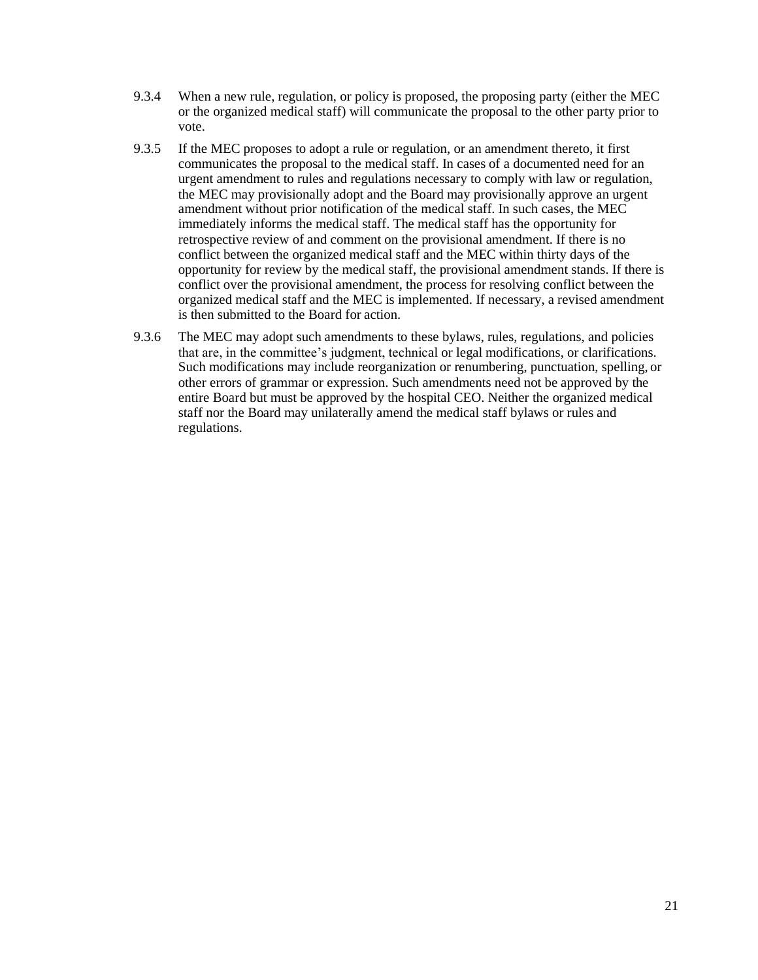- 9.3.4 When a new rule, regulation, or policy is proposed, the proposing party (either the MEC or the organized medical staff) will communicate the proposal to the other party prior to vote.
- 9.3.5 If the MEC proposes to adopt a rule or regulation, or an amendment thereto, it first communicates the proposal to the medical staff. In cases of a documented need for an urgent amendment to rules and regulations necessary to comply with law or regulation, the MEC may provisionally adopt and the Board may provisionally approve an urgent amendment without prior notification of the medical staff. In such cases, the MEC immediately informs the medical staff. The medical staff has the opportunity for retrospective review of and comment on the provisional amendment. If there is no conflict between the organized medical staff and the MEC within thirty days of the opportunity for review by the medical staff, the provisional amendment stands. If there is conflict over the provisional amendment, the process for resolving conflict between the organized medical staff and the MEC is implemented. If necessary, a revised amendment is then submitted to the Board for action.
- 9.3.6 The MEC may adopt such amendments to these bylaws, rules, regulations, and policies that are, in the committee's judgment, technical or legal modifications, or clarifications. Such modifications may include reorganization or renumbering, punctuation, spelling, or other errors of grammar or expression. Such amendments need not be approved by the entire Board but must be approved by the hospital CEO. Neither the organized medical staff nor the Board may unilaterally amend the medical staff bylaws or rules and regulations.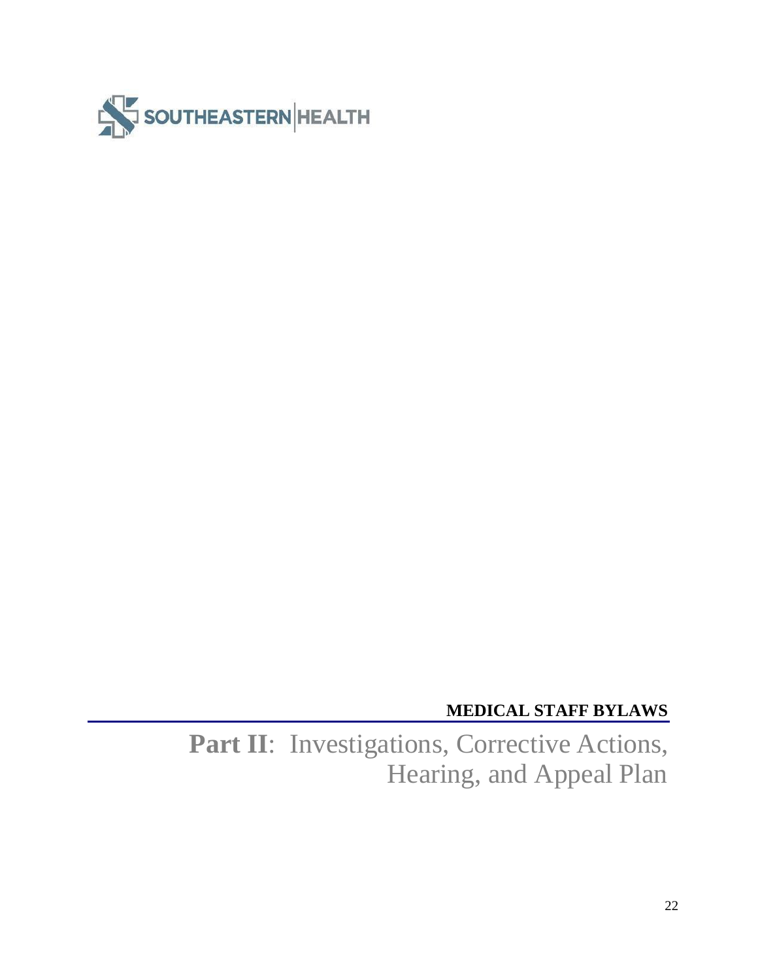

# **MEDICAL STAFF BYLAWS**

Part II: Investigations, Corrective Actions, Hearing, and Appeal Plan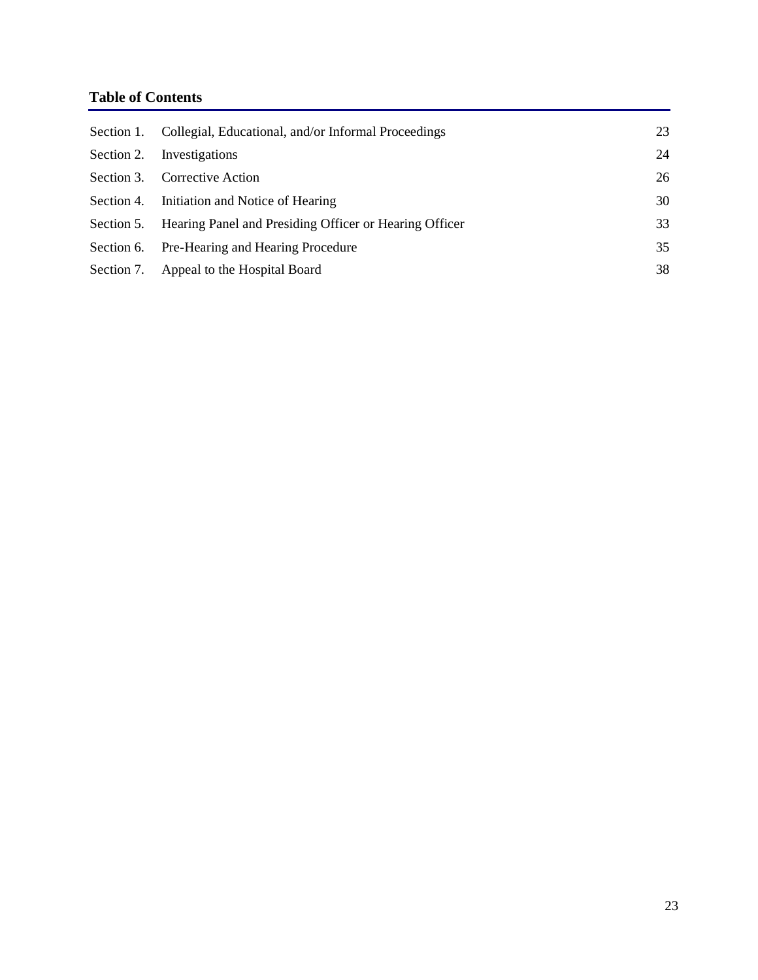## **Table of Contents**

|            | Section 1. Collegial, Educational, and/or Informal Proceedings    | 23 |
|------------|-------------------------------------------------------------------|----|
| Section 2. | Investigations                                                    | 24 |
|            | Section 3. Corrective Action                                      | 26 |
|            | Section 4. Initiation and Notice of Hearing                       | 30 |
|            | Section 5. Hearing Panel and Presiding Officer or Hearing Officer | 33 |
|            | Section 6. Pre-Hearing and Hearing Procedure                      | 35 |
|            | Section 7. Appeal to the Hospital Board                           | 38 |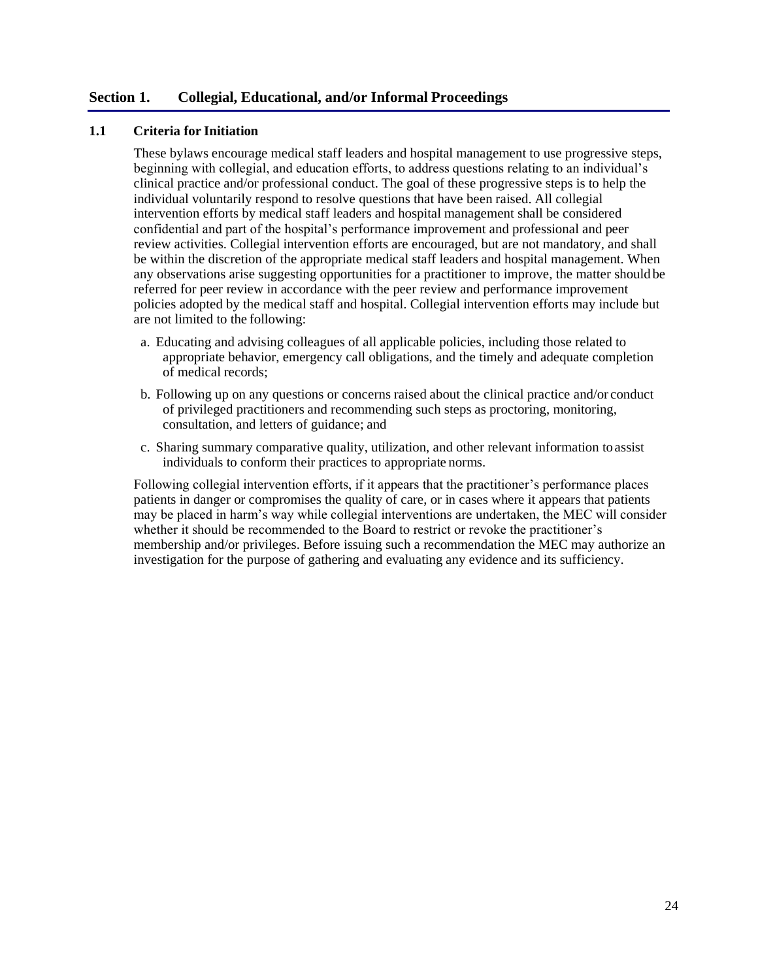#### **Section 1. Collegial, Educational, and/or Informal Proceedings**

#### **1.1 Criteria for Initiation**

These bylaws encourage medical staff leaders and hospital management to use progressive steps, beginning with collegial, and education efforts, to address questions relating to an individual's clinical practice and/or professional conduct. The goal of these progressive steps is to help the individual voluntarily respond to resolve questions that have been raised. All collegial intervention efforts by medical staff leaders and hospital management shall be considered confidential and part of the hospital's performance improvement and professional and peer review activities. Collegial intervention efforts are encouraged, but are not mandatory, and shall be within the discretion of the appropriate medical staff leaders and hospital management. When any observations arise suggesting opportunities for a practitioner to improve, the matter should be referred for peer review in accordance with the peer review and performance improvement policies adopted by the medical staff and hospital. Collegial intervention efforts may include but are not limited to the following:

- a. Educating and advising colleagues of all applicable policies, including those related to appropriate behavior, emergency call obligations, and the timely and adequate completion of medical records;
- b. Following up on any questions or concerns raised about the clinical practice and/or conduct of privileged practitioners and recommending such steps as proctoring, monitoring, consultation, and letters of guidance; and
- c. Sharing summary comparative quality, utilization, and other relevant information toassist individuals to conform their practices to appropriate norms.

Following collegial intervention efforts, if it appears that the practitioner's performance places patients in danger or compromises the quality of care, or in cases where it appears that patients may be placed in harm's way while collegial interventions are undertaken, the MEC will consider whether it should be recommended to the Board to restrict or revoke the practitioner's membership and/or privileges. Before issuing such a recommendation the MEC may authorize an investigation for the purpose of gathering and evaluating any evidence and its sufficiency.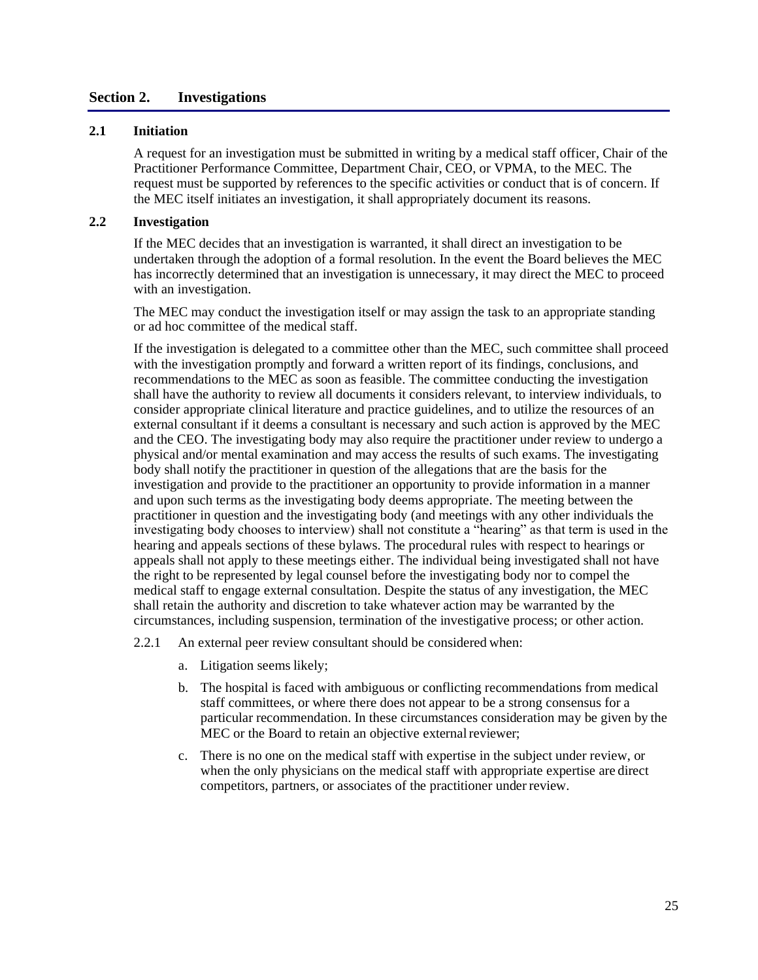#### **Section 2. Investigations**

#### **2.1 Initiation**

A request for an investigation must be submitted in writing by a medical staff officer, Chair of the Practitioner Performance Committee, Department Chair, CEO, or VPMA, to the MEC. The request must be supported by references to the specific activities or conduct that is of concern. If the MEC itself initiates an investigation, it shall appropriately document its reasons.

#### **2.2 Investigation**

If the MEC decides that an investigation is warranted, it shall direct an investigation to be undertaken through the adoption of a formal resolution. In the event the Board believes the MEC has incorrectly determined that an investigation is unnecessary, it may direct the MEC to proceed with an investigation.

The MEC may conduct the investigation itself or may assign the task to an appropriate standing or ad hoc committee of the medical staff.

If the investigation is delegated to a committee other than the MEC, such committee shall proceed with the investigation promptly and forward a written report of its findings, conclusions, and recommendations to the MEC as soon as feasible. The committee conducting the investigation shall have the authority to review all documents it considers relevant, to interview individuals, to consider appropriate clinical literature and practice guidelines, and to utilize the resources of an external consultant if it deems a consultant is necessary and such action is approved by the MEC and the CEO. The investigating body may also require the practitioner under review to undergo a physical and/or mental examination and may access the results of such exams. The investigating body shall notify the practitioner in question of the allegations that are the basis for the investigation and provide to the practitioner an opportunity to provide information in a manner and upon such terms as the investigating body deems appropriate. The meeting between the practitioner in question and the investigating body (and meetings with any other individuals the investigating body chooses to interview) shall not constitute a "hearing" as that term is used in the hearing and appeals sections of these bylaws. The procedural rules with respect to hearings or appeals shall not apply to these meetings either. The individual being investigated shall not have the right to be represented by legal counsel before the investigating body nor to compel the medical staff to engage external consultation. Despite the status of any investigation, the MEC shall retain the authority and discretion to take whatever action may be warranted by the circumstances, including suspension, termination of the investigative process; or other action.

2.2.1 An external peer review consultant should be considered when:

- a. Litigation seems likely;
- b. The hospital is faced with ambiguous or conflicting recommendations from medical staff committees, or where there does not appear to be a strong consensus for a particular recommendation. In these circumstances consideration may be given by the MEC or the Board to retain an objective external reviewer;
- c. There is no one on the medical staff with expertise in the subject under review, or when the only physicians on the medical staff with appropriate expertise are direct competitors, partners, or associates of the practitioner underreview.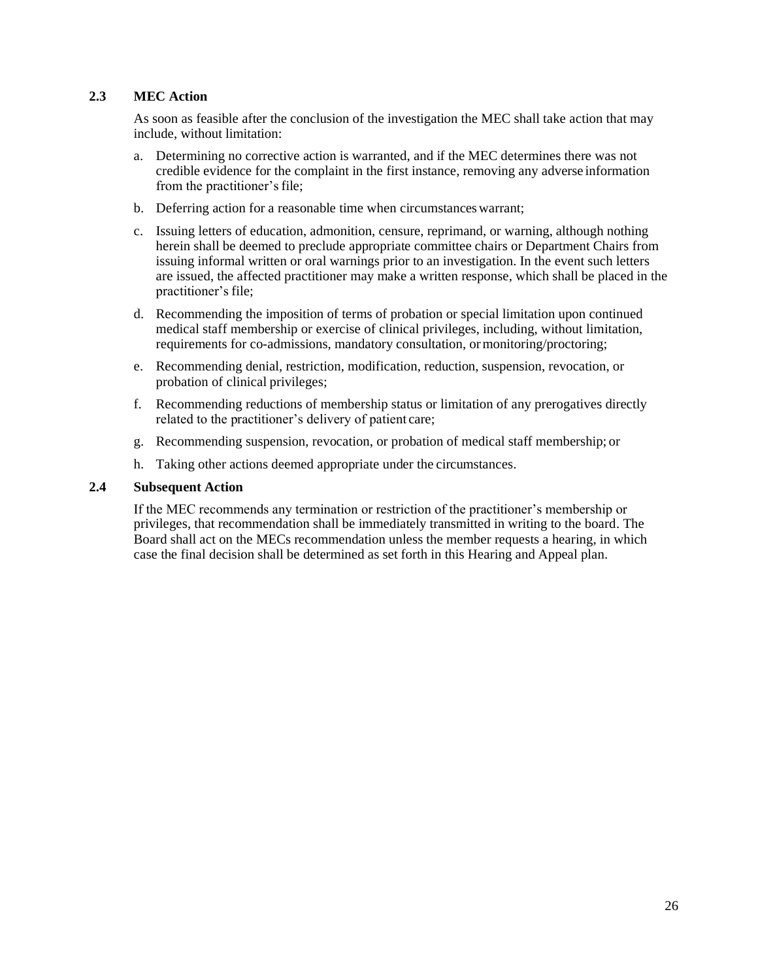#### **2.3 MEC Action**

As soon as feasible after the conclusion of the investigation the MEC shall take action that may include, without limitation:

- a. Determining no corrective action is warranted, and if the MEC determines there was not credible evidence for the complaint in the first instance, removing any adverse information from the practitioner's file;
- b. Deferring action for a reasonable time when circumstances warrant;
- c. Issuing letters of education, admonition, censure, reprimand, or warning, although nothing herein shall be deemed to preclude appropriate committee chairs or Department Chairs from issuing informal written or oral warnings prior to an investigation. In the event such letters are issued, the affected practitioner may make a written response, which shall be placed in the practitioner's file;
- d. Recommending the imposition of terms of probation or special limitation upon continued medical staff membership or exercise of clinical privileges, including, without limitation, requirements for co-admissions, mandatory consultation, ormonitoring/proctoring;
- e. Recommending denial, restriction, modification, reduction, suspension, revocation, or probation of clinical privileges;
- f. Recommending reductions of membership status or limitation of any prerogatives directly related to the practitioner's delivery of patient care;
- g. Recommending suspension, revocation, or probation of medical staff membership; or
- h. Taking other actions deemed appropriate under the circumstances.

#### **2.4 Subsequent Action**

If the MEC recommends any termination or restriction of the practitioner's membership or privileges, that recommendation shall be immediately transmitted in writing to the board. The Board shall act on the MECs recommendation unless the member requests a hearing, in which case the final decision shall be determined as set forth in this Hearing and Appeal plan.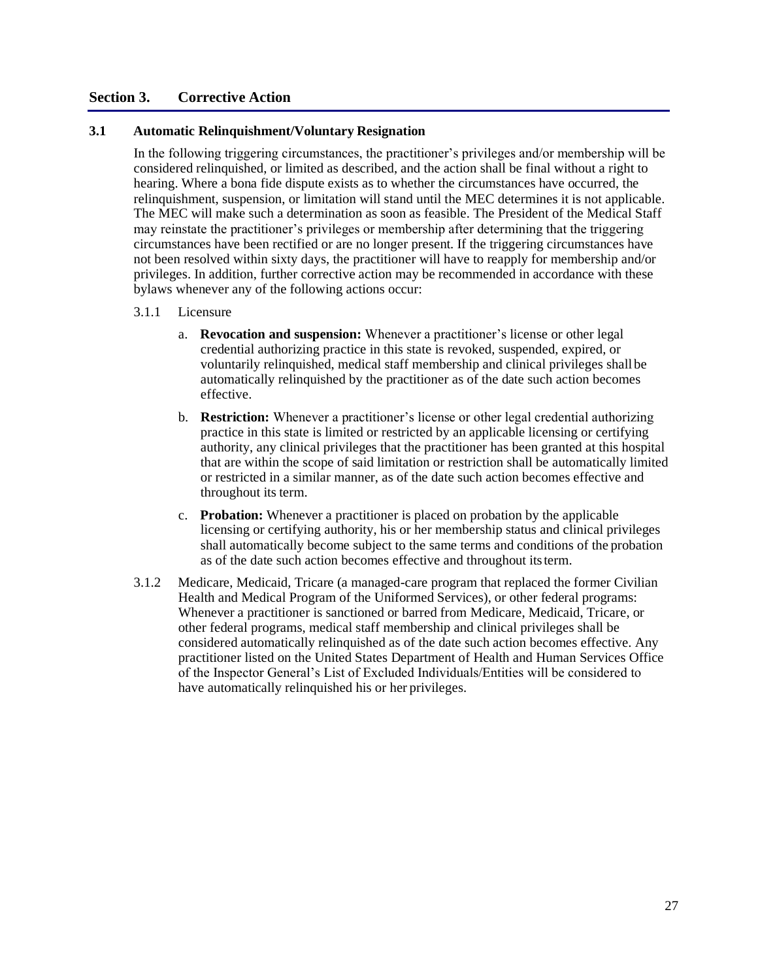#### **Section 3. Corrective Action**

#### **3.1 Automatic Relinquishment/Voluntary Resignation**

In the following triggering circumstances, the practitioner's privileges and/or membership will be considered relinquished, or limited as described, and the action shall be final without a right to hearing. Where a bona fide dispute exists as to whether the circumstances have occurred, the relinquishment, suspension, or limitation will stand until the MEC determines it is not applicable. The MEC will make such a determination as soon as feasible. The President of the Medical Staff may reinstate the practitioner's privileges or membership after determining that the triggering circumstances have been rectified or are no longer present. If the triggering circumstances have not been resolved within sixty days, the practitioner will have to reapply for membership and/or privileges. In addition, further corrective action may be recommended in accordance with these bylaws whenever any of the following actions occur:

#### 3.1.1 Licensure

- a. **Revocation and suspension:** Whenever a practitioner's license or other legal credential authorizing practice in this state is revoked, suspended, expired, or voluntarily relinquished, medical staff membership and clinical privileges shall be automatically relinquished by the practitioner as of the date such action becomes effective.
- b. **Restriction:** Whenever a practitioner's license or other legal credential authorizing practice in this state is limited or restricted by an applicable licensing or certifying authority, any clinical privileges that the practitioner has been granted at this hospital that are within the scope of said limitation or restriction shall be automatically limited or restricted in a similar manner, as of the date such action becomes effective and throughout its term.
- c. **Probation:** Whenever a practitioner is placed on probation by the applicable licensing or certifying authority, his or her membership status and clinical privileges shall automatically become subject to the same terms and conditions of the probation as of the date such action becomes effective and throughout itsterm.
- 3.1.2 Medicare, Medicaid, Tricare (a managed-care program that replaced the former Civilian Health and Medical Program of the Uniformed Services), or other federal programs: Whenever a practitioner is sanctioned or barred from Medicare, Medicaid, Tricare, or other federal programs, medical staff membership and clinical privileges shall be considered automatically relinquished as of the date such action becomes effective. Any practitioner listed on the United States Department of Health and Human Services Office of the Inspector General's List of Excluded Individuals/Entities will be considered to have automatically relinquished his or her privileges.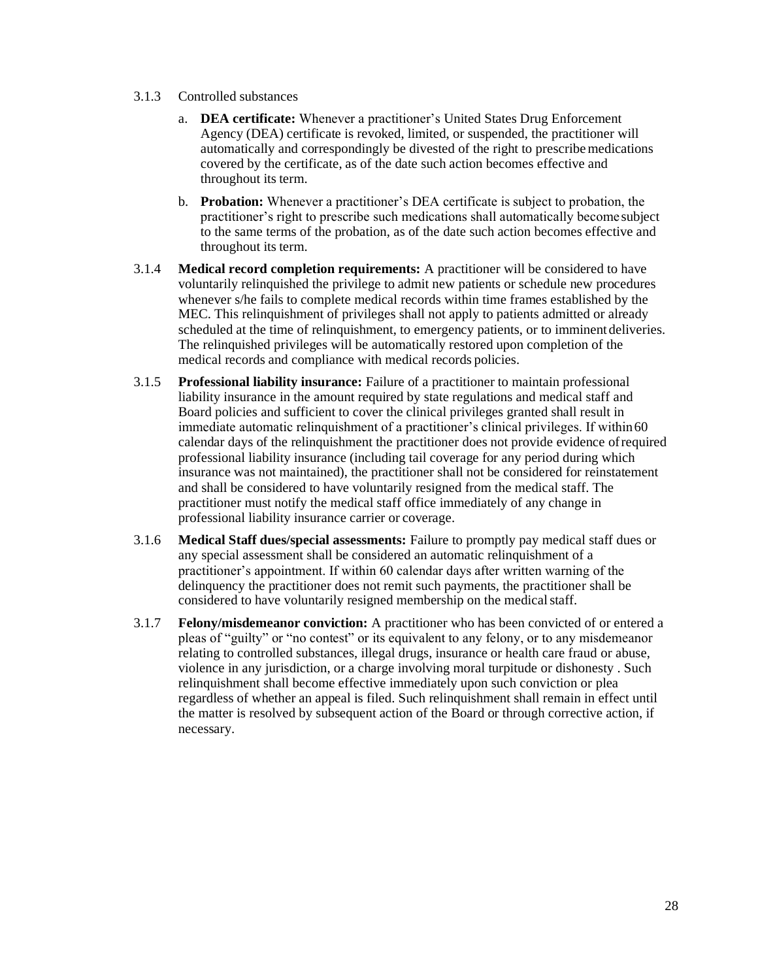- 3.1.3 Controlled substances
	- a. **DEA certificate:** Whenever a practitioner's United States Drug Enforcement Agency (DEA) certificate is revoked, limited, or suspended, the practitioner will automatically and correspondingly be divested of the right to prescribemedications covered by the certificate, as of the date such action becomes effective and throughout its term.
	- b. **Probation:** Whenever a practitioner's DEA certificate is subject to probation, the practitioner's right to prescribe such medications shall automatically become subject to the same terms of the probation, as of the date such action becomes effective and throughout its term.
- 3.1.4 **Medical record completion requirements:** A practitioner will be considered to have voluntarily relinquished the privilege to admit new patients or schedule new procedures whenever s/he fails to complete medical records within time frames established by the MEC. This relinquishment of privileges shall not apply to patients admitted or already scheduled at the time of relinquishment, to emergency patients, or to imminent deliveries. The relinquished privileges will be automatically restored upon completion of the medical records and compliance with medical records policies.
- 3.1.5 **Professional liability insurance:** Failure of a practitioner to maintain professional liability insurance in the amount required by state regulations and medical staff and Board policies and sufficient to cover the clinical privileges granted shall result in immediate automatic relinquishment of a practitioner's clinical privileges. If within60 calendar days of the relinquishment the practitioner does not provide evidence ofrequired professional liability insurance (including tail coverage for any period during which insurance was not maintained), the practitioner shall not be considered for reinstatement and shall be considered to have voluntarily resigned from the medical staff. The practitioner must notify the medical staff office immediately of any change in professional liability insurance carrier or coverage.
- 3.1.6 **Medical Staff dues/special assessments:** Failure to promptly pay medical staff dues or any special assessment shall be considered an automatic relinquishment of a practitioner's appointment. If within 60 calendar days after written warning of the delinquency the practitioner does not remit such payments, the practitioner shall be considered to have voluntarily resigned membership on the medical staff.
- 3.1.7 **Felony/misdemeanor conviction:** A practitioner who has been convicted of or entered a pleas of "guilty" or "no contest" or its equivalent to any felony, or to any misdemeanor relating to controlled substances, illegal drugs, insurance or health care fraud or abuse, violence in any jurisdiction, or a charge involving moral turpitude or dishonesty . Such relinquishment shall become effective immediately upon such conviction or plea regardless of whether an appeal is filed. Such relinquishment shall remain in effect until the matter is resolved by subsequent action of the Board or through corrective action, if necessary.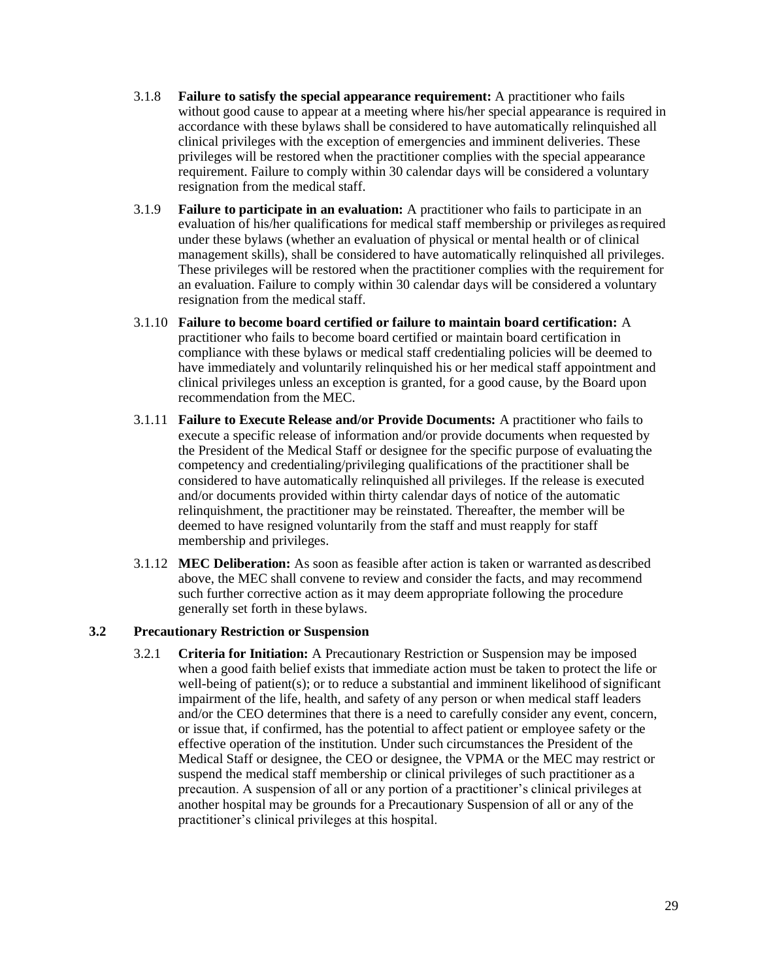- 3.1.8 **Failure to satisfy the special appearance requirement:** A practitioner who fails without good cause to appear at a meeting where his/her special appearance is required in accordance with these bylaws shall be considered to have automatically relinquished all clinical privileges with the exception of emergencies and imminent deliveries. These privileges will be restored when the practitioner complies with the special appearance requirement. Failure to comply within 30 calendar days will be considered a voluntary resignation from the medical staff.
- 3.1.9 **Failure to participate in an evaluation:** A practitioner who fails to participate in an evaluation of his/her qualifications for medical staff membership or privileges asrequired under these bylaws (whether an evaluation of physical or mental health or of clinical management skills), shall be considered to have automatically relinquished all privileges. These privileges will be restored when the practitioner complies with the requirement for an evaluation. Failure to comply within 30 calendar days will be considered a voluntary resignation from the medical staff.
- 3.1.10 **Failure to become board certified or failure to maintain board certification:** A practitioner who fails to become board certified or maintain board certification in compliance with these bylaws or medical staff credentialing policies will be deemed to have immediately and voluntarily relinquished his or her medical staff appointment and clinical privileges unless an exception is granted, for a good cause, by the Board upon recommendation from the MEC.
- 3.1.11 **Failure to Execute Release and/or Provide Documents:** A practitioner who fails to execute a specific release of information and/or provide documents when requested by the President of the Medical Staff or designee for the specific purpose of evaluating the competency and credentialing/privileging qualifications of the practitioner shall be considered to have automatically relinquished all privileges. If the release is executed and/or documents provided within thirty calendar days of notice of the automatic relinquishment, the practitioner may be reinstated. Thereafter, the member will be deemed to have resigned voluntarily from the staff and must reapply for staff membership and privileges.
- 3.1.12 **MEC Deliberation:** As soon as feasible after action is taken or warranted asdescribed above, the MEC shall convene to review and consider the facts, and may recommend such further corrective action as it may deem appropriate following the procedure generally set forth in these bylaws.

#### **3.2 Precautionary Restriction or Suspension**

3.2.1 **Criteria for Initiation:** A Precautionary Restriction or Suspension may be imposed when a good faith belief exists that immediate action must be taken to protect the life or well-being of patient(s); or to reduce a substantial and imminent likelihood of significant impairment of the life, health, and safety of any person or when medical staff leaders and/or the CEO determines that there is a need to carefully consider any event, concern, or issue that, if confirmed, has the potential to affect patient or employee safety or the effective operation of the institution. Under such circumstances the President of the Medical Staff or designee, the CEO or designee, the VPMA or the MEC may restrict or suspend the medical staff membership or clinical privileges of such practitioner as a precaution. A suspension of all or any portion of a practitioner's clinical privileges at another hospital may be grounds for a Precautionary Suspension of all or any of the practitioner's clinical privileges at this hospital.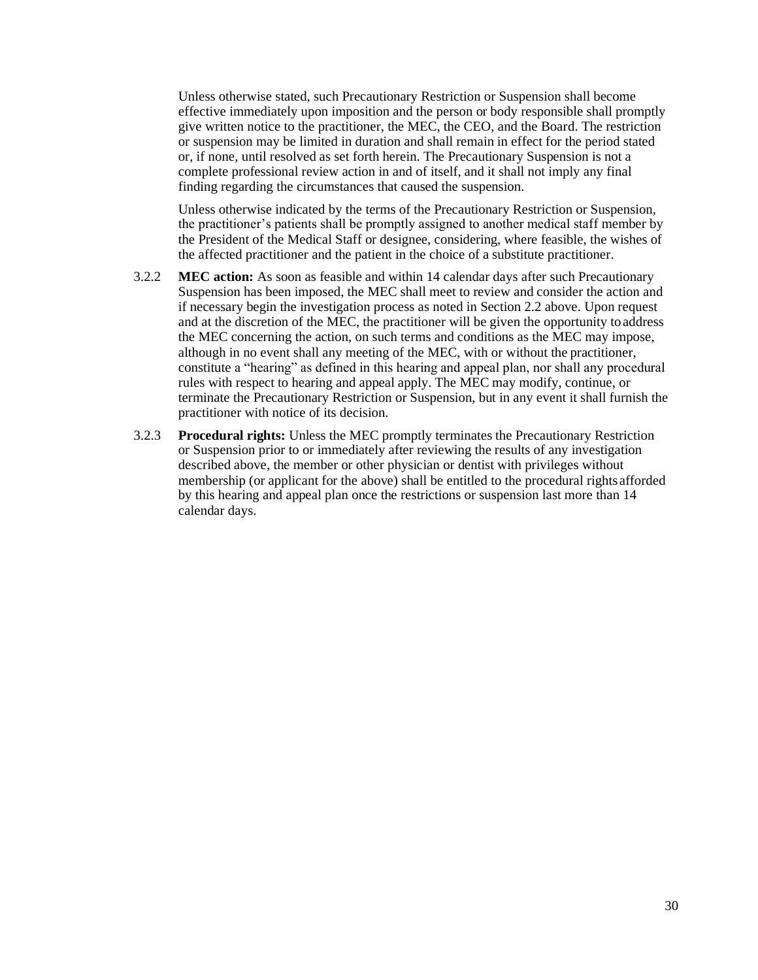Unless otherwise stated, such Precautionary Restriction or Suspension shall become effective immediately upon imposition and the person or body responsible shall promptly give written notice to the practitioner, the MEC, the CEO, and the Board. The restriction or suspension may be limited in duration and shall remain in effect for the period stated or, if none, until resolved as set forth herein. The Precautionary Suspension is not a complete professional review action in and of itself, and it shall not imply any final finding regarding the circumstances that caused the suspension.

Unless otherwise indicated by the terms of the Precautionary Restriction or Suspension, the practitioner's patients shall be promptly assigned to another medical staff member by the President of the Medical Staff or designee, considering, where feasible, the wishes of the affected practitioner and the patient in the choice of a substitute practitioner.

- 3.2.2 **MEC action:** As soon as feasible and within 14 calendar days after such Precautionary Suspension has been imposed, the MEC shall meet to review and consider the action and if necessary begin the investigation process as noted in Section 2.2 above. Upon request and at the discretion of the MEC, the practitioner will be given the opportunity toaddress the MEC concerning the action, on such terms and conditions as the MEC may impose, although in no event shall any meeting of the MEC, with or without the practitioner, constitute a "hearing" as defined in this hearing and appeal plan, nor shall any procedural rules with respect to hearing and appeal apply. The MEC may modify, continue, or terminate the Precautionary Restriction or Suspension, but in any event it shall furnish the practitioner with notice of its decision.
- 3.2.3 **Procedural rights:** Unless the MEC promptly terminates the Precautionary Restriction or Suspension prior to or immediately after reviewing the results of any investigation described above, the member or other physician or dentist with privileges without membership (or applicant for the above) shall be entitled to the procedural rights afforded by this hearing and appeal plan once the restrictions or suspension last more than 14 calendar days.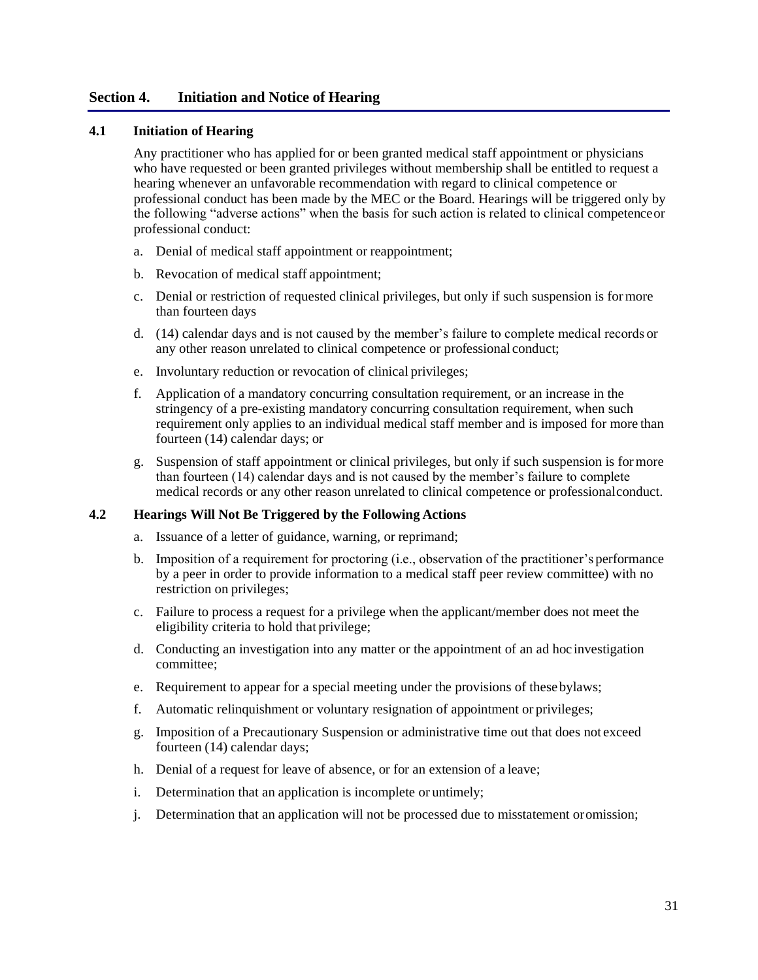# **Section 4. Initiation and Notice of Hearing**

#### **4.1 Initiation of Hearing**

Any practitioner who has applied for or been granted medical staff appointment or physicians who have requested or been granted privileges without membership shall be entitled to request a hearing whenever an unfavorable recommendation with regard to clinical competence or professional conduct has been made by the MEC or the Board. Hearings will be triggered only by the following "adverse actions" when the basis for such action is related to clinical competenceor professional conduct:

- a. Denial of medical staff appointment or reappointment;
- b. Revocation of medical staff appointment;
- c. Denial or restriction of requested clinical privileges, but only if such suspension is formore than fourteen days
- d. (14) calendar days and is not caused by the member's failure to complete medical records or any other reason unrelated to clinical competence or professional conduct;
- e. Involuntary reduction or revocation of clinical privileges;
- f. Application of a mandatory concurring consultation requirement, or an increase in the stringency of a pre-existing mandatory concurring consultation requirement, when such requirement only applies to an individual medical staff member and is imposed for more than fourteen (14) calendar days; or
- g. Suspension of staff appointment or clinical privileges, but only if such suspension is formore than fourteen (14) calendar days and is not caused by the member's failure to complete medical records or any other reason unrelated to clinical competence or professionalconduct.

## **4.2 Hearings Will Not Be Triggered by the Following Actions**

- a. Issuance of a letter of guidance, warning, or reprimand;
- b. Imposition of a requirement for proctoring (i.e., observation of the practitioner's performance by a peer in order to provide information to a medical staff peer review committee) with no restriction on privileges;
- c. Failure to process a request for a privilege when the applicant/member does not meet the eligibility criteria to hold that privilege;
- d. Conducting an investigation into any matter or the appointment of an ad hoc investigation committee;
- e. Requirement to appear for a special meeting under the provisions of thesebylaws;
- f. Automatic relinquishment or voluntary resignation of appointment or privileges;
- g. Imposition of a Precautionary Suspension or administrative time out that does not exceed fourteen (14) calendar days;
- h. Denial of a request for leave of absence, or for an extension of a leave;
- i. Determination that an application is incomplete or untimely;
- j. Determination that an application will not be processed due to misstatement oromission;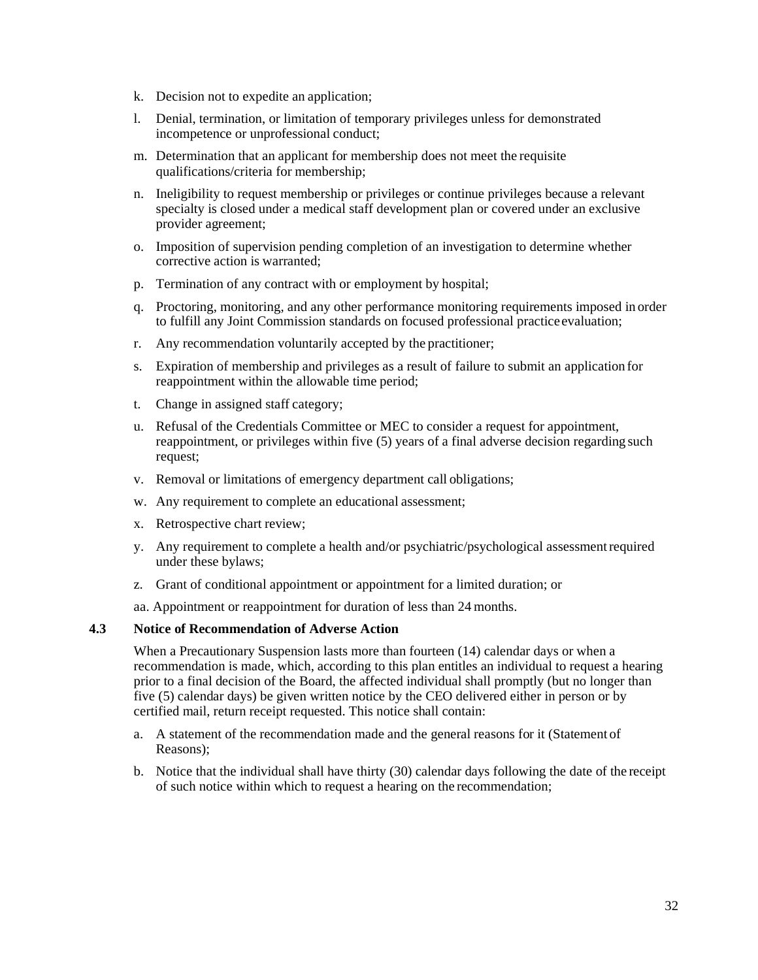- k. Decision not to expedite an application;
- l. Denial, termination, or limitation of temporary privileges unless for demonstrated incompetence or unprofessional conduct;
- m. Determination that an applicant for membership does not meet the requisite qualifications/criteria for membership;
- n. Ineligibility to request membership or privileges or continue privileges because a relevant specialty is closed under a medical staff development plan or covered under an exclusive provider agreement;
- o. Imposition of supervision pending completion of an investigation to determine whether corrective action is warranted;
- p. Termination of any contract with or employment by hospital;
- q. Proctoring, monitoring, and any other performance monitoring requirements imposed in order to fulfill any Joint Commission standards on focused professional practiceevaluation;
- r. Any recommendation voluntarily accepted by the practitioner;
- s. Expiration of membership and privileges as a result of failure to submit an application for reappointment within the allowable time period;
- t. Change in assigned staff category;
- u. Refusal of the Credentials Committee or MEC to consider a request for appointment, reappointment, or privileges within five (5) years of a final adverse decision regarding such request;
- v. Removal or limitations of emergency department call obligations;
- w. Any requirement to complete an educational assessment;
- x. Retrospective chart review;
- y. Any requirement to complete a health and/or psychiatric/psychological assessmentrequired under these bylaws;
- z. Grant of conditional appointment or appointment for a limited duration; or
- aa. Appointment or reappointment for duration of less than 24 months.

#### **4.3 Notice of Recommendation of Adverse Action**

When a Precautionary Suspension lasts more than fourteen (14) calendar days or when a recommendation is made, which, according to this plan entitles an individual to request a hearing prior to a final decision of the Board, the affected individual shall promptly (but no longer than five (5) calendar days) be given written notice by the CEO delivered either in person or by certified mail, return receipt requested. This notice shall contain:

- a. A statement of the recommendation made and the general reasons for it (Statement of Reasons);
- b. Notice that the individual shall have thirty (30) calendar days following the date of the receipt of such notice within which to request a hearing on the recommendation;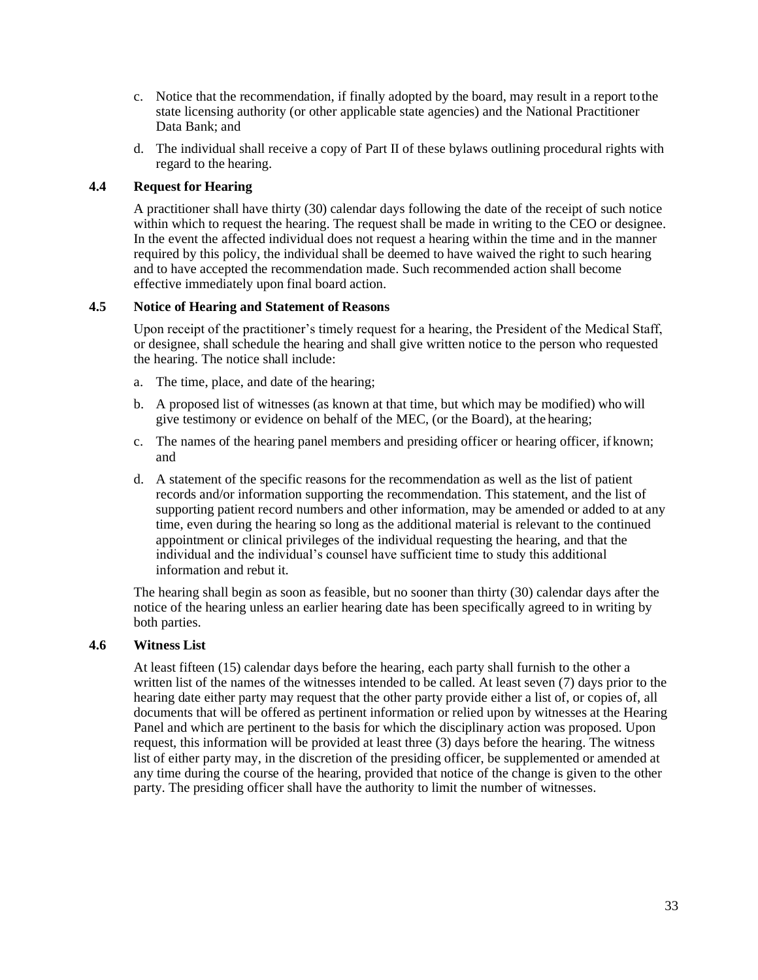- c. Notice that the recommendation, if finally adopted by the board, may result in a report tothe state licensing authority (or other applicable state agencies) and the National Practitioner Data Bank; and
- d. The individual shall receive a copy of Part II of these bylaws outlining procedural rights with regard to the hearing.

#### **4.4 Request for Hearing**

A practitioner shall have thirty (30) calendar days following the date of the receipt of such notice within which to request the hearing. The request shall be made in writing to the CEO or designee. In the event the affected individual does not request a hearing within the time and in the manner required by this policy, the individual shall be deemed to have waived the right to such hearing and to have accepted the recommendation made. Such recommended action shall become effective immediately upon final board action.

#### **4.5 Notice of Hearing and Statement of Reasons**

Upon receipt of the practitioner's timely request for a hearing, the President of the Medical Staff, or designee, shall schedule the hearing and shall give written notice to the person who requested the hearing. The notice shall include:

- a. The time, place, and date of the hearing;
- b. A proposed list of witnesses (as known at that time, but which may be modified) who will give testimony or evidence on behalf of the MEC, (or the Board), at the hearing;
- c. The names of the hearing panel members and presiding officer or hearing officer, if known; and
- d. A statement of the specific reasons for the recommendation as well as the list of patient records and/or information supporting the recommendation. This statement, and the list of supporting patient record numbers and other information, may be amended or added to at any time, even during the hearing so long as the additional material is relevant to the continued appointment or clinical privileges of the individual requesting the hearing, and that the individual and the individual's counsel have sufficient time to study this additional information and rebut it.

The hearing shall begin as soon as feasible, but no sooner than thirty (30) calendar days after the notice of the hearing unless an earlier hearing date has been specifically agreed to in writing by both parties.

#### **4.6 Witness List**

At least fifteen (15) calendar days before the hearing, each party shall furnish to the other a written list of the names of the witnesses intended to be called. At least seven (7) days prior to the hearing date either party may request that the other party provide either a list of, or copies of, all documents that will be offered as pertinent information or relied upon by witnesses at the Hearing Panel and which are pertinent to the basis for which the disciplinary action was proposed. Upon request, this information will be provided at least three (3) days before the hearing. The witness list of either party may, in the discretion of the presiding officer, be supplemented or amended at any time during the course of the hearing, provided that notice of the change is given to the other party. The presiding officer shall have the authority to limit the number of witnesses.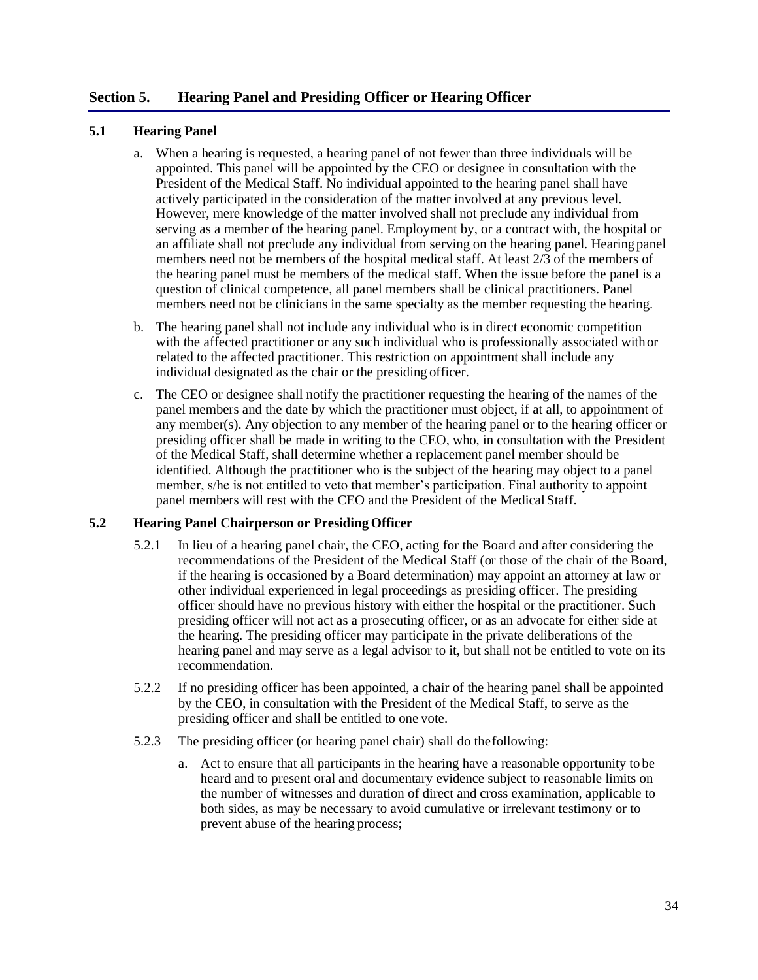# **Section 5. Hearing Panel and Presiding Officer or Hearing Officer**

#### **5.1 Hearing Panel**

- a. When a hearing is requested, a hearing panel of not fewer than three individuals will be appointed. This panel will be appointed by the CEO or designee in consultation with the President of the Medical Staff. No individual appointed to the hearing panel shall have actively participated in the consideration of the matter involved at any previous level. However, mere knowledge of the matter involved shall not preclude any individual from serving as a member of the hearing panel. Employment by, or a contract with, the hospital or an affiliate shall not preclude any individual from serving on the hearing panel. Hearingpanel members need not be members of the hospital medical staff. At least 2/3 of the members of the hearing panel must be members of the medical staff. When the issue before the panel is a question of clinical competence, all panel members shall be clinical practitioners. Panel members need not be clinicians in the same specialty as the member requesting the hearing.
- b. The hearing panel shall not include any individual who is in direct economic competition with the affected practitioner or any such individual who is professionally associated withor related to the affected practitioner. This restriction on appointment shall include any individual designated as the chair or the presiding officer.
- c. The CEO or designee shall notify the practitioner requesting the hearing of the names of the panel members and the date by which the practitioner must object, if at all, to appointment of any member(s). Any objection to any member of the hearing panel or to the hearing officer or presiding officer shall be made in writing to the CEO, who, in consultation with the President of the Medical Staff, shall determine whether a replacement panel member should be identified. Although the practitioner who is the subject of the hearing may object to a panel member, s/he is not entitled to veto that member's participation. Final authority to appoint panel members will rest with the CEO and the President of the Medical Staff.

## **5.2 Hearing Panel Chairperson or Presiding Officer**

- 5.2.1 In lieu of a hearing panel chair, the CEO, acting for the Board and after considering the recommendations of the President of the Medical Staff (or those of the chair of the Board, if the hearing is occasioned by a Board determination) may appoint an attorney at law or other individual experienced in legal proceedings as presiding officer. The presiding officer should have no previous history with either the hospital or the practitioner. Such presiding officer will not act as a prosecuting officer, or as an advocate for either side at the hearing. The presiding officer may participate in the private deliberations of the hearing panel and may serve as a legal advisor to it, but shall not be entitled to vote on its recommendation.
- 5.2.2 If no presiding officer has been appointed, a chair of the hearing panel shall be appointed by the CEO, in consultation with the President of the Medical Staff, to serve as the presiding officer and shall be entitled to one vote.
- 5.2.3 The presiding officer (or hearing panel chair) shall do thefollowing:
	- a. Act to ensure that all participants in the hearing have a reasonable opportunity to be heard and to present oral and documentary evidence subject to reasonable limits on the number of witnesses and duration of direct and cross examination, applicable to both sides, as may be necessary to avoid cumulative or irrelevant testimony or to prevent abuse of the hearing process;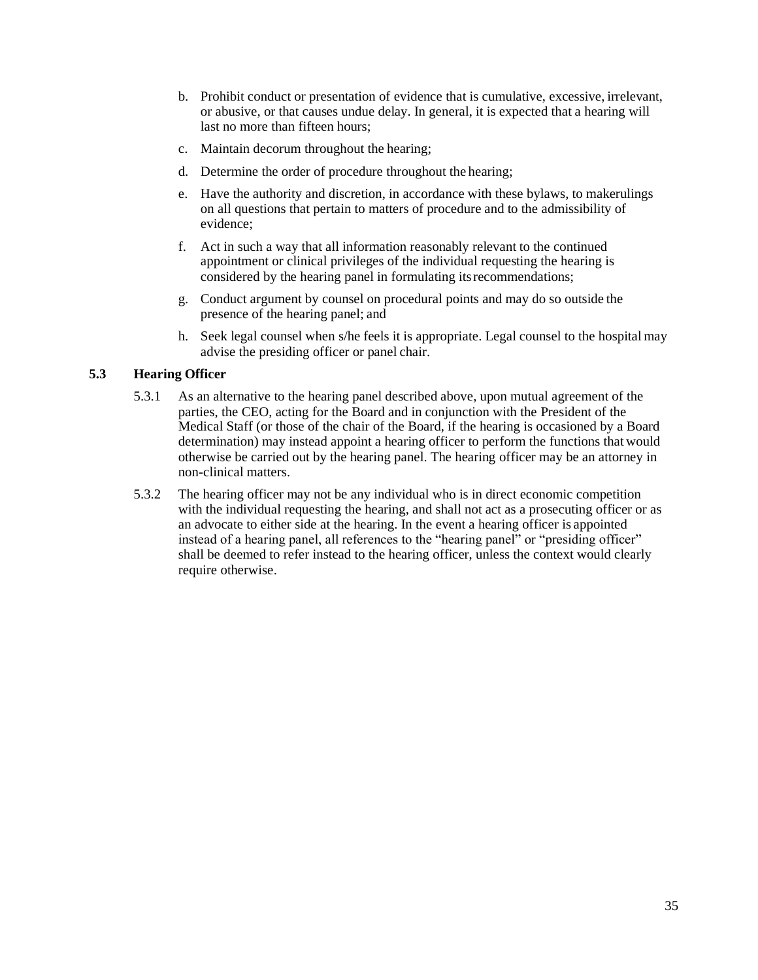- b. Prohibit conduct or presentation of evidence that is cumulative, excessive, irrelevant, or abusive, or that causes undue delay. In general, it is expected that a hearing will last no more than fifteen hours;
- c. Maintain decorum throughout the hearing;
- d. Determine the order of procedure throughout the hearing;
- e. Have the authority and discretion, in accordance with these bylaws, to makerulings on all questions that pertain to matters of procedure and to the admissibility of evidence;
- f. Act in such a way that all information reasonably relevant to the continued appointment or clinical privileges of the individual requesting the hearing is considered by the hearing panel in formulating itsrecommendations;
- g. Conduct argument by counsel on procedural points and may do so outside the presence of the hearing panel; and
- h. Seek legal counsel when s/he feels it is appropriate. Legal counsel to the hospital may advise the presiding officer or panel chair.

# **5.3 Hearing Officer**

- 5.3.1 As an alternative to the hearing panel described above, upon mutual agreement of the parties, the CEO, acting for the Board and in conjunction with the President of the Medical Staff (or those of the chair of the Board, if the hearing is occasioned by a Board determination) may instead appoint a hearing officer to perform the functions that would otherwise be carried out by the hearing panel. The hearing officer may be an attorney in non-clinical matters.
- 5.3.2 The hearing officer may not be any individual who is in direct economic competition with the individual requesting the hearing, and shall not act as a prosecuting officer or as an advocate to either side at the hearing. In the event a hearing officer is appointed instead of a hearing panel, all references to the "hearing panel" or "presiding officer" shall be deemed to refer instead to the hearing officer, unless the context would clearly require otherwise.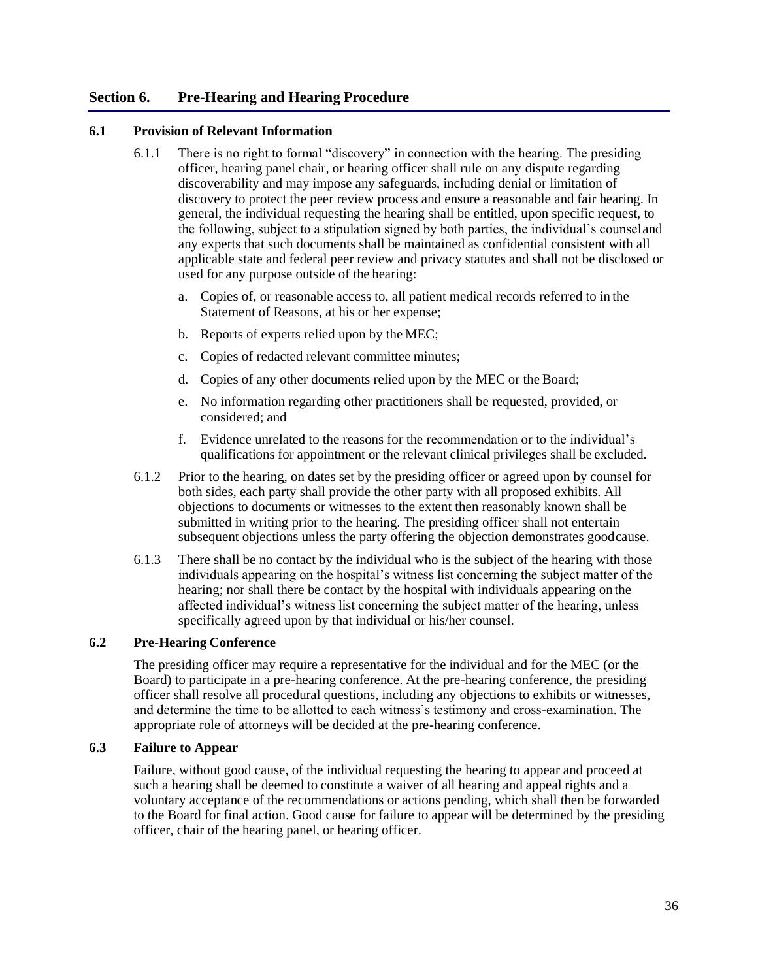# **Section 6. Pre-Hearing and Hearing Procedure**

#### **6.1 Provision of Relevant Information**

- 6.1.1 There is no right to formal "discovery" in connection with the hearing. The presiding officer, hearing panel chair, or hearing officer shall rule on any dispute regarding discoverability and may impose any safeguards, including denial or limitation of discovery to protect the peer review process and ensure a reasonable and fair hearing. In general, the individual requesting the hearing shall be entitled, upon specific request, to the following, subject to a stipulation signed by both parties, the individual's counseland any experts that such documents shall be maintained as confidential consistent with all applicable state and federal peer review and privacy statutes and shall not be disclosed or used for any purpose outside of the hearing:
	- a. Copies of, or reasonable access to, all patient medical records referred to in the Statement of Reasons, at his or her expense;
	- b. Reports of experts relied upon by the MEC;
	- c. Copies of redacted relevant committee minutes;
	- d. Copies of any other documents relied upon by the MEC or the Board;
	- e. No information regarding other practitioners shall be requested, provided, or considered; and
	- f. Evidence unrelated to the reasons for the recommendation or to the individual's qualifications for appointment or the relevant clinical privileges shall be excluded.
- 6.1.2 Prior to the hearing, on dates set by the presiding officer or agreed upon by counsel for both sides, each party shall provide the other party with all proposed exhibits. All objections to documents or witnesses to the extent then reasonably known shall be submitted in writing prior to the hearing. The presiding officer shall not entertain subsequent objections unless the party offering the objection demonstrates goodcause.
- 6.1.3 There shall be no contact by the individual who is the subject of the hearing with those individuals appearing on the hospital's witness list concerning the subject matter of the hearing; nor shall there be contact by the hospital with individuals appearing on the affected individual's witness list concerning the subject matter of the hearing, unless specifically agreed upon by that individual or his/her counsel.

# **6.2 Pre-Hearing Conference**

The presiding officer may require a representative for the individual and for the MEC (or the Board) to participate in a pre-hearing conference. At the pre-hearing conference, the presiding officer shall resolve all procedural questions, including any objections to exhibits or witnesses, and determine the time to be allotted to each witness's testimony and cross-examination. The appropriate role of attorneys will be decided at the pre-hearing conference.

#### **6.3 Failure to Appear**

Failure, without good cause, of the individual requesting the hearing to appear and proceed at such a hearing shall be deemed to constitute a waiver of all hearing and appeal rights and a voluntary acceptance of the recommendations or actions pending, which shall then be forwarded to the Board for final action. Good cause for failure to appear will be determined by the presiding officer, chair of the hearing panel, or hearing officer.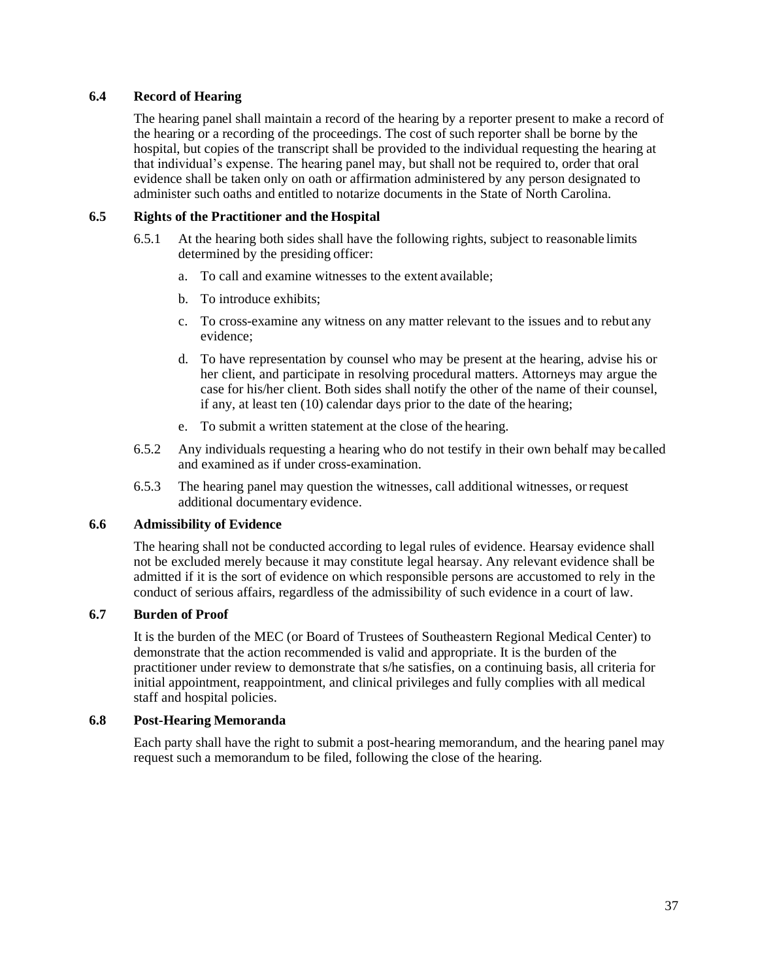# **6.4 Record of Hearing**

The hearing panel shall maintain a record of the hearing by a reporter present to make a record of the hearing or a recording of the proceedings. The cost of such reporter shall be borne by the hospital, but copies of the transcript shall be provided to the individual requesting the hearing at that individual's expense. The hearing panel may, but shall not be required to, order that oral evidence shall be taken only on oath or affirmation administered by any person designated to administer such oaths and entitled to notarize documents in the State of North Carolina.

# **6.5 Rights of the Practitioner and the Hospital**

- 6.5.1 At the hearing both sides shall have the following rights, subject to reasonable limits determined by the presiding officer:
	- a. To call and examine witnesses to the extent available;
	- b. To introduce exhibits;
	- c. To cross-examine any witness on any matter relevant to the issues and to rebut any evidence;
	- d. To have representation by counsel who may be present at the hearing, advise his or her client, and participate in resolving procedural matters. Attorneys may argue the case for his/her client. Both sides shall notify the other of the name of their counsel, if any, at least ten (10) calendar days prior to the date of the hearing;
	- e. To submit a written statement at the close of the hearing.
- 6.5.2 Any individuals requesting a hearing who do not testify in their own behalf may be called and examined as if under cross-examination.
- 6.5.3 The hearing panel may question the witnesses, call additional witnesses, orrequest additional documentary evidence.

## **6.6 Admissibility of Evidence**

The hearing shall not be conducted according to legal rules of evidence. Hearsay evidence shall not be excluded merely because it may constitute legal hearsay. Any relevant evidence shall be admitted if it is the sort of evidence on which responsible persons are accustomed to rely in the conduct of serious affairs, regardless of the admissibility of such evidence in a court of law.

# **6.7 Burden of Proof**

It is the burden of the MEC (or Board of Trustees of Southeastern Regional Medical Center) to demonstrate that the action recommended is valid and appropriate. It is the burden of the practitioner under review to demonstrate that s/he satisfies, on a continuing basis, all criteria for initial appointment, reappointment, and clinical privileges and fully complies with all medical staff and hospital policies.

## **6.8 Post-Hearing Memoranda**

Each party shall have the right to submit a post-hearing memorandum, and the hearing panel may request such a memorandum to be filed, following the close of the hearing.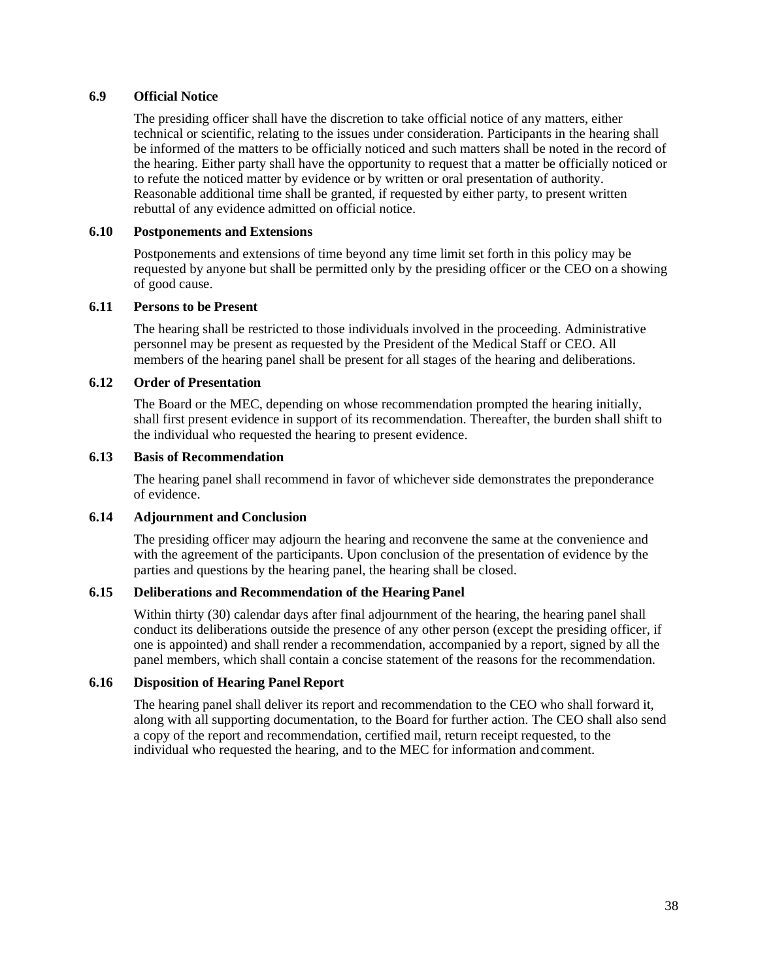#### **6.9 Official Notice**

The presiding officer shall have the discretion to take official notice of any matters, either technical or scientific, relating to the issues under consideration. Participants in the hearing shall be informed of the matters to be officially noticed and such matters shall be noted in the record of the hearing. Either party shall have the opportunity to request that a matter be officially noticed or to refute the noticed matter by evidence or by written or oral presentation of authority. Reasonable additional time shall be granted, if requested by either party, to present written rebuttal of any evidence admitted on official notice.

#### **6.10 Postponements and Extensions**

Postponements and extensions of time beyond any time limit set forth in this policy may be requested by anyone but shall be permitted only by the presiding officer or the CEO on a showing of good cause.

#### **6.11 Persons to be Present**

The hearing shall be restricted to those individuals involved in the proceeding. Administrative personnel may be present as requested by the President of the Medical Staff or CEO. All members of the hearing panel shall be present for all stages of the hearing and deliberations.

#### **6.12 Order of Presentation**

The Board or the MEC, depending on whose recommendation prompted the hearing initially, shall first present evidence in support of its recommendation. Thereafter, the burden shall shift to the individual who requested the hearing to present evidence.

#### **6.13 Basis of Recommendation**

The hearing panel shall recommend in favor of whichever side demonstrates the preponderance of evidence.

# **6.14 Adjournment and Conclusion**

The presiding officer may adjourn the hearing and reconvene the same at the convenience and with the agreement of the participants. Upon conclusion of the presentation of evidence by the parties and questions by the hearing panel, the hearing shall be closed.

# **6.15 Deliberations and Recommendation of the Hearing Panel**

Within thirty (30) calendar days after final adjournment of the hearing, the hearing panel shall conduct its deliberations outside the presence of any other person (except the presiding officer, if one is appointed) and shall render a recommendation, accompanied by a report, signed by all the panel members, which shall contain a concise statement of the reasons for the recommendation.

## **6.16 Disposition of Hearing Panel Report**

The hearing panel shall deliver its report and recommendation to the CEO who shall forward it, along with all supporting documentation, to the Board for further action. The CEO shall also send a copy of the report and recommendation, certified mail, return receipt requested, to the individual who requested the hearing, and to the MEC for information andcomment.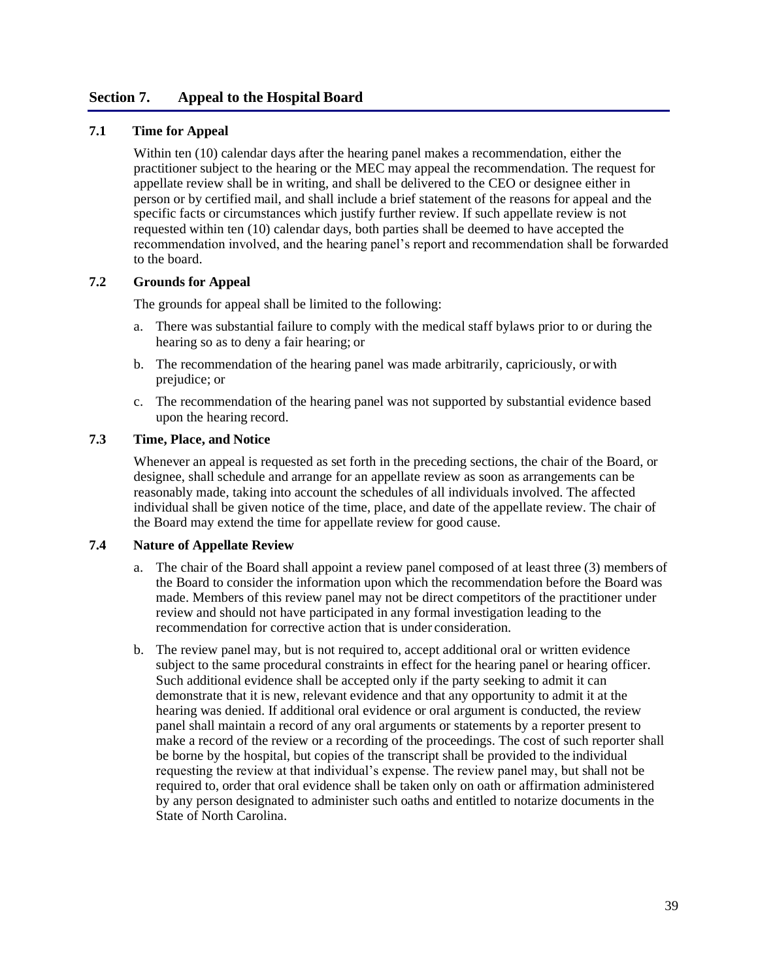# **Section 7. Appeal to the Hospital Board**

## **7.1 Time for Appeal**

Within ten (10) calendar days after the hearing panel makes a recommendation, either the practitioner subject to the hearing or the MEC may appeal the recommendation. The request for appellate review shall be in writing, and shall be delivered to the CEO or designee either in person or by certified mail, and shall include a brief statement of the reasons for appeal and the specific facts or circumstances which justify further review. If such appellate review is not requested within ten (10) calendar days, both parties shall be deemed to have accepted the recommendation involved, and the hearing panel's report and recommendation shall be forwarded to the board.

#### **7.2 Grounds for Appeal**

The grounds for appeal shall be limited to the following:

- a. There was substantial failure to comply with the medical staff bylaws prior to or during the hearing so as to deny a fair hearing; or
- b. The recommendation of the hearing panel was made arbitrarily, capriciously, or with prejudice; or
- c. The recommendation of the hearing panel was not supported by substantial evidence based upon the hearing record.

### **7.3 Time, Place, and Notice**

Whenever an appeal is requested as set forth in the preceding sections, the chair of the Board, or designee, shall schedule and arrange for an appellate review as soon as arrangements can be reasonably made, taking into account the schedules of all individuals involved. The affected individual shall be given notice of the time, place, and date of the appellate review. The chair of the Board may extend the time for appellate review for good cause.

#### **7.4 Nature of Appellate Review**

- a. The chair of the Board shall appoint a review panel composed of at least three (3) members of the Board to consider the information upon which the recommendation before the Board was made. Members of this review panel may not be direct competitors of the practitioner under review and should not have participated in any formal investigation leading to the recommendation for corrective action that is under consideration.
- b. The review panel may, but is not required to, accept additional oral or written evidence subject to the same procedural constraints in effect for the hearing panel or hearing officer. Such additional evidence shall be accepted only if the party seeking to admit it can demonstrate that it is new, relevant evidence and that any opportunity to admit it at the hearing was denied. If additional oral evidence or oral argument is conducted, the review panel shall maintain a record of any oral arguments or statements by a reporter present to make a record of the review or a recording of the proceedings. The cost of such reporter shall be borne by the hospital, but copies of the transcript shall be provided to the individual requesting the review at that individual's expense. The review panel may, but shall not be required to, order that oral evidence shall be taken only on oath or affirmation administered by any person designated to administer such oaths and entitled to notarize documents in the State of North Carolina.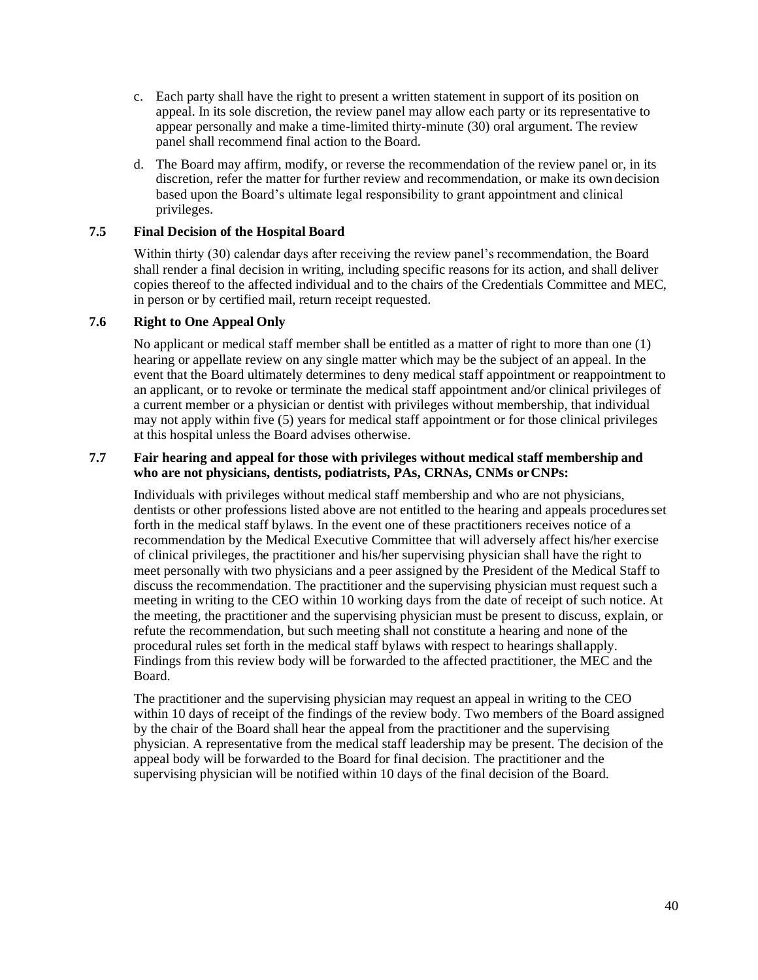- c. Each party shall have the right to present a written statement in support of its position on appeal. In its sole discretion, the review panel may allow each party or its representative to appear personally and make a time-limited thirty-minute (30) oral argument. The review panel shall recommend final action to the Board.
- d. The Board may affirm, modify, or reverse the recommendation of the review panel or, in its discretion, refer the matter for further review and recommendation, or make its own decision based upon the Board's ultimate legal responsibility to grant appointment and clinical privileges.

# **7.5 Final Decision of the Hospital Board**

Within thirty (30) calendar days after receiving the review panel's recommendation, the Board shall render a final decision in writing, including specific reasons for its action, and shall deliver copies thereof to the affected individual and to the chairs of the Credentials Committee and MEC, in person or by certified mail, return receipt requested.

## **7.6 Right to One Appeal Only**

No applicant or medical staff member shall be entitled as a matter of right to more than one (1) hearing or appellate review on any single matter which may be the subject of an appeal. In the event that the Board ultimately determines to deny medical staff appointment or reappointment to an applicant, or to revoke or terminate the medical staff appointment and/or clinical privileges of a current member or a physician or dentist with privileges without membership, that individual may not apply within five (5) years for medical staff appointment or for those clinical privileges at this hospital unless the Board advises otherwise.

## **7.7 Fair hearing and appeal for those with privileges without medical staff membership and who are not physicians, dentists, podiatrists, PAs, CRNAs, CNMs orCNPs:**

Individuals with privileges without medical staff membership and who are not physicians, dentists or other professions listed above are not entitled to the hearing and appeals procedures set forth in the medical staff bylaws. In the event one of these practitioners receives notice of a recommendation by the Medical Executive Committee that will adversely affect his/her exercise of clinical privileges, the practitioner and his/her supervising physician shall have the right to meet personally with two physicians and a peer assigned by the President of the Medical Staff to discuss the recommendation. The practitioner and the supervising physician must request such a meeting in writing to the CEO within 10 working days from the date of receipt of such notice. At the meeting, the practitioner and the supervising physician must be present to discuss, explain, or refute the recommendation, but such meeting shall not constitute a hearing and none of the procedural rules set forth in the medical staff bylaws with respect to hearings shallapply. Findings from this review body will be forwarded to the affected practitioner, the MEC and the Board.

The practitioner and the supervising physician may request an appeal in writing to the CEO within 10 days of receipt of the findings of the review body. Two members of the Board assigned by the chair of the Board shall hear the appeal from the practitioner and the supervising physician. A representative from the medical staff leadership may be present. The decision of the appeal body will be forwarded to the Board for final decision. The practitioner and the supervising physician will be notified within 10 days of the final decision of the Board.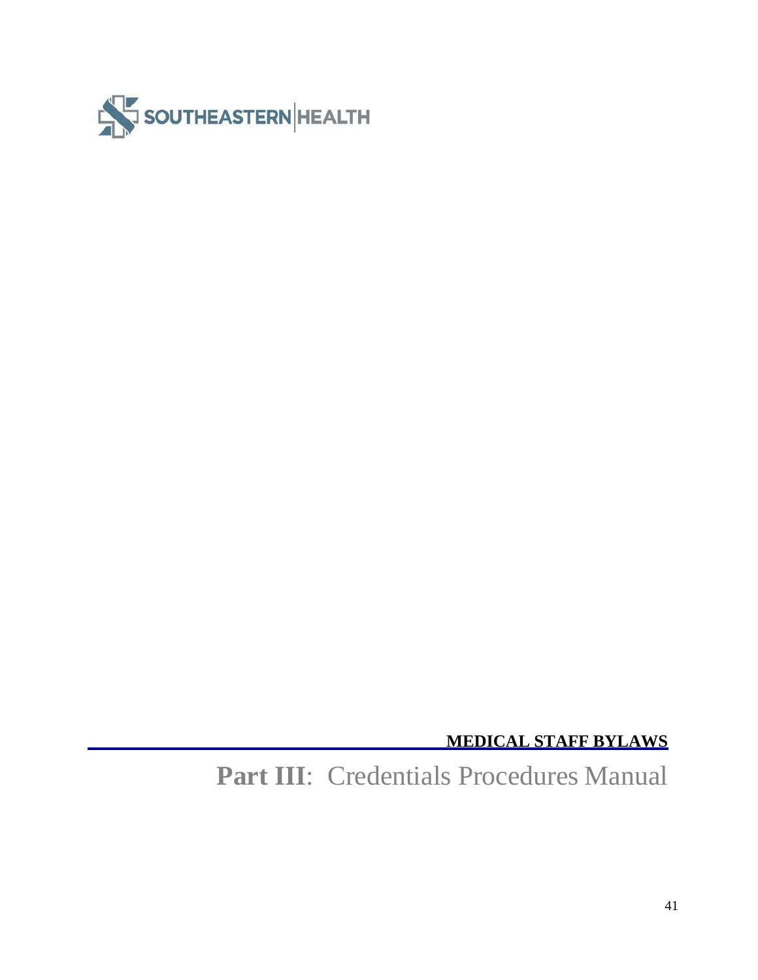

**MEDICAL STAFF BYLAWS**

**Part III**: Credentials Procedures Manual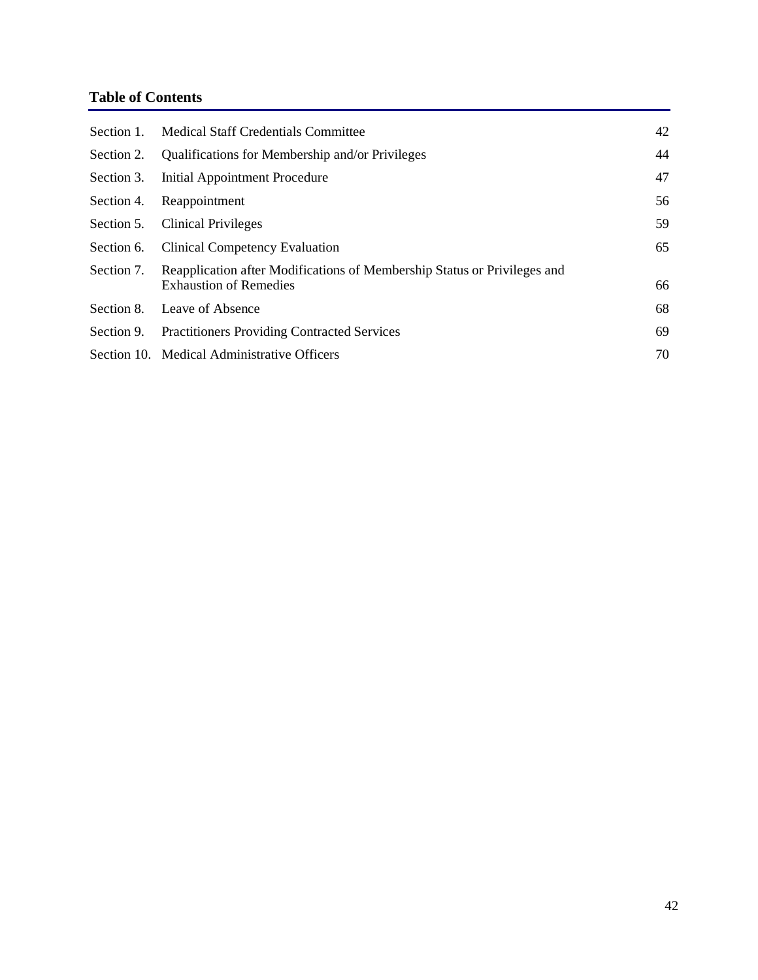# **Table of Contents**

| Section 1. | Medical Staff Credentials Committee                                                                       | 42 |
|------------|-----------------------------------------------------------------------------------------------------------|----|
| Section 2. | Qualifications for Membership and/or Privileges                                                           | 44 |
| Section 3. | Initial Appointment Procedure                                                                             | 47 |
| Section 4. | Reappointment                                                                                             | 56 |
| Section 5. | <b>Clinical Privileges</b>                                                                                | 59 |
| Section 6. | <b>Clinical Competency Evaluation</b>                                                                     | 65 |
| Section 7. | Reapplication after Modifications of Membership Status or Privileges and<br><b>Exhaustion of Remedies</b> | 66 |
|            | Section 8. Leave of Absence                                                                               | 68 |
| Section 9. | <b>Practitioners Providing Contracted Services</b>                                                        | 69 |
|            | Section 10. Medical Administrative Officers                                                               | 70 |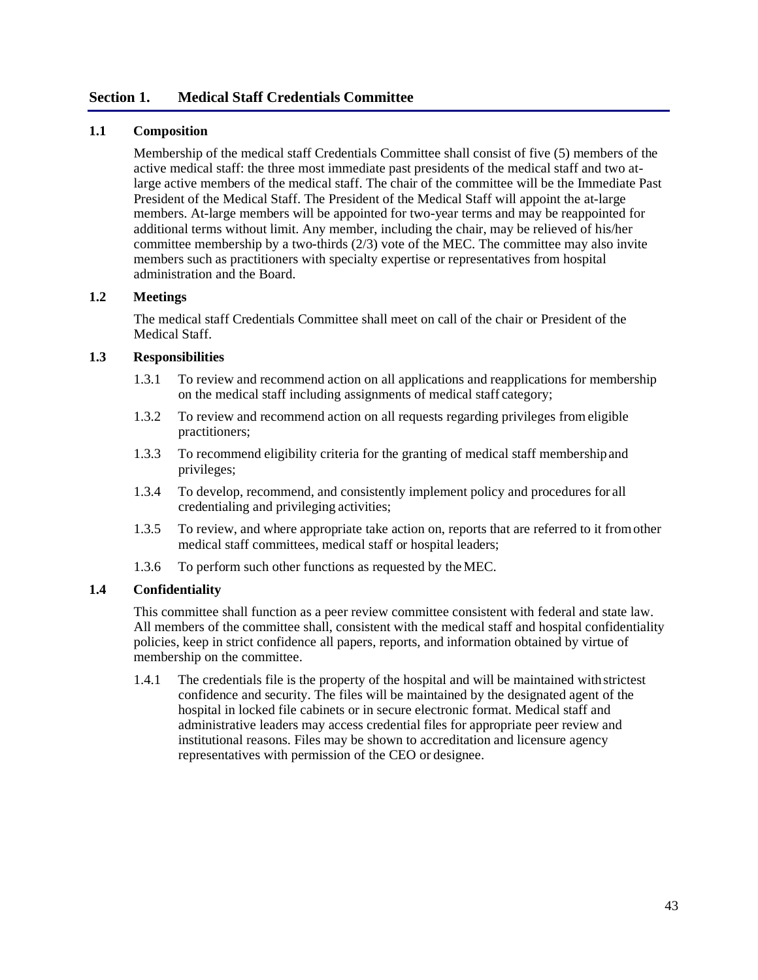# **Section 1. Medical Staff Credentials Committee**

# **1.1 Composition**

Membership of the medical staff Credentials Committee shall consist of five (5) members of the active medical staff: the three most immediate past presidents of the medical staff and two atlarge active members of the medical staff. The chair of the committee will be the Immediate Past President of the Medical Staff. The President of the Medical Staff will appoint the at-large members. At-large members will be appointed for two-year terms and may be reappointed for additional terms without limit. Any member, including the chair, may be relieved of his/her committee membership by a two-thirds  $(2/3)$  vote of the MEC. The committee may also invite members such as practitioners with specialty expertise or representatives from hospital administration and the Board.

# **1.2 Meetings**

The medical staff Credentials Committee shall meet on call of the chair or President of the Medical Staff.

## **1.3 Responsibilities**

- 1.3.1 To review and recommend action on all applications and reapplications for membership on the medical staff including assignments of medical staff category;
- 1.3.2 To review and recommend action on all requests regarding privileges from eligible practitioners;
- 1.3.3 To recommend eligibility criteria for the granting of medical staff membershipand privileges;
- 1.3.4 To develop, recommend, and consistently implement policy and procedures for all credentialing and privileging activities;
- 1.3.5 To review, and where appropriate take action on, reports that are referred to it fromother medical staff committees, medical staff or hospital leaders;
- 1.3.6 To perform such other functions as requested by theMEC.

## **1.4 Confidentiality**

This committee shall function as a peer review committee consistent with federal and state law. All members of the committee shall, consistent with the medical staff and hospital confidentiality policies, keep in strict confidence all papers, reports, and information obtained by virtue of membership on the committee.

1.4.1 The credentials file is the property of the hospital and will be maintained withstrictest confidence and security. The files will be maintained by the designated agent of the hospital in locked file cabinets or in secure electronic format. Medical staff and administrative leaders may access credential files for appropriate peer review and institutional reasons. Files may be shown to accreditation and licensure agency representatives with permission of the CEO or designee.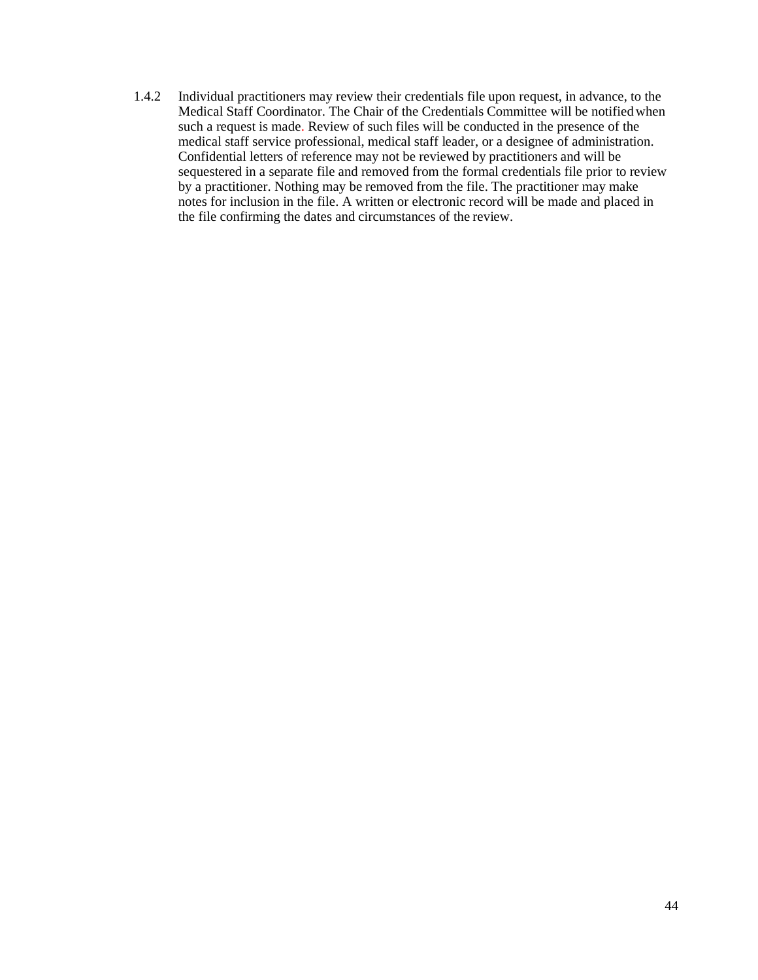1.4.2 Individual practitioners may review their credentials file upon request, in advance, to the Medical Staff Coordinator. The Chair of the Credentials Committee will be notifiedwhen such a request is made. Review of such files will be conducted in the presence of the medical staff service professional, medical staff leader, or a designee of administration. Confidential letters of reference may not be reviewed by practitioners and will be sequestered in a separate file and removed from the formal credentials file prior to review by a practitioner. Nothing may be removed from the file. The practitioner may make notes for inclusion in the file. A written or electronic record will be made and placed in the file confirming the dates and circumstances of the review.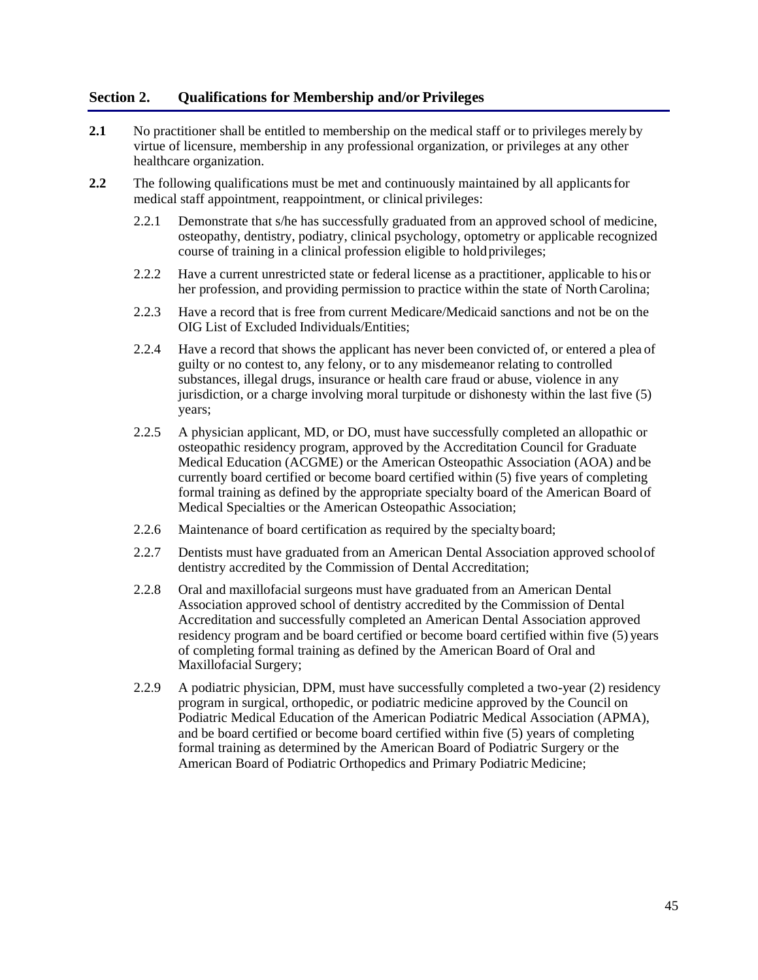# **Section 2. Qualifications for Membership and/or Privileges**

- **2.1** No practitioner shall be entitled to membership on the medical staff or to privileges merely by virtue of licensure, membership in any professional organization, or privileges at any other healthcare organization.
- **2.2** The following qualifications must be met and continuously maintained by all applicants for medical staff appointment, reappointment, or clinical privileges:
	- 2.2.1 Demonstrate that s/he has successfully graduated from an approved school of medicine, osteopathy, dentistry, podiatry, clinical psychology, optometry or applicable recognized course of training in a clinical profession eligible to holdprivileges;
	- 2.2.2 Have a current unrestricted state or federal license as a practitioner, applicable to his or her profession, and providing permission to practice within the state of North Carolina;
	- 2.2.3 Have a record that is free from current Medicare/Medicaid sanctions and not be on the OIG List of Excluded Individuals/Entities;
	- 2.2.4 Have a record that shows the applicant has never been convicted of, or entered a plea of guilty or no contest to, any felony, or to any misdemeanor relating to controlled substances, illegal drugs, insurance or health care fraud or abuse, violence in any jurisdiction, or a charge involving moral turpitude or dishonesty within the last five (5) years;
	- 2.2.5 A physician applicant, MD, or DO, must have successfully completed an allopathic or osteopathic residency program, approved by the Accreditation Council for Graduate Medical Education (ACGME) or the American Osteopathic Association (AOA) and be currently board certified or become board certified within (5) five years of completing formal training as defined by the appropriate specialty board of the American Board of Medical Specialties or the American Osteopathic Association;
	- 2.2.6 Maintenance of board certification as required by the specialty board;
	- 2.2.7 Dentists must have graduated from an American Dental Association approved schoolof dentistry accredited by the Commission of Dental Accreditation;
	- 2.2.8 Oral and maxillofacial surgeons must have graduated from an American Dental Association approved school of dentistry accredited by the Commission of Dental Accreditation and successfully completed an American Dental Association approved residency program and be board certified or become board certified within five (5) years of completing formal training as defined by the American Board of Oral and Maxillofacial Surgery;
	- 2.2.9 A podiatric physician, DPM, must have successfully completed a two-year (2) residency program in surgical, orthopedic, or podiatric medicine approved by the Council on Podiatric Medical Education of the American Podiatric Medical Association (APMA), and be board certified or become board certified within five (5) years of completing formal training as determined by the American Board of Podiatric Surgery or the American Board of Podiatric Orthopedics and Primary Podiatric Medicine;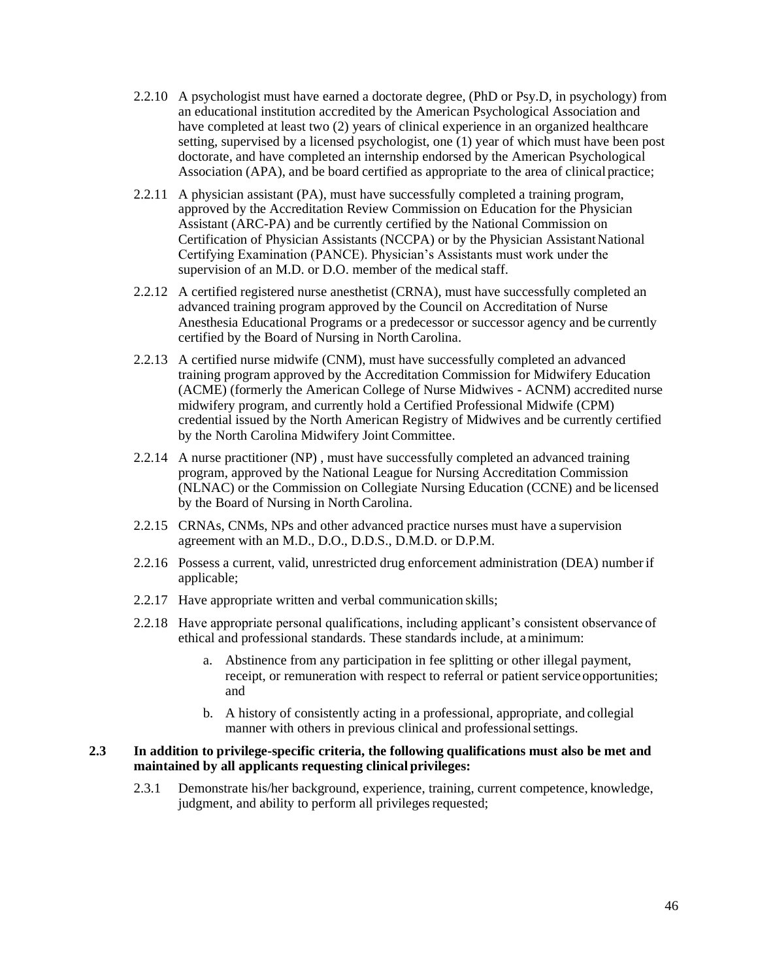- 2.2.10 A psychologist must have earned a doctorate degree, (PhD or Psy.D, in psychology) from an educational institution accredited by the American Psychological Association and have completed at least two (2) years of clinical experience in an organized healthcare setting, supervised by a licensed psychologist, one (1) year of which must have been post doctorate, and have completed an internship endorsed by the American Psychological Association (APA), and be board certified as appropriate to the area of clinical practice;
- 2.2.11 A physician assistant (PA), must have successfully completed a training program, approved by the Accreditation Review Commission on Education for the Physician Assistant (ARC-PA) and be currently certified by the National Commission on Certification of Physician Assistants (NCCPA) or by the Physician Assistant National Certifying Examination (PANCE). Physician's Assistants must work under the supervision of an M.D. or D.O. member of the medical staff.
- 2.2.12 A certified registered nurse anesthetist (CRNA), must have successfully completed an advanced training program approved by the Council on Accreditation of Nurse Anesthesia Educational Programs or a predecessor or successor agency and be currently certified by the Board of Nursing in NorthCarolina.
- 2.2.13 A certified nurse midwife (CNM), must have successfully completed an advanced training program approved by the Accreditation Commission for Midwifery Education (ACME) (formerly the American College of Nurse Midwives - ACNM) accredited nurse midwifery program, and currently hold a Certified Professional Midwife (CPM) credential issued by the North American Registry of Midwives and be currently certified by the North Carolina Midwifery Joint Committee.
- 2.2.14 A nurse practitioner (NP) , must have successfully completed an advanced training program, approved by the National League for Nursing Accreditation Commission (NLNAC) or the Commission on Collegiate Nursing Education (CCNE) and be licensed by the Board of Nursing in North Carolina.
- 2.2.15 CRNAs, CNMs, NPs and other advanced practice nurses must have a supervision agreement with an M.D., D.O., D.D.S., D.M.D. or D.P.M.
- 2.2.16 Possess a current, valid, unrestricted drug enforcement administration (DEA) numberif applicable;
- 2.2.17 Have appropriate written and verbal communication skills;
- 2.2.18 Have appropriate personal qualifications, including applicant's consistent observance of ethical and professional standards. These standards include, at aminimum:
	- a. Abstinence from any participation in fee splitting or other illegal payment, receipt, or remuneration with respect to referral or patient service opportunities; and
	- b. A history of consistently acting in a professional, appropriate, and collegial manner with others in previous clinical and professional settings.

#### **2.3 In addition to privilege-specific criteria, the following qualifications must also be met and maintained by all applicants requesting clinical privileges:**

2.3.1 Demonstrate his/her background, experience, training, current competence, knowledge, judgment, and ability to perform all privileges requested;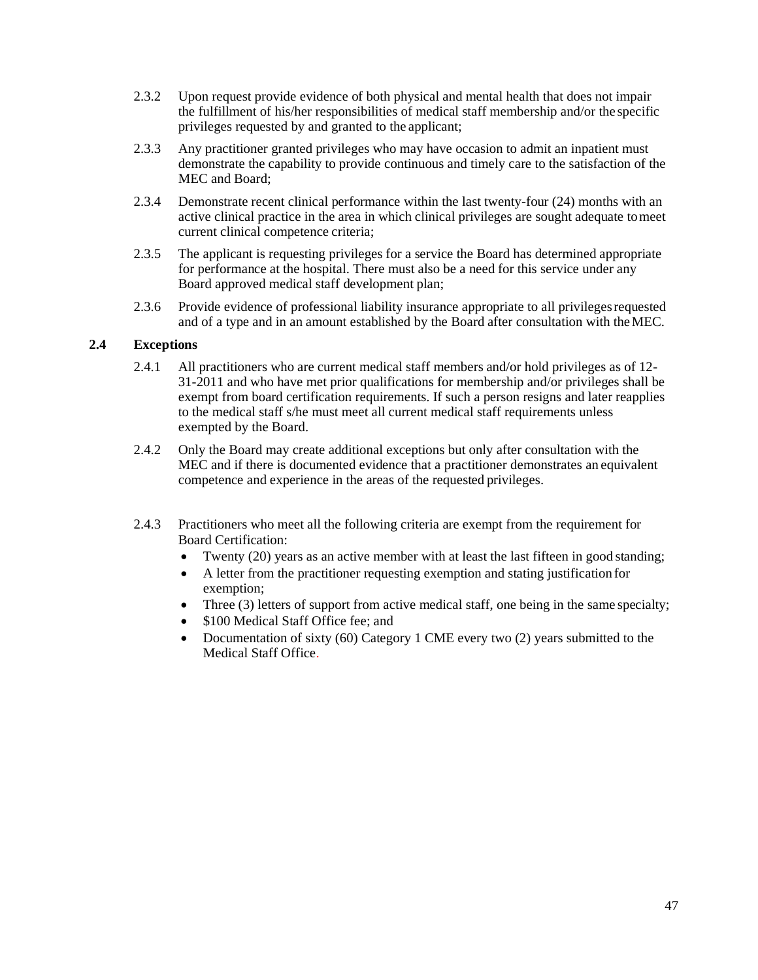- 2.3.2 Upon request provide evidence of both physical and mental health that does not impair the fulfillment of his/her responsibilities of medical staff membership and/or the specific privileges requested by and granted to the applicant;
- 2.3.3 Any practitioner granted privileges who may have occasion to admit an inpatient must demonstrate the capability to provide continuous and timely care to the satisfaction of the MEC and Board;
- 2.3.4 Demonstrate recent clinical performance within the last twenty-four (24) months with an active clinical practice in the area in which clinical privileges are sought adequate tomeet current clinical competence criteria;
- 2.3.5 The applicant is requesting privileges for a service the Board has determined appropriate for performance at the hospital. There must also be a need for this service under any Board approved medical staff development plan;
- 2.3.6 Provide evidence of professional liability insurance appropriate to all privilegesrequested and of a type and in an amount established by the Board after consultation with theMEC.

# **2.4 Exceptions**

- 2.4.1 All practitioners who are current medical staff members and/or hold privileges as of 12- 31-2011 and who have met prior qualifications for membership and/or privileges shall be exempt from board certification requirements. If such a person resigns and later reapplies to the medical staff s/he must meet all current medical staff requirements unless exempted by the Board.
- 2.4.2 Only the Board may create additional exceptions but only after consultation with the MEC and if there is documented evidence that a practitioner demonstrates an equivalent competence and experience in the areas of the requested privileges.
- 2.4.3 Practitioners who meet all the following criteria are exempt from the requirement for Board Certification:
	- Twenty (20) years as an active member with at least the last fifteen in good standing;
	- A letter from the practitioner requesting exemption and stating justification for exemption;
	- Three (3) letters of support from active medical staff, one being in the same specialty;
	- \$100 Medical Staff Office fee: and
	- Documentation of sixty (60) Category 1 CME every two (2) years submitted to the Medical Staff Office.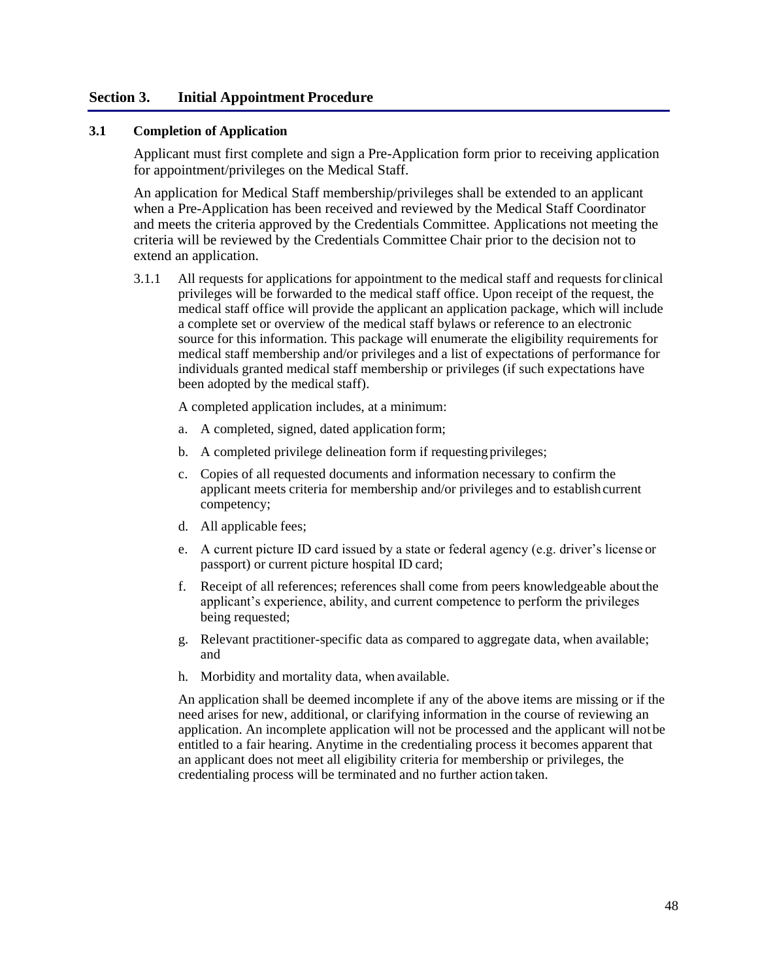## **Section 3. Initial Appointment Procedure**

## **3.1 Completion of Application**

Applicant must first complete and sign a Pre-Application form prior to receiving application for appointment/privileges on the Medical Staff.

An application for Medical Staff membership/privileges shall be extended to an applicant when a Pre-Application has been received and reviewed by the Medical Staff Coordinator and meets the criteria approved by the Credentials Committee. Applications not meeting the criteria will be reviewed by the Credentials Committee Chair prior to the decision not to extend an application.

3.1.1 All requests for applications for appointment to the medical staff and requests for clinical privileges will be forwarded to the medical staff office. Upon receipt of the request, the medical staff office will provide the applicant an application package, which will include a complete set or overview of the medical staff bylaws or reference to an electronic source for this information. This package will enumerate the eligibility requirements for medical staff membership and/or privileges and a list of expectations of performance for individuals granted medical staff membership or privileges (if such expectations have been adopted by the medical staff).

A completed application includes, at a minimum:

- a. A completed, signed, dated application form;
- b. A completed privilege delineation form if requesting privileges;
- c. Copies of all requested documents and information necessary to confirm the applicant meets criteria for membership and/or privileges and to establishcurrent competency;
- d. All applicable fees;
- e. A current picture ID card issued by a state or federal agency (e.g. driver's license or passport) or current picture hospital ID card;
- f. Receipt of all references; references shall come from peers knowledgeable aboutthe applicant's experience, ability, and current competence to perform the privileges being requested;
- g. Relevant practitioner-specific data as compared to aggregate data, when available; and
- h. Morbidity and mortality data, when available.

An application shall be deemed incomplete if any of the above items are missing or if the need arises for new, additional, or clarifying information in the course of reviewing an application. An incomplete application will not be processed and the applicant will not be entitled to a fair hearing. Anytime in the credentialing process it becomes apparent that an applicant does not meet all eligibility criteria for membership or privileges, the credentialing process will be terminated and no further action taken.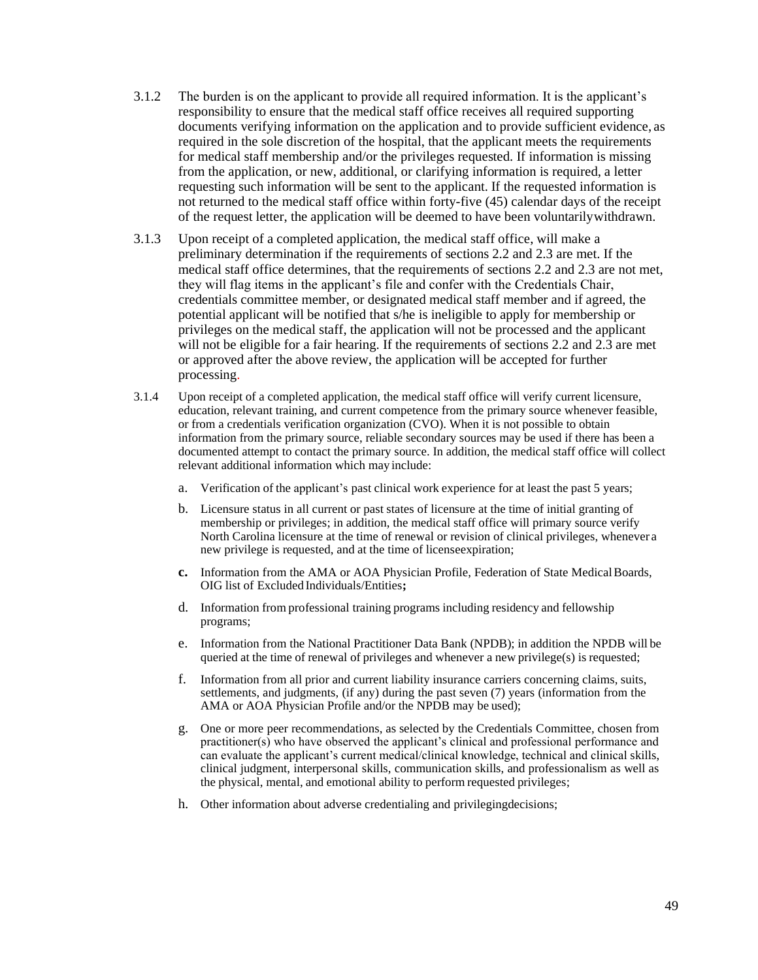- 3.1.2 The burden is on the applicant to provide all required information. It is the applicant's responsibility to ensure that the medical staff office receives all required supporting documents verifying information on the application and to provide sufficient evidence, as required in the sole discretion of the hospital, that the applicant meets the requirements for medical staff membership and/or the privileges requested. If information is missing from the application, or new, additional, or clarifying information is required, a letter requesting such information will be sent to the applicant. If the requested information is not returned to the medical staff office within forty-five (45) calendar days of the receipt of the request letter, the application will be deemed to have been voluntarilywithdrawn.
- 3.1.3 Upon receipt of a completed application, the medical staff office, will make a preliminary determination if the requirements of sections 2.2 and 2.3 are met. If the medical staff office determines, that the requirements of sections 2.2 and 2.3 are not met, they will flag items in the applicant's file and confer with the Credentials Chair, credentials committee member, or designated medical staff member and if agreed, the potential applicant will be notified that s/he is ineligible to apply for membership or privileges on the medical staff, the application will not be processed and the applicant will not be eligible for a fair hearing. If the requirements of sections 2.2 and 2.3 are met or approved after the above review, the application will be accepted for further processing.
- 3.1.4 Upon receipt of a completed application, the medical staff office will verify current licensure, education, relevant training, and current competence from the primary source whenever feasible, or from a credentials verification organization (CVO). When it is not possible to obtain information from the primary source, reliable secondary sources may be used if there has been a documented attempt to contact the primary source. In addition, the medical staff office will collect relevant additional information which may include:
	- a. Verification of the applicant's past clinical work experience for at least the past 5 years;
	- b. Licensure status in all current or past states of licensure at the time of initial granting of membership or privileges; in addition, the medical staff office will primary source verify North Carolina licensure at the time of renewal or revision of clinical privileges, whenever a new privilege is requested, and at the time of licenseexpiration;
	- **c.** Information from the AMA or AOA Physician Profile, Federation of State MedicalBoards, OIG list of Excluded Individuals/Entities**;**
	- d. Information from professional training programs including residency and fellowship programs;
	- e. Information from the National Practitioner Data Bank (NPDB); in addition the NPDB will be queried at the time of renewal of privileges and whenever a new privilege(s) is requested;
	- f. Information from all prior and current liability insurance carriers concerning claims, suits, settlements, and judgments, (if any) during the past seven (7) years (information from the AMA or AOA Physician Profile and/or the NPDB may be used);
	- g. One or more peer recommendations, as selected by the Credentials Committee, chosen from practitioner(s) who have observed the applicant's clinical and professional performance and can evaluate the applicant's current medical/clinical knowledge, technical and clinical skills, clinical judgment, interpersonal skills, communication skills, and professionalism as well as the physical, mental, and emotional ability to perform requested privileges;
	- h. Other information about adverse credentialing and privilegingdecisions;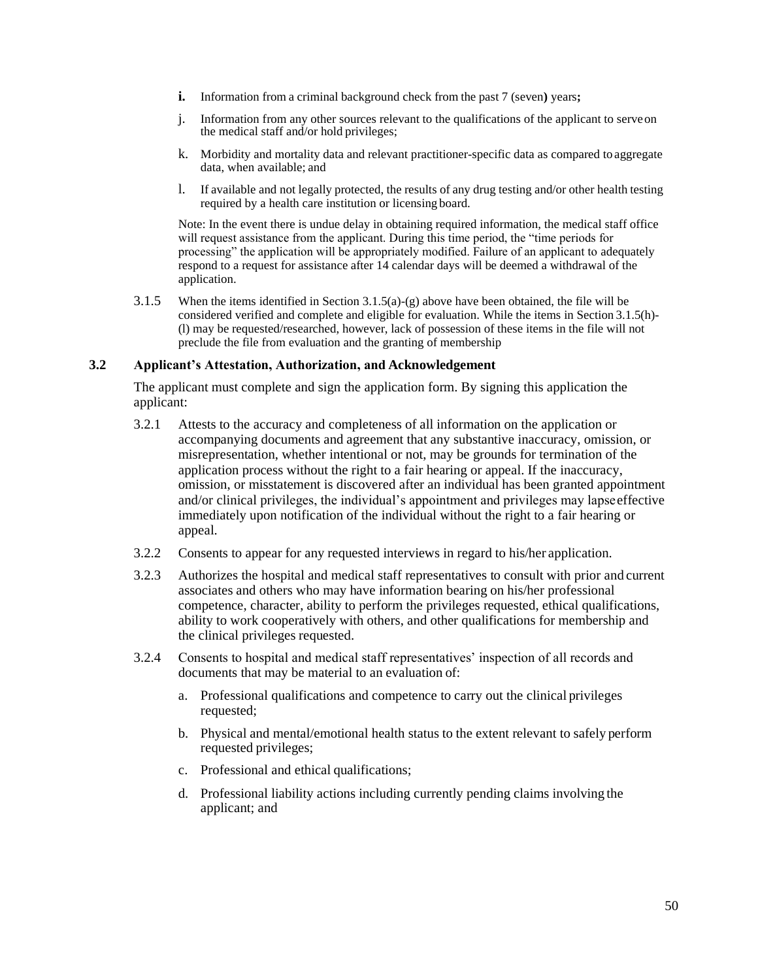- **i.** Information from a criminal background check from the past 7 (seven) years;
- j. Information from any other sources relevant to the qualifications of the applicant to serveon the medical staff and/or hold privileges;
- k. Morbidity and mortality data and relevant practitioner-specific data as compared to aggregate data, when available; and
- l. If available and not legally protected, the results of any drug testing and/or other health testing required by a health care institution or licensing board.

Note: In the event there is undue delay in obtaining required information, the medical staff office will request assistance from the applicant. During this time period, the "time periods for processing" the application will be appropriately modified. Failure of an applicant to adequately respond to a request for assistance after 14 calendar days will be deemed a withdrawal of the application.

3.1.5 When the items identified in Section 3.1.5(a)-(g) above have been obtained, the file will be considered verified and complete and eligible for evaluation. While the items in Section 3.1.5(h)- (l) may be requested/researched, however, lack of possession of these items in the file will not preclude the file from evaluation and the granting of membership

#### **3.2 Applicant's Attestation, Authorization, and Acknowledgement**

The applicant must complete and sign the application form. By signing this application the applicant:

- 3.2.1 Attests to the accuracy and completeness of all information on the application or accompanying documents and agreement that any substantive inaccuracy, omission, or misrepresentation, whether intentional or not, may be grounds for termination of the application process without the right to a fair hearing or appeal. If the inaccuracy, omission, or misstatement is discovered after an individual has been granted appointment and/or clinical privileges, the individual's appointment and privileges may lapseeffective immediately upon notification of the individual without the right to a fair hearing or appeal.
- 3.2.2 Consents to appear for any requested interviews in regard to his/her application.
- 3.2.3 Authorizes the hospital and medical staff representatives to consult with prior and current associates and others who may have information bearing on his/her professional competence, character, ability to perform the privileges requested, ethical qualifications, ability to work cooperatively with others, and other qualifications for membership and the clinical privileges requested.
- 3.2.4 Consents to hospital and medical staff representatives' inspection of all records and documents that may be material to an evaluation of:
	- a. Professional qualifications and competence to carry out the clinical privileges requested;
	- b. Physical and mental/emotional health status to the extent relevant to safely perform requested privileges;
	- c. Professional and ethical qualifications;
	- d. Professional liability actions including currently pending claims involving the applicant; and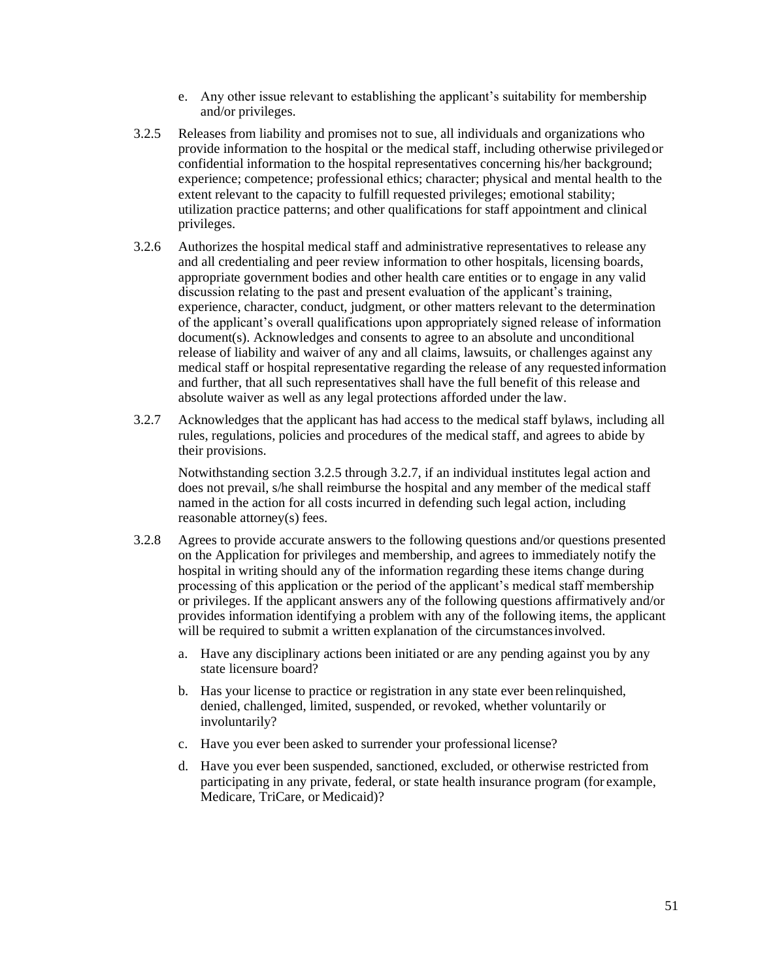- e. Any other issue relevant to establishing the applicant's suitability for membership and/or privileges.
- 3.2.5 Releases from liability and promises not to sue, all individuals and organizations who provide information to the hospital or the medical staff, including otherwise privilegedor confidential information to the hospital representatives concerning his/her background; experience; competence; professional ethics; character; physical and mental health to the extent relevant to the capacity to fulfill requested privileges; emotional stability; utilization practice patterns; and other qualifications for staff appointment and clinical privileges.
- 3.2.6 Authorizes the hospital medical staff and administrative representatives to release any and all credentialing and peer review information to other hospitals, licensing boards, appropriate government bodies and other health care entities or to engage in any valid discussion relating to the past and present evaluation of the applicant's training, experience, character, conduct, judgment, or other matters relevant to the determination of the applicant's overall qualifications upon appropriately signed release of information document(s). Acknowledges and consents to agree to an absolute and unconditional release of liability and waiver of any and all claims, lawsuits, or challenges against any medical staff or hospital representative regarding the release of any requested information and further, that all such representatives shall have the full benefit of this release and absolute waiver as well as any legal protections afforded under the law.
- 3.2.7 Acknowledges that the applicant has had access to the medical staff bylaws, including all rules, regulations, policies and procedures of the medical staff, and agrees to abide by their provisions.

Notwithstanding section 3.2.5 through 3.2.7, if an individual institutes legal action and does not prevail, s/he shall reimburse the hospital and any member of the medical staff named in the action for all costs incurred in defending such legal action, including reasonable attorney(s) fees.

- 3.2.8 Agrees to provide accurate answers to the following questions and/or questions presented on the Application for privileges and membership, and agrees to immediately notify the hospital in writing should any of the information regarding these items change during processing of this application or the period of the applicant's medical staff membership or privileges. If the applicant answers any of the following questions affirmatively and/or provides information identifying a problem with any of the following items, the applicant will be required to submit a written explanation of the circumstancesinvolved.
	- a. Have any disciplinary actions been initiated or are any pending against you by any state licensure board?
	- b. Has your license to practice or registration in any state ever been relinquished, denied, challenged, limited, suspended, or revoked, whether voluntarily or involuntarily?
	- c. Have you ever been asked to surrender your professional license?
	- d. Have you ever been suspended, sanctioned, excluded, or otherwise restricted from participating in any private, federal, or state health insurance program (for example, Medicare, TriCare, or Medicaid)?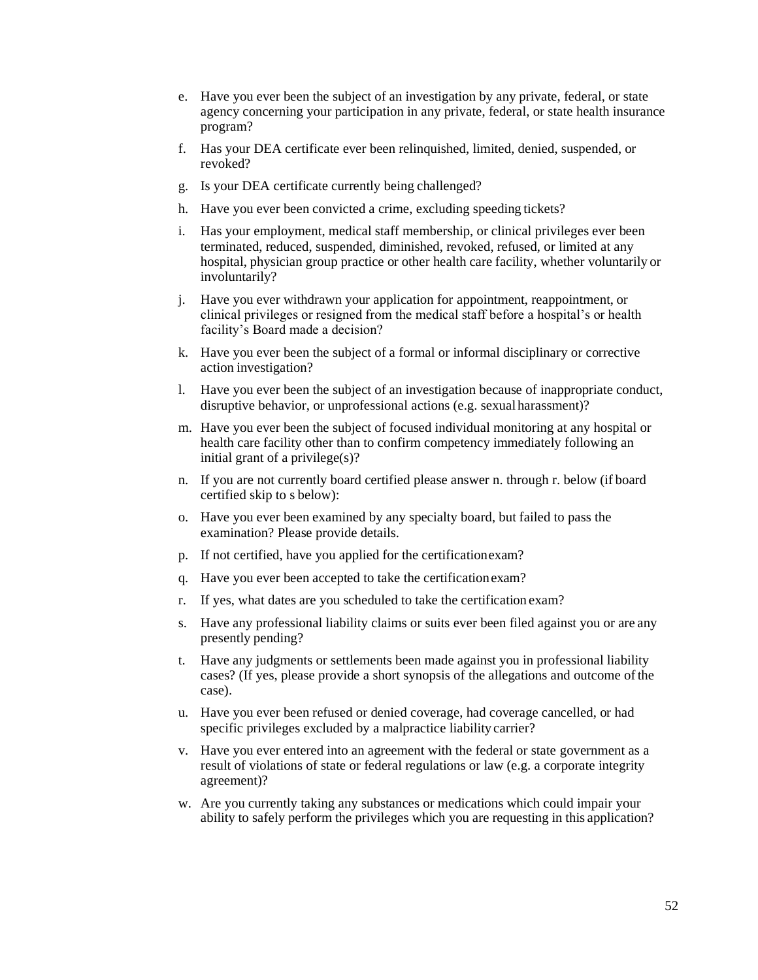- e. Have you ever been the subject of an investigation by any private, federal, or state agency concerning your participation in any private, federal, or state health insurance program?
- f. Has your DEA certificate ever been relinquished, limited, denied, suspended, or revoked?
- g. Is your DEA certificate currently being challenged?
- h. Have you ever been convicted a crime, excluding speeding tickets?
- i. Has your employment, medical staff membership, or clinical privileges ever been terminated, reduced, suspended, diminished, revoked, refused, or limited at any hospital, physician group practice or other health care facility, whether voluntarily or involuntarily?
- j. Have you ever withdrawn your application for appointment, reappointment, or clinical privileges or resigned from the medical staff before a hospital's or health facility's Board made a decision?
- k. Have you ever been the subject of a formal or informal disciplinary or corrective action investigation?
- l. Have you ever been the subject of an investigation because of inappropriate conduct, disruptive behavior, or unprofessional actions (e.g. sexualharassment)?
- m. Have you ever been the subject of focused individual monitoring at any hospital or health care facility other than to confirm competency immediately following an initial grant of a privilege(s)?
- n. If you are not currently board certified please answer n. through r. below (if board certified skip to s below):
- o. Have you ever been examined by any specialty board, but failed to pass the examination? Please provide details.
- p. If not certified, have you applied for the certificationexam?
- q. Have you ever been accepted to take the certificationexam?
- r. If yes, what dates are you scheduled to take the certification exam?
- s. Have any professional liability claims or suits ever been filed against you or are any presently pending?
- t. Have any judgments or settlements been made against you in professional liability cases? (If yes, please provide a short synopsis of the allegations and outcome ofthe case).
- u. Have you ever been refused or denied coverage, had coverage cancelled, or had specific privileges excluded by a malpractice liability carrier?
- v. Have you ever entered into an agreement with the federal or state government as a result of violations of state or federal regulations or law (e.g. a corporate integrity agreement)?
- w. Are you currently taking any substances or medications which could impair your ability to safely perform the privileges which you are requesting in this application?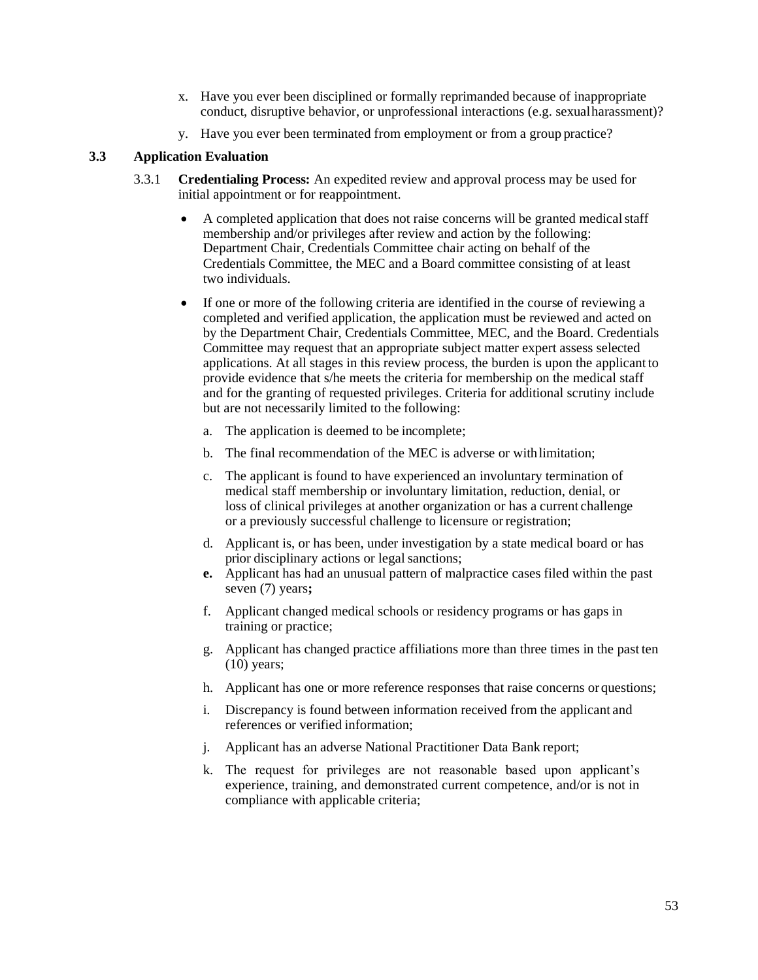- x. Have you ever been disciplined or formally reprimanded because of inappropriate conduct, disruptive behavior, or unprofessional interactions (e.g. sexualharassment)?
- y. Have you ever been terminated from employment or from a group practice?

# **3.3 Application Evaluation**

- 3.3.1 **Credentialing Process:** An expedited review and approval process may be used for initial appointment or for reappointment.
	- A completed application that does not raise concerns will be granted medicalstaff membership and/or privileges after review and action by the following: Department Chair, Credentials Committee chair acting on behalf of the Credentials Committee, the MEC and a Board committee consisting of at least two individuals.
	- If one or more of the following criteria are identified in the course of reviewing a completed and verified application, the application must be reviewed and acted on by the Department Chair, Credentials Committee, MEC, and the Board. Credentials Committee may request that an appropriate subject matter expert assess selected applications. At all stages in this review process, the burden is upon the applicant to provide evidence that s/he meets the criteria for membership on the medical staff and for the granting of requested privileges. Criteria for additional scrutiny include but are not necessarily limited to the following:
		- a. The application is deemed to be incomplete;
		- b. The final recommendation of the MEC is adverse or withlimitation;
		- c. The applicant is found to have experienced an involuntary termination of medical staff membership or involuntary limitation, reduction, denial, or loss of clinical privileges at another organization or has a current challenge or a previously successful challenge to licensure orregistration;
		- d. Applicant is, or has been, under investigation by a state medical board or has prior disciplinary actions or legal sanctions;
		- **e.** Applicant has had an unusual pattern of malpractice cases filed within the past seven (7) years**;**
		- f. Applicant changed medical schools or residency programs or has gaps in training or practice;
		- g. Applicant has changed practice affiliations more than three times in the past ten (10) years;
		- h. Applicant has one or more reference responses that raise concerns orquestions;
		- i. Discrepancy is found between information received from the applicant and references or verified information;
		- j. Applicant has an adverse National Practitioner Data Bank report;
		- k. The request for privileges are not reasonable based upon applicant's experience, training, and demonstrated current competence, and/or is not in compliance with applicable criteria;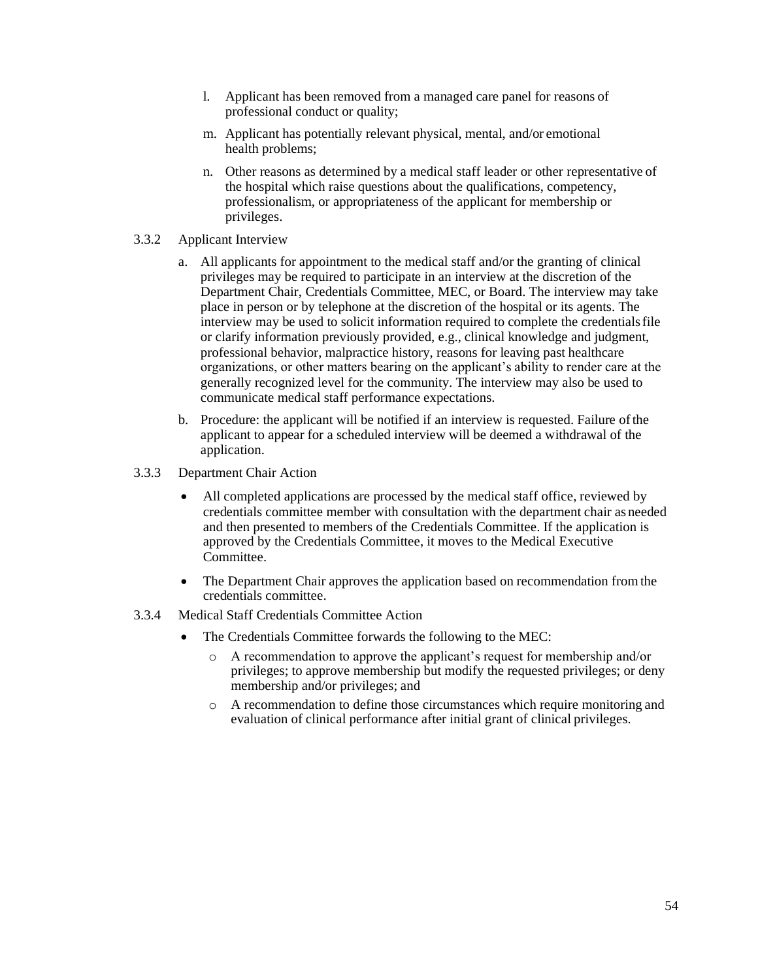- l. Applicant has been removed from a managed care panel for reasons of professional conduct or quality;
- m. Applicant has potentially relevant physical, mental, and/or emotional health problems;
- n. Other reasons as determined by a medical staff leader or other representative of the hospital which raise questions about the qualifications, competency, professionalism, or appropriateness of the applicant for membership or privileges.
- 3.3.2 Applicant Interview
	- a. All applicants for appointment to the medical staff and/or the granting of clinical privileges may be required to participate in an interview at the discretion of the Department Chair, Credentials Committee, MEC, or Board. The interview may take place in person or by telephone at the discretion of the hospital or its agents. The interview may be used to solicit information required to complete the credentialsfile or clarify information previously provided, e.g., clinical knowledge and judgment, professional behavior, malpractice history, reasons for leaving past healthcare organizations, or other matters bearing on the applicant's ability to render care at the generally recognized level for the community. The interview may also be used to communicate medical staff performance expectations.
	- b. Procedure: the applicant will be notified if an interview is requested. Failure ofthe applicant to appear for a scheduled interview will be deemed a withdrawal of the application.
- 3.3.3 Department Chair Action
	- All completed applications are processed by the medical staff office, reviewed by credentials committee member with consultation with the department chair as needed and then presented to members of the Credentials Committee. If the application is approved by the Credentials Committee, it moves to the Medical Executive Committee.
	- The Department Chair approves the application based on recommendation from the credentials committee.
- 3.3.4 Medical Staff Credentials Committee Action
	- The Credentials Committee forwards the following to the MEC:
		- o A recommendation to approve the applicant's request for membership and/or privileges; to approve membership but modify the requested privileges; or deny membership and/or privileges; and
		- o A recommendation to define those circumstances which require monitoring and evaluation of clinical performance after initial grant of clinical privileges.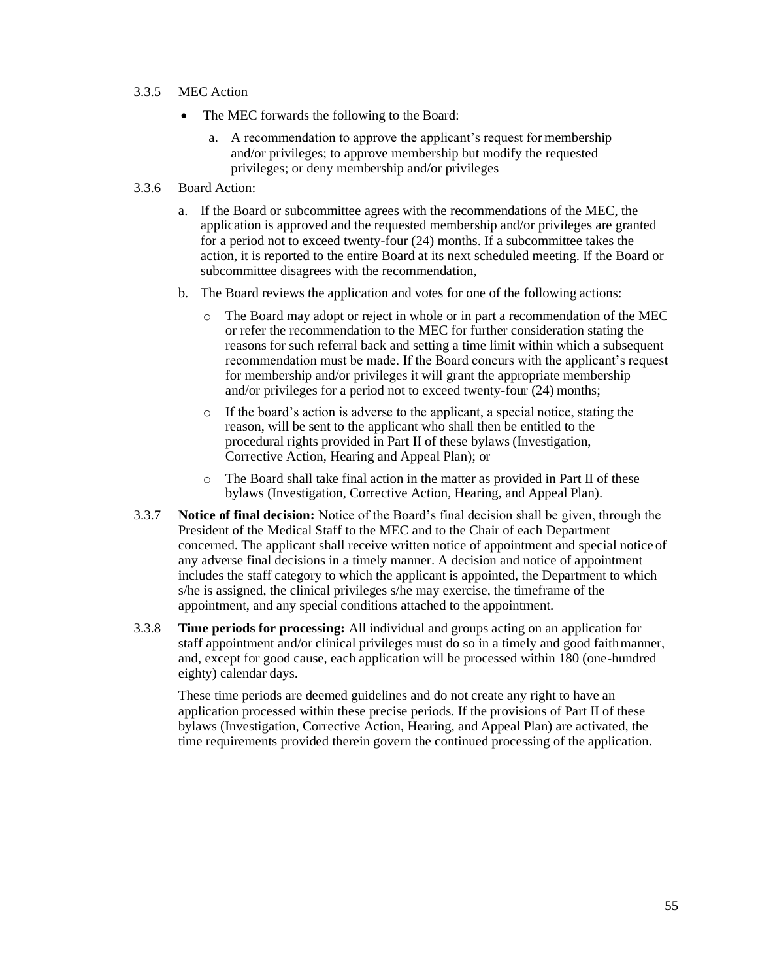- 3.3.5 MEC Action
	- The MEC forwards the following to the Board:
		- a. A recommendation to approve the applicant's request for membership and/or privileges; to approve membership but modify the requested privileges; or deny membership and/or privileges
- 3.3.6 Board Action:
	- a. If the Board or subcommittee agrees with the recommendations of the MEC, the application is approved and the requested membership and/or privileges are granted for a period not to exceed twenty-four (24) months. If a subcommittee takes the action, it is reported to the entire Board at its next scheduled meeting. If the Board or subcommittee disagrees with the recommendation,
	- b. The Board reviews the application and votes for one of the following actions:
		- o The Board may adopt or reject in whole or in part a recommendation of the MEC or refer the recommendation to the MEC for further consideration stating the reasons for such referral back and setting a time limit within which a subsequent recommendation must be made. If the Board concurs with the applicant's request for membership and/or privileges it will grant the appropriate membership and/or privileges for a period not to exceed twenty-four (24) months;
		- o If the board's action is adverse to the applicant, a special notice, stating the reason, will be sent to the applicant who shall then be entitled to the procedural rights provided in Part II of these bylaws (Investigation, Corrective Action, Hearing and Appeal Plan); or
		- o The Board shall take final action in the matter as provided in Part II of these bylaws (Investigation, Corrective Action, Hearing, and Appeal Plan).
- 3.3.7 **Notice of final decision:** Notice of the Board's final decision shall be given, through the President of the Medical Staff to the MEC and to the Chair of each Department concerned. The applicant shall receive written notice of appointment and special notice of any adverse final decisions in a timely manner. A decision and notice of appointment includes the staff category to which the applicant is appointed, the Department to which s/he is assigned, the clinical privileges s/he may exercise, the timeframe of the appointment, and any special conditions attached to the appointment.
- 3.3.8 **Time periods for processing:** All individual and groups acting on an application for staff appointment and/or clinical privileges must do so in a timely and good faithmanner, and, except for good cause, each application will be processed within 180 (one-hundred eighty) calendar days.

These time periods are deemed guidelines and do not create any right to have an application processed within these precise periods. If the provisions of Part II of these bylaws (Investigation, Corrective Action, Hearing, and Appeal Plan) are activated, the time requirements provided therein govern the continued processing of the application.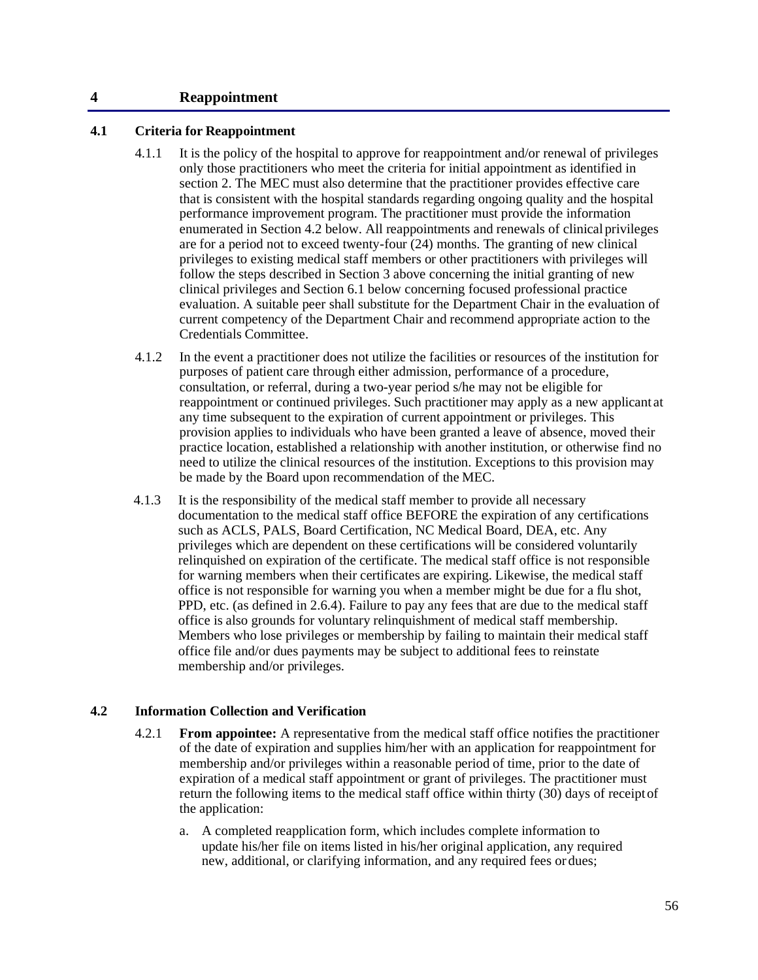#### **4 Reappointment**

#### **4.1 Criteria for Reappointment**

- 4.1.1 It is the policy of the hospital to approve for reappointment and/or renewal of privileges only those practitioners who meet the criteria for initial appointment as identified in section 2. The MEC must also determine that the practitioner provides effective care that is consistent with the hospital standards regarding ongoing quality and the hospital performance improvement program. The practitioner must provide the information enumerated in Section 4.2 below. All reappointments and renewals of clinical privileges are for a period not to exceed twenty-four (24) months. The granting of new clinical privileges to existing medical staff members or other practitioners with privileges will follow the steps described in Section 3 above concerning the initial granting of new clinical privileges and Section 6.1 below concerning focused professional practice evaluation. A suitable peer shall substitute for the Department Chair in the evaluation of current competency of the Department Chair and recommend appropriate action to the Credentials Committee.
- 4.1.2 In the event a practitioner does not utilize the facilities or resources of the institution for purposes of patient care through either admission, performance of a procedure, consultation, or referral, during a two-year period s/he may not be eligible for reappointment or continued privileges. Such practitioner may apply as a new applicant at any time subsequent to the expiration of current appointment or privileges. This provision applies to individuals who have been granted a leave of absence, moved their practice location, established a relationship with another institution, or otherwise find no need to utilize the clinical resources of the institution. Exceptions to this provision may be made by the Board upon recommendation of the MEC.
- 4.1.3 It is the responsibility of the medical staff member to provide all necessary documentation to the medical staff office BEFORE the expiration of any certifications such as ACLS, PALS, Board Certification, NC Medical Board, DEA, etc. Any privileges which are dependent on these certifications will be considered voluntarily relinquished on expiration of the certificate. The medical staff office is not responsible for warning members when their certificates are expiring. Likewise, the medical staff office is not responsible for warning you when a member might be due for a flu shot, PPD, etc. (as defined in 2.6.4). Failure to pay any fees that are due to the medical staff office is also grounds for voluntary relinquishment of medical staff membership. Members who lose privileges or membership by failing to maintain their medical staff office file and/or dues payments may be subject to additional fees to reinstate membership and/or privileges.

#### **4.2 Information Collection and Verification**

- 4.2.1 **From appointee:** A representative from the medical staff office notifies the practitioner of the date of expiration and supplies him/her with an application for reappointment for membership and/or privileges within a reasonable period of time, prior to the date of expiration of a medical staff appointment or grant of privileges. The practitioner must return the following items to the medical staff office within thirty (30) days of receiptof the application:
	- a. A completed reapplication form, which includes complete information to update his/her file on items listed in his/her original application, any required new, additional, or clarifying information, and any required fees or dues;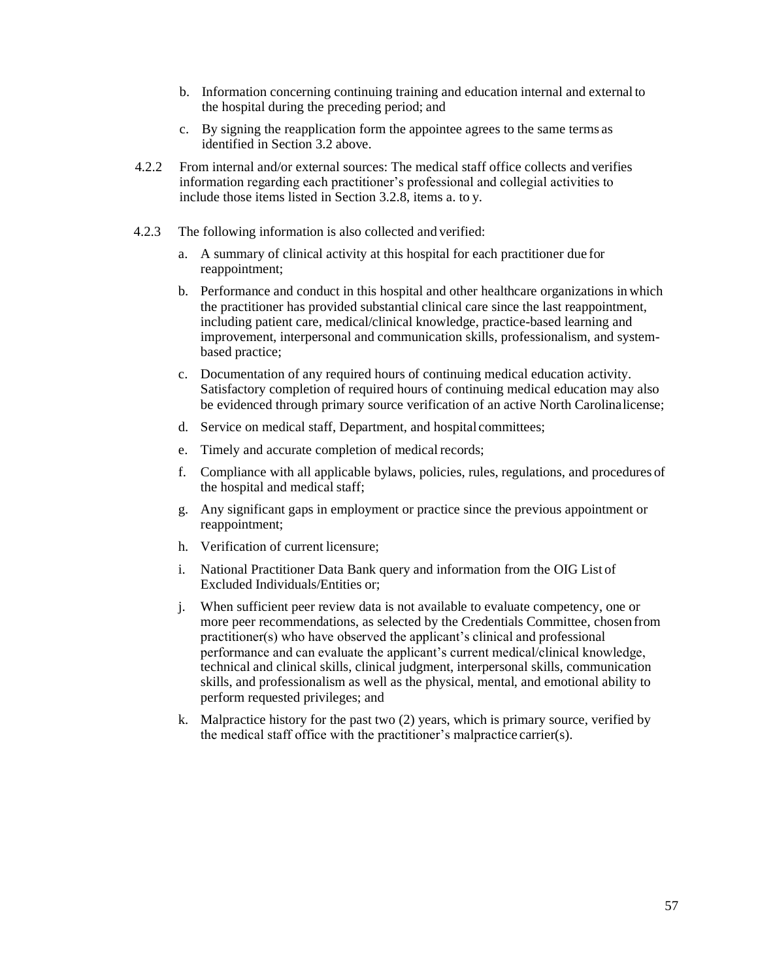- b. Information concerning continuing training and education internal and external to the hospital during the preceding period; and
- c. By signing the reapplication form the appointee agrees to the same terms as identified in Section 3.2 above.
- 4.2.2 From internal and/or external sources: The medical staff office collects and verifies information regarding each practitioner's professional and collegial activities to include those items listed in Section 3.2.8, items a. to y.
- 4.2.3 The following information is also collected and verified:
	- a. A summary of clinical activity at this hospital for each practitioner due for reappointment;
	- b. Performance and conduct in this hospital and other healthcare organizations in which the practitioner has provided substantial clinical care since the last reappointment, including patient care, medical/clinical knowledge, practice-based learning and improvement, interpersonal and communication skills, professionalism, and systembased practice;
	- c. Documentation of any required hours of continuing medical education activity. Satisfactory completion of required hours of continuing medical education may also be evidenced through primary source verification of an active North Carolinalicense;
	- d. Service on medical staff, Department, and hospital committees;
	- e. Timely and accurate completion of medical records;
	- f. Compliance with all applicable bylaws, policies, rules, regulations, and procedures of the hospital and medical staff;
	- g. Any significant gaps in employment or practice since the previous appointment or reappointment;
	- h. Verification of current licensure;
	- i. National Practitioner Data Bank query and information from the OIG List of Excluded Individuals/Entities or;
	- j. When sufficient peer review data is not available to evaluate competency, one or more peer recommendations, as selected by the Credentials Committee, chosen from practitioner(s) who have observed the applicant's clinical and professional performance and can evaluate the applicant's current medical/clinical knowledge, technical and clinical skills, clinical judgment, interpersonal skills, communication skills, and professionalism as well as the physical, mental, and emotional ability to perform requested privileges; and
	- k. Malpractice history for the past two (2) years, which is primary source, verified by the medical staff office with the practitioner's malpractice carrier(s).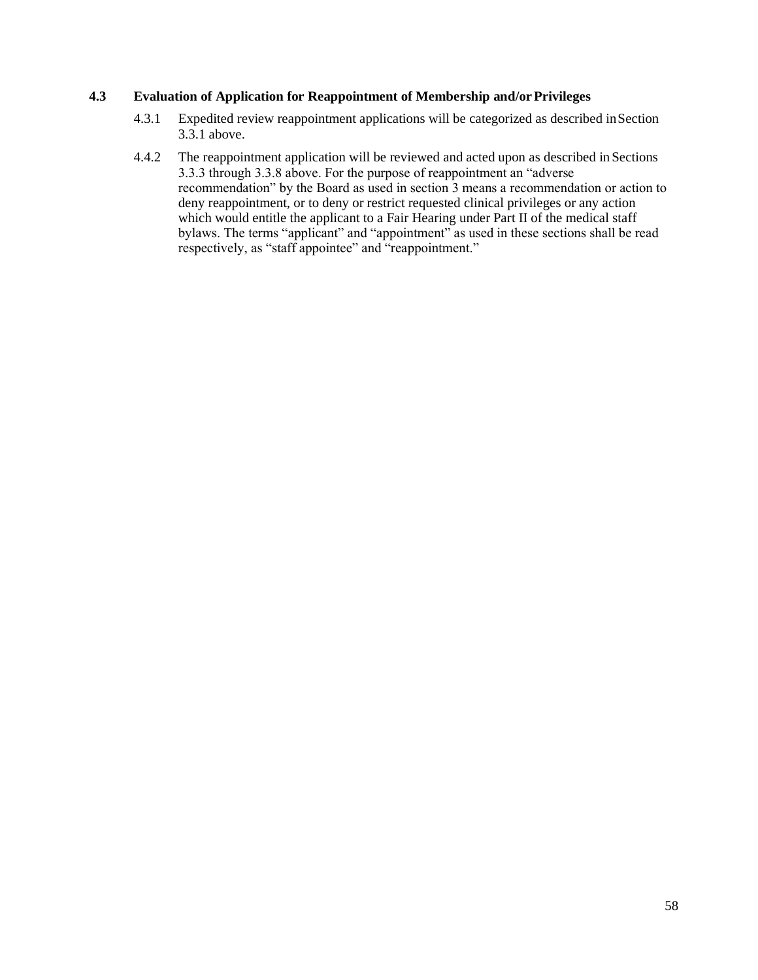# **4.3 Evaluation of Application for Reappointment of Membership and/orPrivileges**

- 4.3.1 Expedited review reappointment applications will be categorized as described inSection 3.3.1 above.
- 4.4.2 The reappointment application will be reviewed and acted upon as described in Sections 3.3.3 through 3.3.8 above. For the purpose of reappointment an "adverse recommendation" by the Board as used in section 3 means a recommendation or action to deny reappointment, or to deny or restrict requested clinical privileges or any action which would entitle the applicant to a Fair Hearing under Part II of the medical staff bylaws. The terms "applicant" and "appointment" as used in these sections shall be read respectively, as "staff appointee" and "reappointment."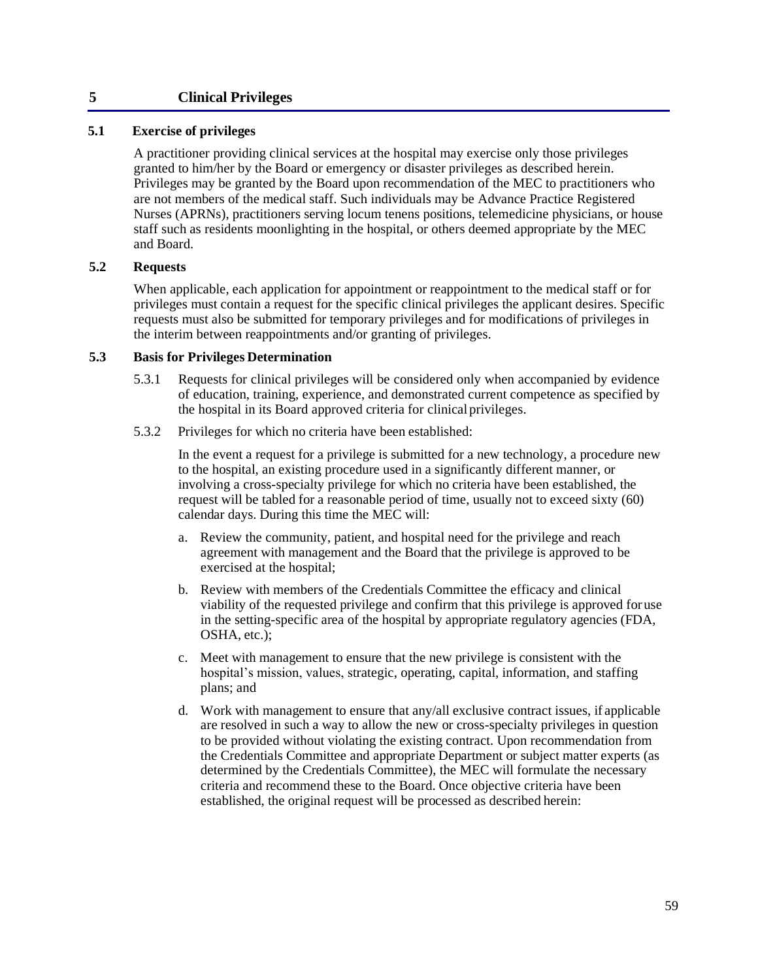# **5 Clinical Privileges**

# **5.1 Exercise of privileges**

A practitioner providing clinical services at the hospital may exercise only those privileges granted to him/her by the Board or emergency or disaster privileges as described herein. Privileges may be granted by the Board upon recommendation of the MEC to practitioners who are not members of the medical staff. Such individuals may be Advance Practice Registered Nurses (APRNs), practitioners serving locum tenens positions, telemedicine physicians, or house staff such as residents moonlighting in the hospital, or others deemed appropriate by the MEC and Board.

#### **5.2 Requests**

When applicable, each application for appointment or reappointment to the medical staff or for privileges must contain a request for the specific clinical privileges the applicant desires. Specific requests must also be submitted for temporary privileges and for modifications of privileges in the interim between reappointments and/or granting of privileges.

#### **5.3 Basis for Privileges Determination**

- 5.3.1 Requests for clinical privileges will be considered only when accompanied by evidence of education, training, experience, and demonstrated current competence as specified by the hospital in its Board approved criteria for clinical privileges.
- 5.3.2 Privileges for which no criteria have been established:

In the event a request for a privilege is submitted for a new technology, a procedure new to the hospital, an existing procedure used in a significantly different manner, or involving a cross-specialty privilege for which no criteria have been established, the request will be tabled for a reasonable period of time, usually not to exceed sixty (60) calendar days. During this time the MEC will:

- a. Review the community, patient, and hospital need for the privilege and reach agreement with management and the Board that the privilege is approved to be exercised at the hospital;
- b. Review with members of the Credentials Committee the efficacy and clinical viability of the requested privilege and confirm that this privilege is approved foruse in the setting-specific area of the hospital by appropriate regulatory agencies (FDA, OSHA, etc.);
- c. Meet with management to ensure that the new privilege is consistent with the hospital's mission, values, strategic, operating, capital, information, and staffing plans; and
- d. Work with management to ensure that any/all exclusive contract issues, if applicable are resolved in such a way to allow the new or cross-specialty privileges in question to be provided without violating the existing contract. Upon recommendation from the Credentials Committee and appropriate Department or subject matter experts (as determined by the Credentials Committee), the MEC will formulate the necessary criteria and recommend these to the Board. Once objective criteria have been established, the original request will be processed as described herein: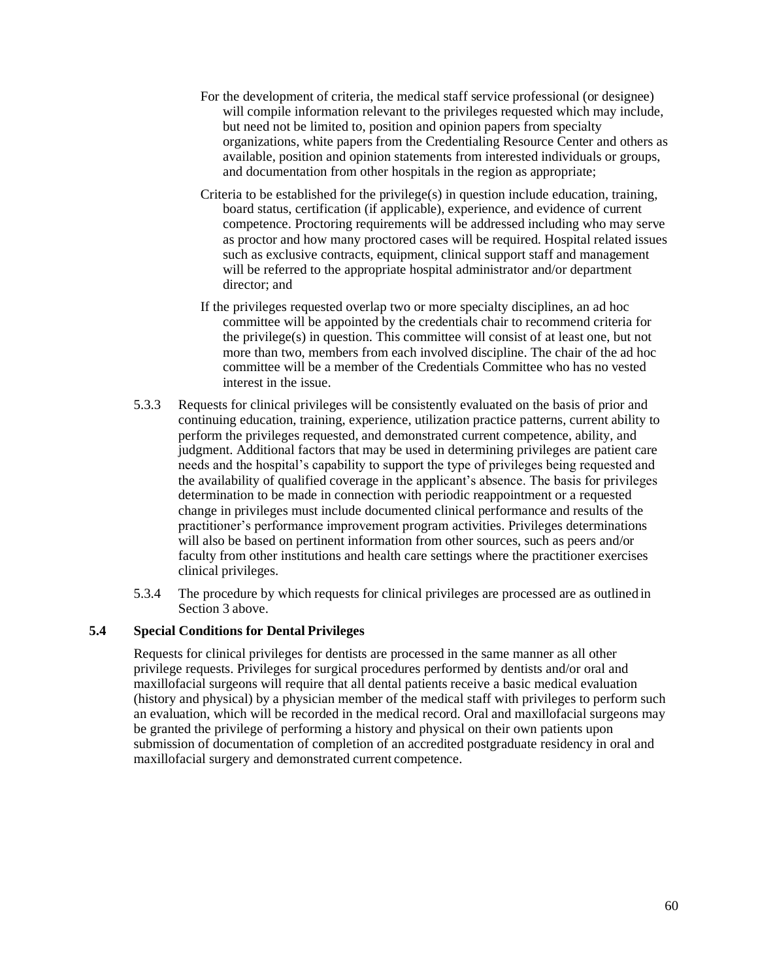- For the development of criteria, the medical staff service professional (or designee) will compile information relevant to the privileges requested which may include, but need not be limited to, position and opinion papers from specialty organizations, white papers from the Credentialing Resource Center and others as available, position and opinion statements from interested individuals or groups, and documentation from other hospitals in the region as appropriate;
- Criteria to be established for the privilege(s) in question include education, training, board status, certification (if applicable), experience, and evidence of current competence. Proctoring requirements will be addressed including who may serve as proctor and how many proctored cases will be required. Hospital related issues such as exclusive contracts, equipment, clinical support staff and management will be referred to the appropriate hospital administrator and/or department director; and
- If the privileges requested overlap two or more specialty disciplines, an ad hoc committee will be appointed by the credentials chair to recommend criteria for the privilege(s) in question. This committee will consist of at least one, but not more than two, members from each involved discipline. The chair of the ad hoc committee will be a member of the Credentials Committee who has no vested interest in the issue.
- 5.3.3 Requests for clinical privileges will be consistently evaluated on the basis of prior and continuing education, training, experience, utilization practice patterns, current ability to perform the privileges requested, and demonstrated current competence, ability, and judgment. Additional factors that may be used in determining privileges are patient care needs and the hospital's capability to support the type of privileges being requested and the availability of qualified coverage in the applicant's absence. The basis for privileges determination to be made in connection with periodic reappointment or a requested change in privileges must include documented clinical performance and results of the practitioner's performance improvement program activities. Privileges determinations will also be based on pertinent information from other sources, such as peers and/or faculty from other institutions and health care settings where the practitioner exercises clinical privileges.
- 5.3.4 The procedure by which requests for clinical privileges are processed are as outlined in Section 3 above.

## **5.4 Special Conditions for Dental Privileges**

Requests for clinical privileges for dentists are processed in the same manner as all other privilege requests. Privileges for surgical procedures performed by dentists and/or oral and maxillofacial surgeons will require that all dental patients receive a basic medical evaluation (history and physical) by a physician member of the medical staff with privileges to perform such an evaluation, which will be recorded in the medical record. Oral and maxillofacial surgeons may be granted the privilege of performing a history and physical on their own patients upon submission of documentation of completion of an accredited postgraduate residency in oral and maxillofacial surgery and demonstrated current competence.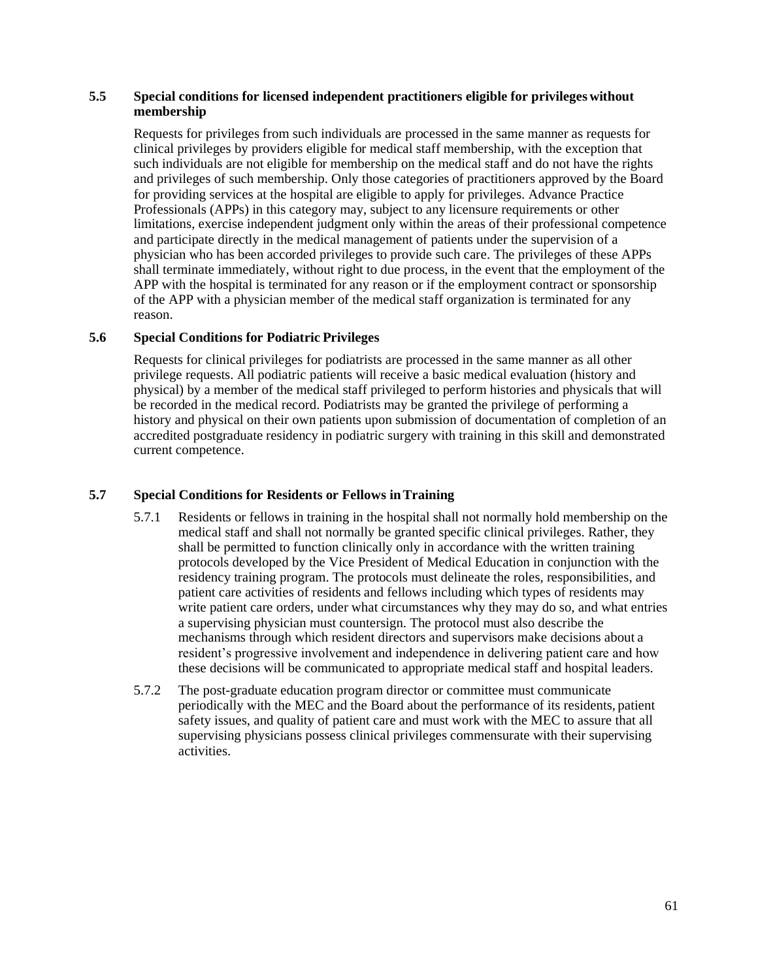## **5.5 Special conditions for licensed independent practitioners eligible for privileges without membership**

Requests for privileges from such individuals are processed in the same manner as requests for clinical privileges by providers eligible for medical staff membership, with the exception that such individuals are not eligible for membership on the medical staff and do not have the rights and privileges of such membership. Only those categories of practitioners approved by the Board for providing services at the hospital are eligible to apply for privileges. Advance Practice Professionals (APPs) in this category may, subject to any licensure requirements or other limitations, exercise independent judgment only within the areas of their professional competence and participate directly in the medical management of patients under the supervision of a physician who has been accorded privileges to provide such care. The privileges of these APPs shall terminate immediately, without right to due process, in the event that the employment of the APP with the hospital is terminated for any reason or if the employment contract or sponsorship of the APP with a physician member of the medical staff organization is terminated for any reason.

# **5.6 Special Conditions for Podiatric Privileges**

Requests for clinical privileges for podiatrists are processed in the same manner as all other privilege requests. All podiatric patients will receive a basic medical evaluation (history and physical) by a member of the medical staff privileged to perform histories and physicals that will be recorded in the medical record. Podiatrists may be granted the privilege of performing a history and physical on their own patients upon submission of documentation of completion of an accredited postgraduate residency in podiatric surgery with training in this skill and demonstrated current competence.

# **5.7 Special Conditions for Residents or Fellows inTraining**

- 5.7.1 Residents or fellows in training in the hospital shall not normally hold membership on the medical staff and shall not normally be granted specific clinical privileges. Rather, they shall be permitted to function clinically only in accordance with the written training protocols developed by the Vice President of Medical Education in conjunction with the residency training program. The protocols must delineate the roles, responsibilities, and patient care activities of residents and fellows including which types of residents may write patient care orders, under what circumstances why they may do so, and what entries a supervising physician must countersign. The protocol must also describe the mechanisms through which resident directors and supervisors make decisions about a resident's progressive involvement and independence in delivering patient care and how these decisions will be communicated to appropriate medical staff and hospital leaders.
- 5.7.2 The post-graduate education program director or committee must communicate periodically with the MEC and the Board about the performance of its residents, patient safety issues, and quality of patient care and must work with the MEC to assure that all supervising physicians possess clinical privileges commensurate with their supervising activities.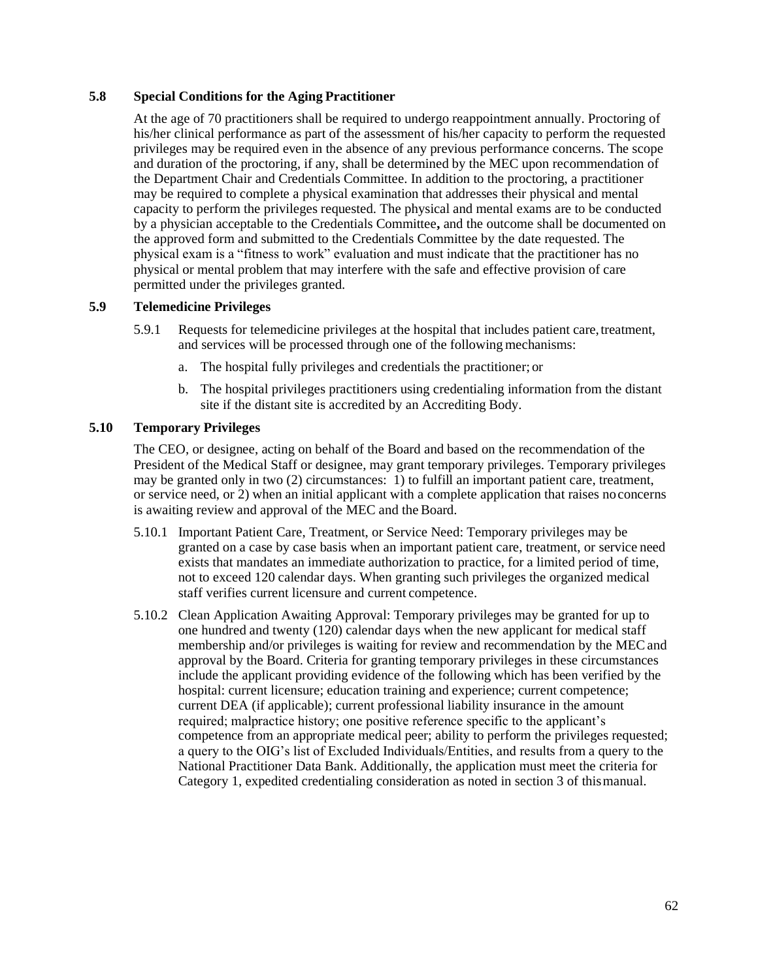#### **5.8 Special Conditions for the Aging Practitioner**

At the age of 70 practitioners shall be required to undergo reappointment annually. Proctoring of his/her clinical performance as part of the assessment of his/her capacity to perform the requested privileges may be required even in the absence of any previous performance concerns. The scope and duration of the proctoring, if any, shall be determined by the MEC upon recommendation of the Department Chair and Credentials Committee. In addition to the proctoring, a practitioner may be required to complete a physical examination that addresses their physical and mental capacity to perform the privileges requested. The physical and mental exams are to be conducted by a physician acceptable to the Credentials Committee**,** and the outcome shall be documented on the approved form and submitted to the Credentials Committee by the date requested. The physical exam is a "fitness to work" evaluation and must indicate that the practitioner has no physical or mental problem that may interfere with the safe and effective provision of care permitted under the privileges granted.

#### **5.9 Telemedicine Privileges**

- 5.9.1 Requests for telemedicine privileges at the hospital that includes patient care,treatment, and services will be processed through one of the following mechanisms:
	- a. The hospital fully privileges and credentials the practitioner; or
	- b. The hospital privileges practitioners using credentialing information from the distant site if the distant site is accredited by an Accrediting Body.

#### **5.10 Temporary Privileges**

The CEO, or designee, acting on behalf of the Board and based on the recommendation of the President of the Medical Staff or designee, may grant temporary privileges. Temporary privileges may be granted only in two (2) circumstances: 1) to fulfill an important patient care, treatment, or service need, or 2) when an initial applicant with a complete application that raises noconcerns is awaiting review and approval of the MEC and the Board.

- 5.10.1 Important Patient Care, Treatment, or Service Need: Temporary privileges may be granted on a case by case basis when an important patient care, treatment, or service need exists that mandates an immediate authorization to practice, for a limited period of time, not to exceed 120 calendar days. When granting such privileges the organized medical staff verifies current licensure and current competence.
- 5.10.2 Clean Application Awaiting Approval: Temporary privileges may be granted for up to one hundred and twenty (120) calendar days when the new applicant for medical staff membership and/or privileges is waiting for review and recommendation by the MECand approval by the Board. Criteria for granting temporary privileges in these circumstances include the applicant providing evidence of the following which has been verified by the hospital: current licensure; education training and experience; current competence; current DEA (if applicable); current professional liability insurance in the amount required; malpractice history; one positive reference specific to the applicant's competence from an appropriate medical peer; ability to perform the privileges requested; a query to the OIG's list of Excluded Individuals/Entities, and results from a query to the National Practitioner Data Bank. Additionally, the application must meet the criteria for Category 1, expedited credentialing consideration as noted in section 3 of thismanual.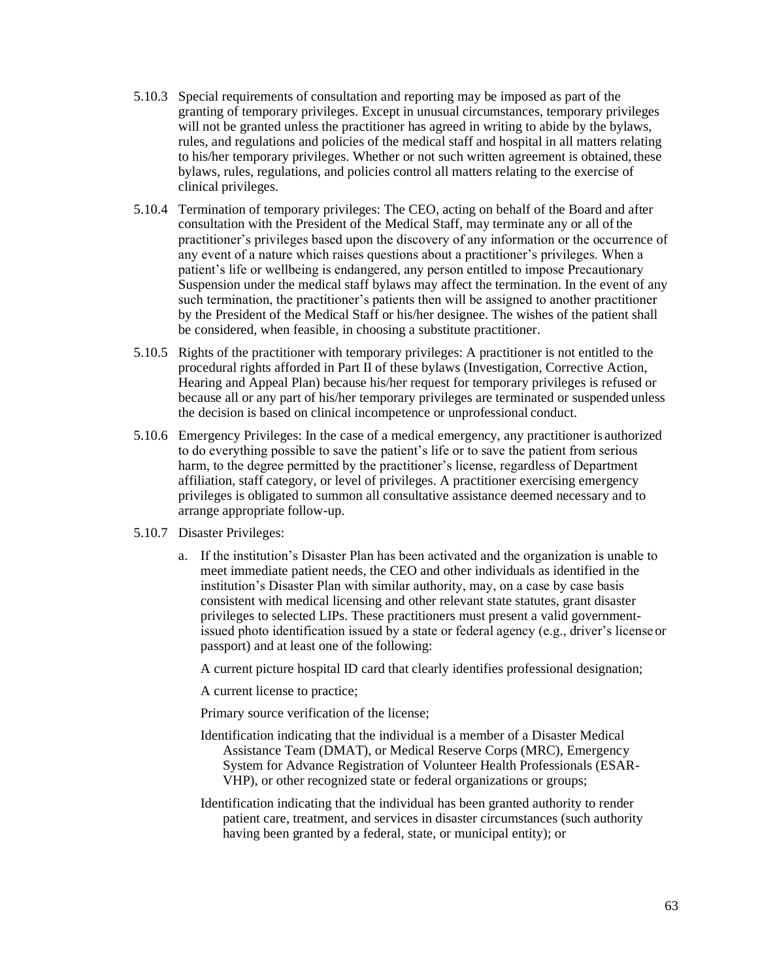- 5.10.3 Special requirements of consultation and reporting may be imposed as part of the granting of temporary privileges. Except in unusual circumstances, temporary privileges will not be granted unless the practitioner has agreed in writing to abide by the bylaws, rules, and regulations and policies of the medical staff and hospital in all matters relating to his/her temporary privileges. Whether or not such written agreement is obtained, these bylaws, rules, regulations, and policies control all matters relating to the exercise of clinical privileges.
- 5.10.4 Termination of temporary privileges: The CEO, acting on behalf of the Board and after consultation with the President of the Medical Staff, may terminate any or all of the practitioner's privileges based upon the discovery of any information or the occurrence of any event of a nature which raises questions about a practitioner's privileges. When a patient's life or wellbeing is endangered, any person entitled to impose Precautionary Suspension under the medical staff bylaws may affect the termination. In the event of any such termination, the practitioner's patients then will be assigned to another practitioner by the President of the Medical Staff or his/her designee. The wishes of the patient shall be considered, when feasible, in choosing a substitute practitioner.
- 5.10.5 Rights of the practitioner with temporary privileges: A practitioner is not entitled to the procedural rights afforded in Part II of these bylaws (Investigation, Corrective Action, Hearing and Appeal Plan) because his/her request for temporary privileges is refused or because all or any part of his/her temporary privileges are terminated or suspended unless the decision is based on clinical incompetence or unprofessional conduct.
- 5.10.6 Emergency Privileges: In the case of a medical emergency, any practitioner is authorized to do everything possible to save the patient's life or to save the patient from serious harm, to the degree permitted by the practitioner's license, regardless of Department affiliation, staff category, or level of privileges. A practitioner exercising emergency privileges is obligated to summon all consultative assistance deemed necessary and to arrange appropriate follow-up.
- 5.10.7 Disaster Privileges:
	- a. If the institution's Disaster Plan has been activated and the organization is unable to meet immediate patient needs, the CEO and other individuals as identified in the institution's Disaster Plan with similar authority, may, on a case by case basis consistent with medical licensing and other relevant state statutes, grant disaster privileges to selected LIPs. These practitioners must present a valid governmentissued photo identification issued by a state or federal agency (e.g., driver's licenseor passport) and at least one of the following:

A current picture hospital ID card that clearly identifies professional designation;

A current license to practice;

Primary source verification of the license;

- Identification indicating that the individual is a member of a Disaster Medical Assistance Team (DMAT), or Medical Reserve Corps (MRC), Emergency System for Advance Registration of Volunteer Health Professionals (ESAR-VHP), or other recognized state or federal organizations or groups;
- Identification indicating that the individual has been granted authority to render patient care, treatment, and services in disaster circumstances (such authority having been granted by a federal, state, or municipal entity); or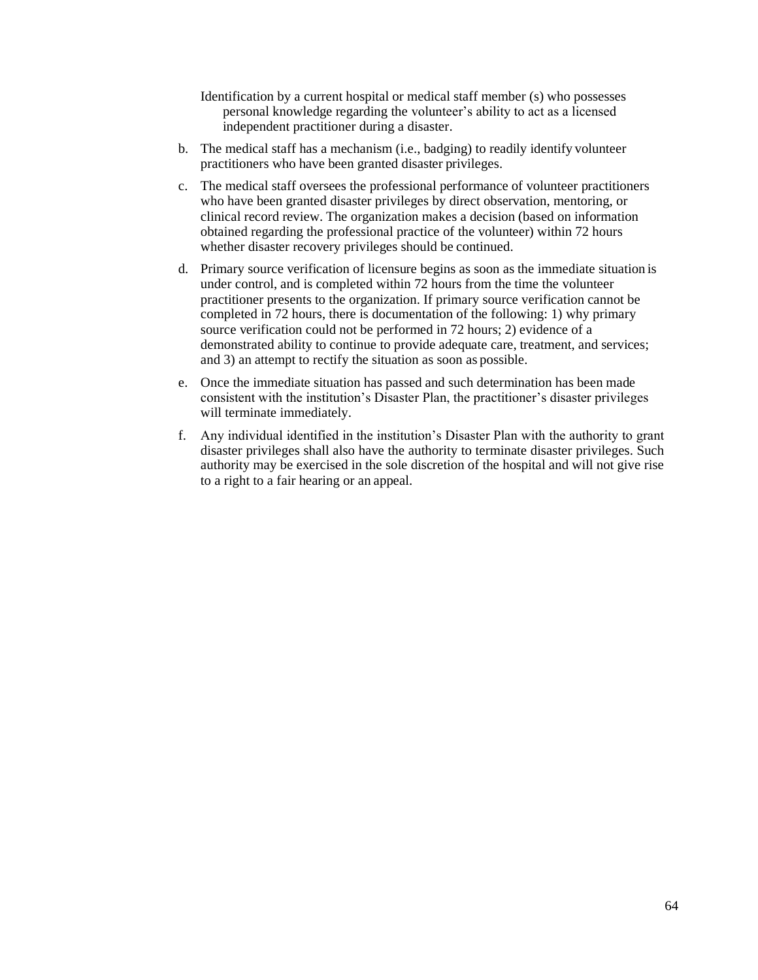- Identification by a current hospital or medical staff member (s) who possesses personal knowledge regarding the volunteer's ability to act as a licensed independent practitioner during a disaster.
- b. The medical staff has a mechanism (i.e., badging) to readily identify volunteer practitioners who have been granted disaster privileges.
- c. The medical staff oversees the professional performance of volunteer practitioners who have been granted disaster privileges by direct observation, mentoring, or clinical record review. The organization makes a decision (based on information obtained regarding the professional practice of the volunteer) within 72 hours whether disaster recovery privileges should be continued.
- d. Primary source verification of licensure begins as soon as the immediate situation is under control, and is completed within 72 hours from the time the volunteer practitioner presents to the organization. If primary source verification cannot be completed in 72 hours, there is documentation of the following: 1) why primary source verification could not be performed in 72 hours; 2) evidence of a demonstrated ability to continue to provide adequate care, treatment, and services; and 3) an attempt to rectify the situation as soon as possible.
- e. Once the immediate situation has passed and such determination has been made consistent with the institution's Disaster Plan, the practitioner's disaster privileges will terminate immediately.
- f. Any individual identified in the institution's Disaster Plan with the authority to grant disaster privileges shall also have the authority to terminate disaster privileges. Such authority may be exercised in the sole discretion of the hospital and will not give rise to a right to a fair hearing or an appeal.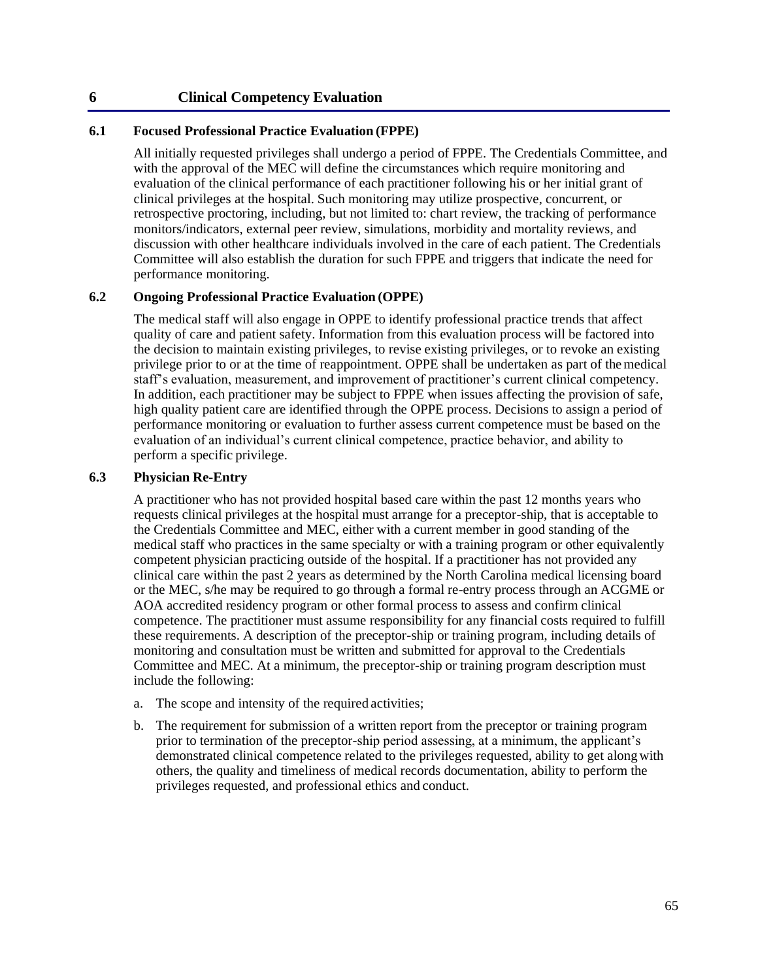### **6 Clinical Competency Evaluation**

### **6.1 Focused Professional Practice Evaluation (FPPE)**

All initially requested privileges shall undergo a period of FPPE. The Credentials Committee, and with the approval of the MEC will define the circumstances which require monitoring and evaluation of the clinical performance of each practitioner following his or her initial grant of clinical privileges at the hospital. Such monitoring may utilize prospective, concurrent, or retrospective proctoring, including, but not limited to: chart review, the tracking of performance monitors/indicators, external peer review, simulations, morbidity and mortality reviews, and discussion with other healthcare individuals involved in the care of each patient. The Credentials Committee will also establish the duration for such FPPE and triggers that indicate the need for performance monitoring.

### **6.2 Ongoing Professional Practice Evaluation (OPPE)**

The medical staff will also engage in OPPE to identify professional practice trends that affect quality of care and patient safety. Information from this evaluation process will be factored into the decision to maintain existing privileges, to revise existing privileges, or to revoke an existing privilege prior to or at the time of reappointment. OPPE shall be undertaken as part of themedical staff's evaluation, measurement, and improvement of practitioner's current clinical competency. In addition, each practitioner may be subject to FPPE when issues affecting the provision of safe, high quality patient care are identified through the OPPE process. Decisions to assign a period of performance monitoring or evaluation to further assess current competence must be based on the evaluation of an individual's current clinical competence, practice behavior, and ability to perform a specific privilege.

### **6.3 Physician Re-Entry**

A practitioner who has not provided hospital based care within the past 12 months years who requests clinical privileges at the hospital must arrange for a preceptor-ship, that is acceptable to the Credentials Committee and MEC, either with a current member in good standing of the medical staff who practices in the same specialty or with a training program or other equivalently competent physician practicing outside of the hospital. If a practitioner has not provided any clinical care within the past 2 years as determined by the North Carolina medical licensing board or the MEC, s/he may be required to go through a formal re-entry process through an ACGME or AOA accredited residency program or other formal process to assess and confirm clinical competence. The practitioner must assume responsibility for any financial costs required to fulfill these requirements. A description of the preceptor-ship or training program, including details of monitoring and consultation must be written and submitted for approval to the Credentials Committee and MEC. At a minimum, the preceptor-ship or training program description must include the following:

- a. The scope and intensity of the required activities;
- b. The requirement for submission of a written report from the preceptor or training program prior to termination of the preceptor-ship period assessing, at a minimum, the applicant's demonstrated clinical competence related to the privileges requested, ability to get alongwith others, the quality and timeliness of medical records documentation, ability to perform the privileges requested, and professional ethics and conduct.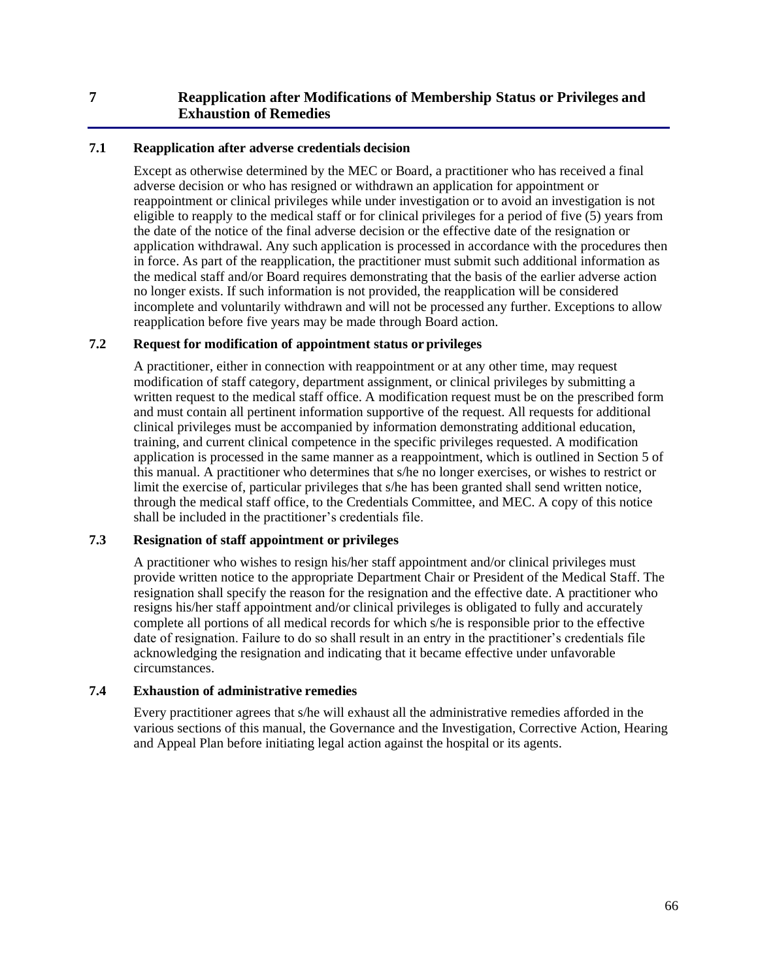## **7 Reapplication after Modifications of Membership Status or Privileges and Exhaustion of Remedies**

### **7.1 Reapplication after adverse credentials decision**

Except as otherwise determined by the MEC or Board, a practitioner who has received a final adverse decision or who has resigned or withdrawn an application for appointment or reappointment or clinical privileges while under investigation or to avoid an investigation is not eligible to reapply to the medical staff or for clinical privileges for a period of five (5) years from the date of the notice of the final adverse decision or the effective date of the resignation or application withdrawal. Any such application is processed in accordance with the procedures then in force. As part of the reapplication, the practitioner must submit such additional information as the medical staff and/or Board requires demonstrating that the basis of the earlier adverse action no longer exists. If such information is not provided, the reapplication will be considered incomplete and voluntarily withdrawn and will not be processed any further. Exceptions to allow reapplication before five years may be made through Board action.

#### **7.2 Request for modification of appointment status or privileges**

A practitioner, either in connection with reappointment or at any other time, may request modification of staff category, department assignment, or clinical privileges by submitting a written request to the medical staff office. A modification request must be on the prescribed form and must contain all pertinent information supportive of the request. All requests for additional clinical privileges must be accompanied by information demonstrating additional education, training, and current clinical competence in the specific privileges requested. A modification application is processed in the same manner as a reappointment, which is outlined in Section 5 of this manual. A practitioner who determines that s/he no longer exercises, or wishes to restrict or limit the exercise of, particular privileges that s/he has been granted shall send written notice, through the medical staff office, to the Credentials Committee, and MEC. A copy of this notice shall be included in the practitioner's credentials file.

### **7.3 Resignation of staff appointment or privileges**

A practitioner who wishes to resign his/her staff appointment and/or clinical privileges must provide written notice to the appropriate Department Chair or President of the Medical Staff. The resignation shall specify the reason for the resignation and the effective date. A practitioner who resigns his/her staff appointment and/or clinical privileges is obligated to fully and accurately complete all portions of all medical records for which s/he is responsible prior to the effective date of resignation. Failure to do so shall result in an entry in the practitioner's credentials file acknowledging the resignation and indicating that it became effective under unfavorable circumstances.

### **7.4 Exhaustion of administrative remedies**

Every practitioner agrees that s/he will exhaust all the administrative remedies afforded in the various sections of this manual, the Governance and the Investigation, Corrective Action, Hearing and Appeal Plan before initiating legal action against the hospital or its agents.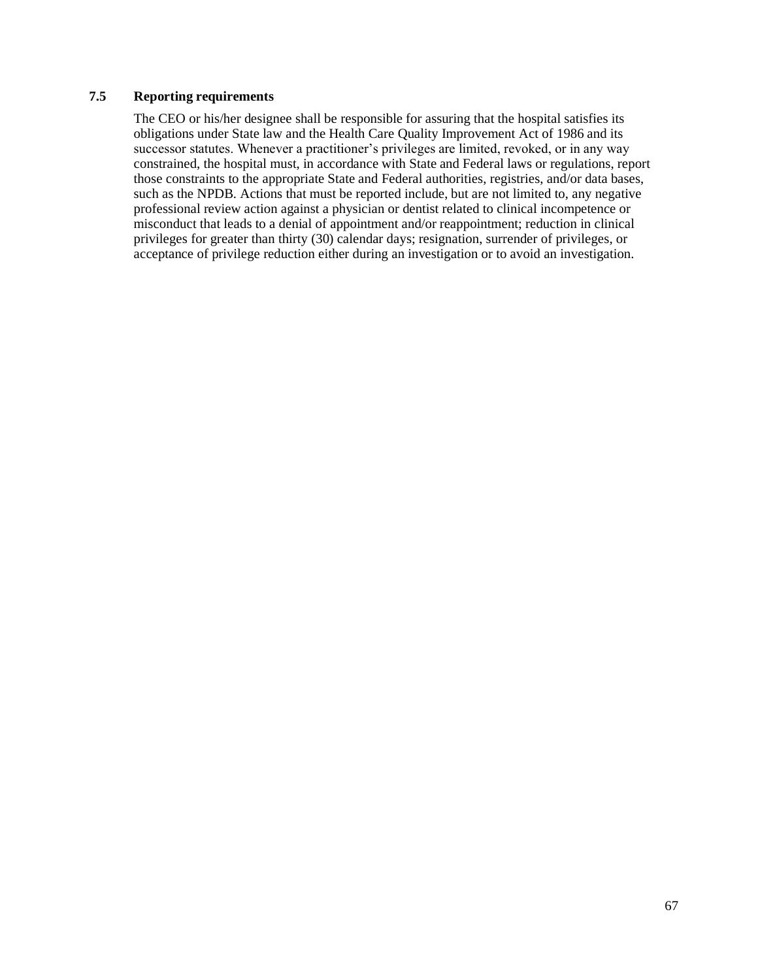### **7.5 Reporting requirements**

The CEO or his/her designee shall be responsible for assuring that the hospital satisfies its obligations under State law and the Health Care Quality Improvement Act of 1986 and its successor statutes. Whenever a practitioner's privileges are limited, revoked, or in any way constrained, the hospital must, in accordance with State and Federal laws or regulations, report those constraints to the appropriate State and Federal authorities, registries, and/or data bases, such as the NPDB. Actions that must be reported include, but are not limited to, any negative professional review action against a physician or dentist related to clinical incompetence or misconduct that leads to a denial of appointment and/or reappointment; reduction in clinical privileges for greater than thirty (30) calendar days; resignation, surrender of privileges, or acceptance of privilege reduction either during an investigation or to avoid an investigation.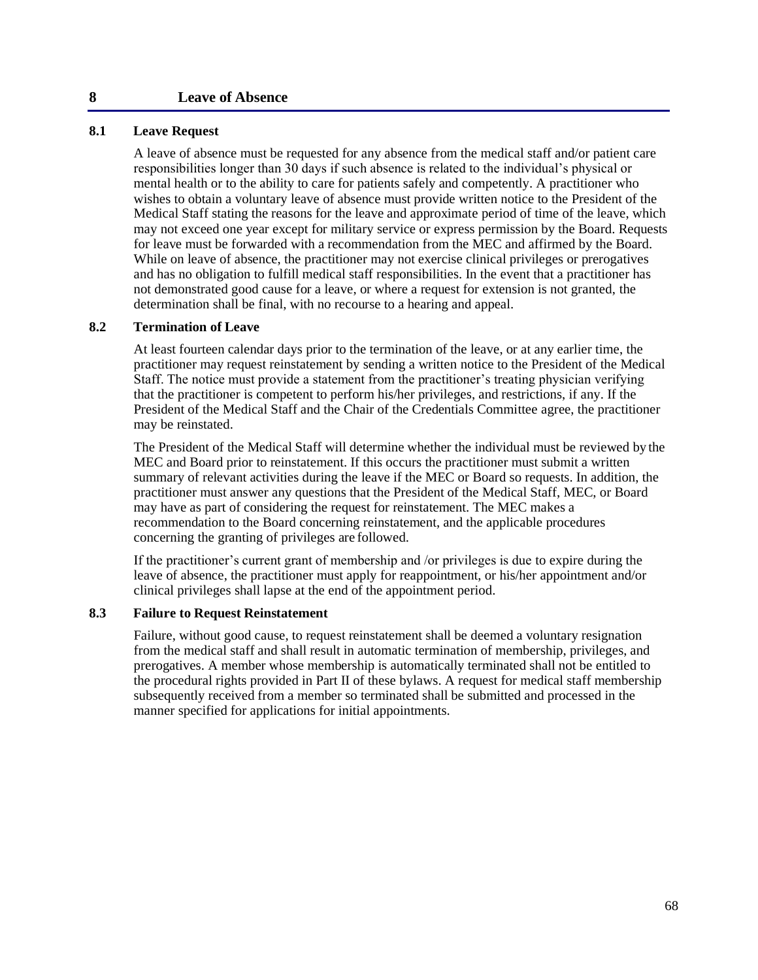#### **8 Leave of Absence**

#### **8.1 Leave Request**

A leave of absence must be requested for any absence from the medical staff and/or patient care responsibilities longer than 30 days if such absence is related to the individual's physical or mental health or to the ability to care for patients safely and competently. A practitioner who wishes to obtain a voluntary leave of absence must provide written notice to the President of the Medical Staff stating the reasons for the leave and approximate period of time of the leave, which may not exceed one year except for military service or express permission by the Board. Requests for leave must be forwarded with a recommendation from the MEC and affirmed by the Board. While on leave of absence, the practitioner may not exercise clinical privileges or prerogatives and has no obligation to fulfill medical staff responsibilities. In the event that a practitioner has not demonstrated good cause for a leave, or where a request for extension is not granted, the determination shall be final, with no recourse to a hearing and appeal.

#### **8.2 Termination of Leave**

At least fourteen calendar days prior to the termination of the leave, or at any earlier time, the practitioner may request reinstatement by sending a written notice to the President of the Medical Staff. The notice must provide a statement from the practitioner's treating physician verifying that the practitioner is competent to perform his/her privileges, and restrictions, if any. If the President of the Medical Staff and the Chair of the Credentials Committee agree, the practitioner may be reinstated.

The President of the Medical Staff will determine whether the individual must be reviewed by the MEC and Board prior to reinstatement. If this occurs the practitioner must submit a written summary of relevant activities during the leave if the MEC or Board so requests. In addition, the practitioner must answer any questions that the President of the Medical Staff, MEC, or Board may have as part of considering the request for reinstatement. The MEC makes a recommendation to the Board concerning reinstatement, and the applicable procedures concerning the granting of privileges are followed.

If the practitioner's current grant of membership and /or privileges is due to expire during the leave of absence, the practitioner must apply for reappointment, or his/her appointment and/or clinical privileges shall lapse at the end of the appointment period.

### **8.3 Failure to Request Reinstatement**

Failure, without good cause, to request reinstatement shall be deemed a voluntary resignation from the medical staff and shall result in automatic termination of membership, privileges, and prerogatives. A member whose membership is automatically terminated shall not be entitled to the procedural rights provided in Part II of these bylaws. A request for medical staff membership subsequently received from a member so terminated shall be submitted and processed in the manner specified for applications for initial appointments.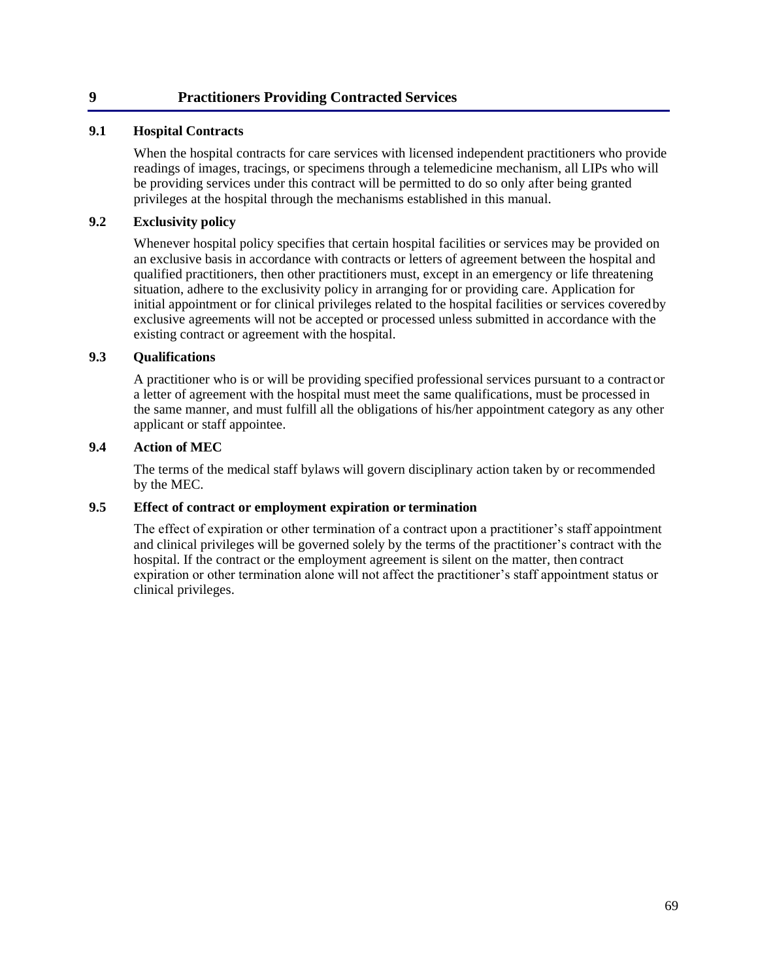### **9 Practitioners Providing Contracted Services**

### **9.1 Hospital Contracts**

When the hospital contracts for care services with licensed independent practitioners who provide readings of images, tracings, or specimens through a telemedicine mechanism, all LIPs who will be providing services under this contract will be permitted to do so only after being granted privileges at the hospital through the mechanisms established in this manual.

### **9.2 Exclusivity policy**

Whenever hospital policy specifies that certain hospital facilities or services may be provided on an exclusive basis in accordance with contracts or letters of agreement between the hospital and qualified practitioners, then other practitioners must, except in an emergency or life threatening situation, adhere to the exclusivity policy in arranging for or providing care. Application for initial appointment or for clinical privileges related to the hospital facilities or services coveredby exclusive agreements will not be accepted or processed unless submitted in accordance with the existing contract or agreement with the hospital.

#### **9.3 Qualifications**

A practitioner who is or will be providing specified professional services pursuant to a contractor a letter of agreement with the hospital must meet the same qualifications, must be processed in the same manner, and must fulfill all the obligations of his/her appointment category as any other applicant or staff appointee.

#### **9.4 Action of MEC**

The terms of the medical staff bylaws will govern disciplinary action taken by or recommended by the MEC.

### **9.5 Effect of contract or employment expiration or termination**

The effect of expiration or other termination of a contract upon a practitioner's staff appointment and clinical privileges will be governed solely by the terms of the practitioner's contract with the hospital. If the contract or the employment agreement is silent on the matter, then contract expiration or other termination alone will not affect the practitioner's staff appointment status or clinical privileges.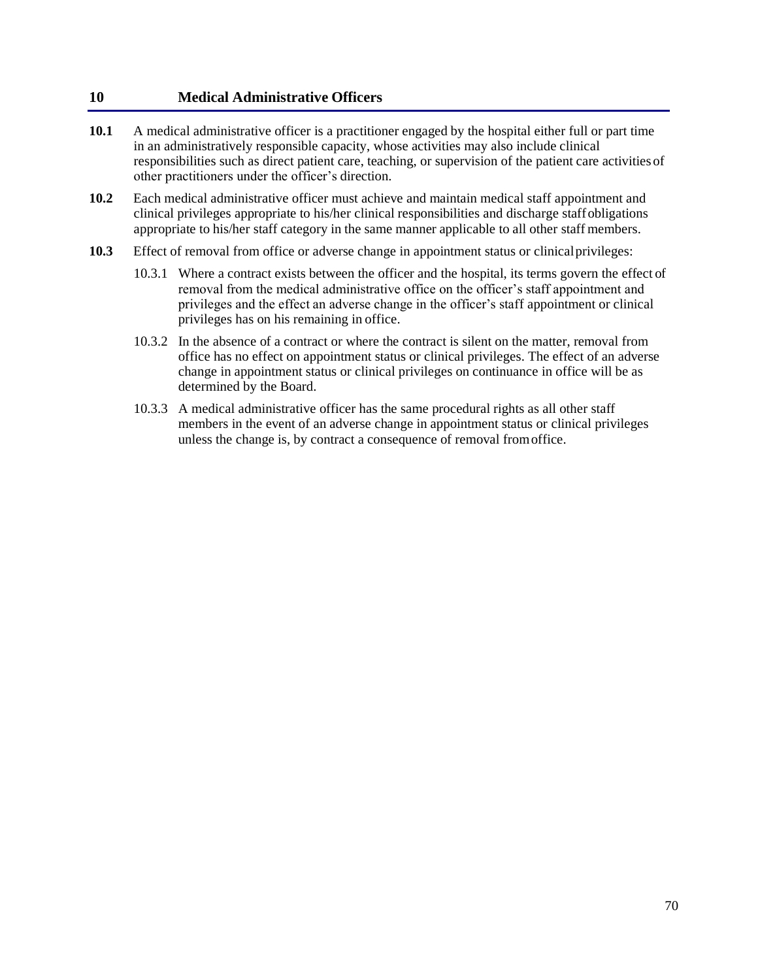### **10 Medical Administrative Officers**

- **10.1** A medical administrative officer is a practitioner engaged by the hospital either full or part time in an administratively responsible capacity, whose activities may also include clinical responsibilities such as direct patient care, teaching, or supervision of the patient care activities of other practitioners under the officer's direction.
- **10.2** Each medical administrative officer must achieve and maintain medical staff appointment and clinical privileges appropriate to his/her clinical responsibilities and discharge staffobligations appropriate to his/her staff category in the same manner applicable to all other staff members.
- **10.3** Effect of removal from office or adverse change in appointment status or clinicalprivileges:
	- 10.3.1 Where a contract exists between the officer and the hospital, its terms govern the effect of removal from the medical administrative office on the officer's staff appointment and privileges and the effect an adverse change in the officer's staff appointment or clinical privileges has on his remaining in office.
	- 10.3.2 In the absence of a contract or where the contract is silent on the matter, removal from office has no effect on appointment status or clinical privileges. The effect of an adverse change in appointment status or clinical privileges on continuance in office will be as determined by the Board.
	- 10.3.3 A medical administrative officer has the same procedural rights as all other staff members in the event of an adverse change in appointment status or clinical privileges unless the change is, by contract a consequence of removal fromoffice.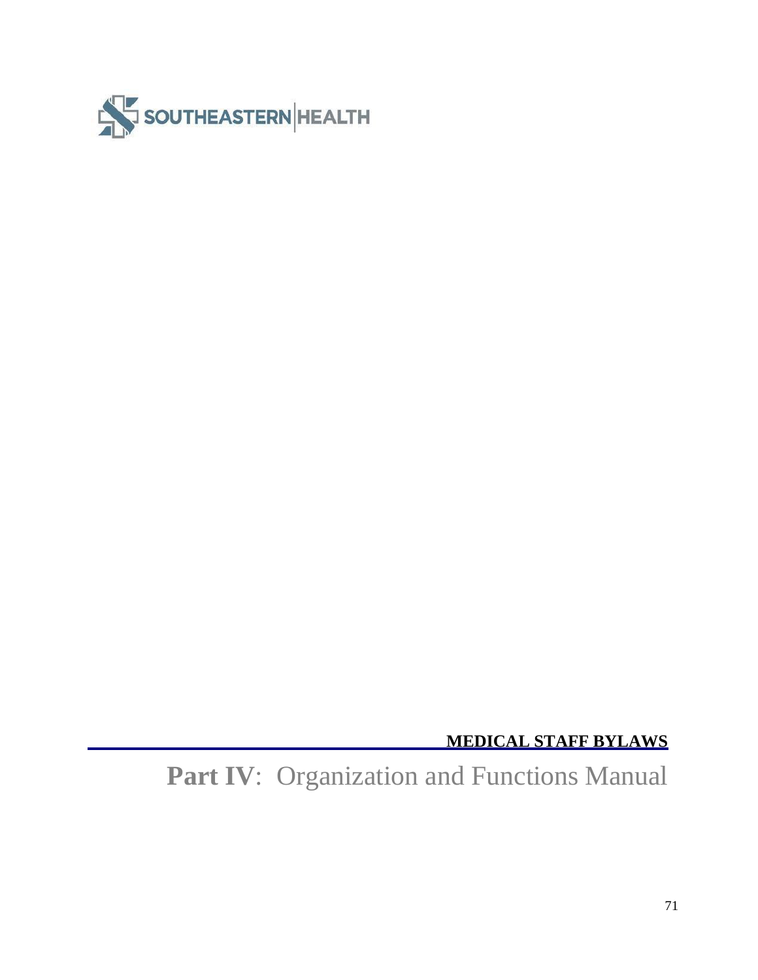

**MEDICAL STAFF BYLAWS**

**Part IV**: Organization and Functions Manual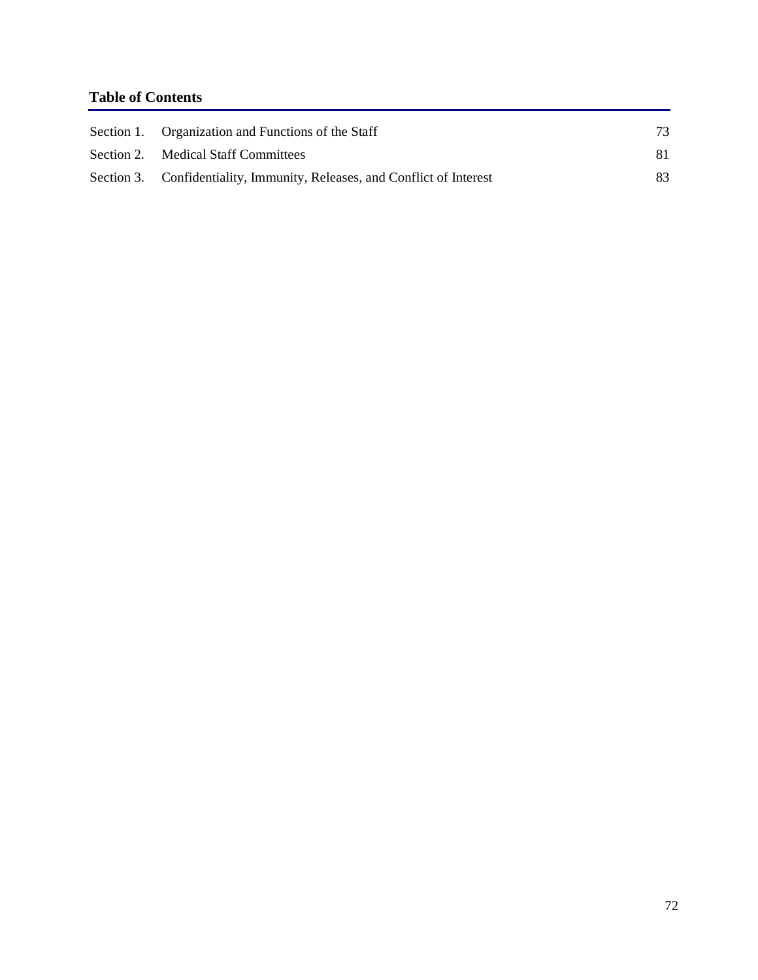# **Table of Contents**

| Section 1. Organization and Functions of the Staff                       | 73 |
|--------------------------------------------------------------------------|----|
| Section 2. Medical Staff Committees                                      | 81 |
| Section 3. Confidentiality, Immunity, Releases, and Conflict of Interest | 83 |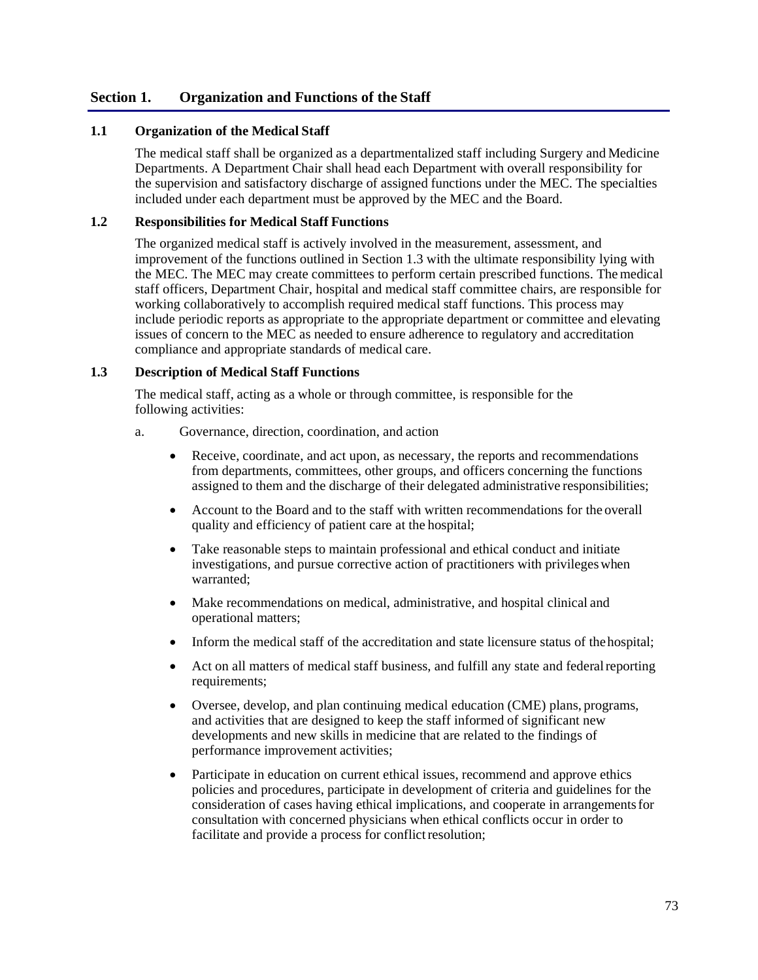### **Section 1. Organization and Functions of the Staff**

### **1.1 Organization of the Medical Staff**

The medical staff shall be organized as a departmentalized staff including Surgery and Medicine Departments. A Department Chair shall head each Department with overall responsibility for the supervision and satisfactory discharge of assigned functions under the MEC. The specialties included under each department must be approved by the MEC and the Board.

### **1.2 Responsibilities for Medical Staff Functions**

The organized medical staff is actively involved in the measurement, assessment, and improvement of the functions outlined in Section 1.3 with the ultimate responsibility lying with the MEC. The MEC may create committees to perform certain prescribed functions. Themedical staff officers, Department Chair, hospital and medical staff committee chairs, are responsible for working collaboratively to accomplish required medical staff functions. This process may include periodic reports as appropriate to the appropriate department or committee and elevating issues of concern to the MEC as needed to ensure adherence to regulatory and accreditation compliance and appropriate standards of medical care.

#### **1.3 Description of Medical Staff Functions**

The medical staff, acting as a whole or through committee, is responsible for the following activities:

- a. Governance, direction, coordination, and action
	- Receive, coordinate, and act upon, as necessary, the reports and recommendations from departments, committees, other groups, and officers concerning the functions assigned to them and the discharge of their delegated administrative responsibilities;
	- Account to the Board and to the staff with written recommendations for the overall quality and efficiency of patient care at the hospital;
	- Take reasonable steps to maintain professional and ethical conduct and initiate investigations, and pursue corrective action of practitioners with privilegeswhen warranted;
	- Make recommendations on medical, administrative, and hospital clinical and operational matters;
	- Inform the medical staff of the accreditation and state licensure status of the hospital;
	- Act on all matters of medical staff business, and fulfill any state and federalreporting requirements;
	- Oversee, develop, and plan continuing medical education (CME) plans, programs, and activities that are designed to keep the staff informed of significant new developments and new skills in medicine that are related to the findings of performance improvement activities;
	- Participate in education on current ethical issues, recommend and approve ethics policies and procedures, participate in development of criteria and guidelines for the consideration of cases having ethical implications, and cooperate in arrangementsfor consultation with concerned physicians when ethical conflicts occur in order to facilitate and provide a process for conflict resolution;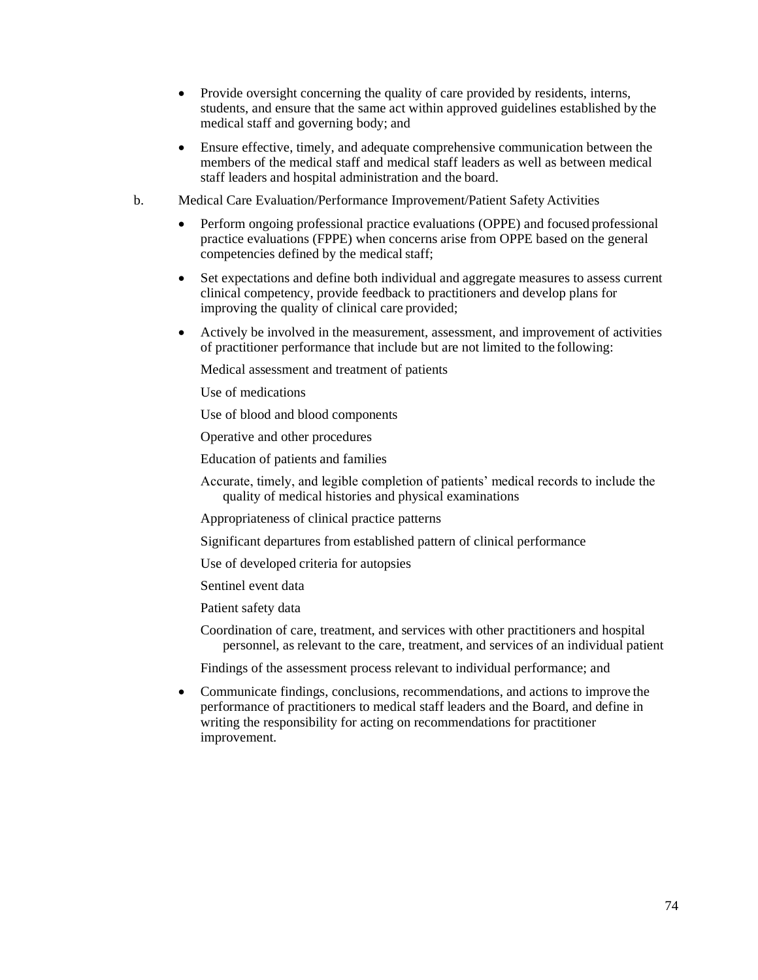- Provide oversight concerning the quality of care provided by residents, interns, students, and ensure that the same act within approved guidelines established by the medical staff and governing body; and
- Ensure effective, timely, and adequate comprehensive communication between the members of the medical staff and medical staff leaders as well as between medical staff leaders and hospital administration and the board.
- b. Medical Care Evaluation/Performance Improvement/Patient Safety Activities
	- Perform ongoing professional practice evaluations (OPPE) and focused professional practice evaluations (FPPE) when concerns arise from OPPE based on the general competencies defined by the medical staff;
	- Set expectations and define both individual and aggregate measures to assess current clinical competency, provide feedback to practitioners and develop plans for improving the quality of clinical care provided;
	- Actively be involved in the measurement, assessment, and improvement of activities of practitioner performance that include but are not limited to the following:

Medical assessment and treatment of patients

Use of medications

Use of blood and blood components

Operative and other procedures

Education of patients and families

Accurate, timely, and legible completion of patients' medical records to include the quality of medical histories and physical examinations

Appropriateness of clinical practice patterns

Significant departures from established pattern of clinical performance

Use of developed criteria for autopsies

Sentinel event data

Patient safety data

Coordination of care, treatment, and services with other practitioners and hospital personnel, as relevant to the care, treatment, and services of an individual patient

Findings of the assessment process relevant to individual performance; and

• Communicate findings, conclusions, recommendations, and actions to improve the performance of practitioners to medical staff leaders and the Board, and define in writing the responsibility for acting on recommendations for practitioner improvement.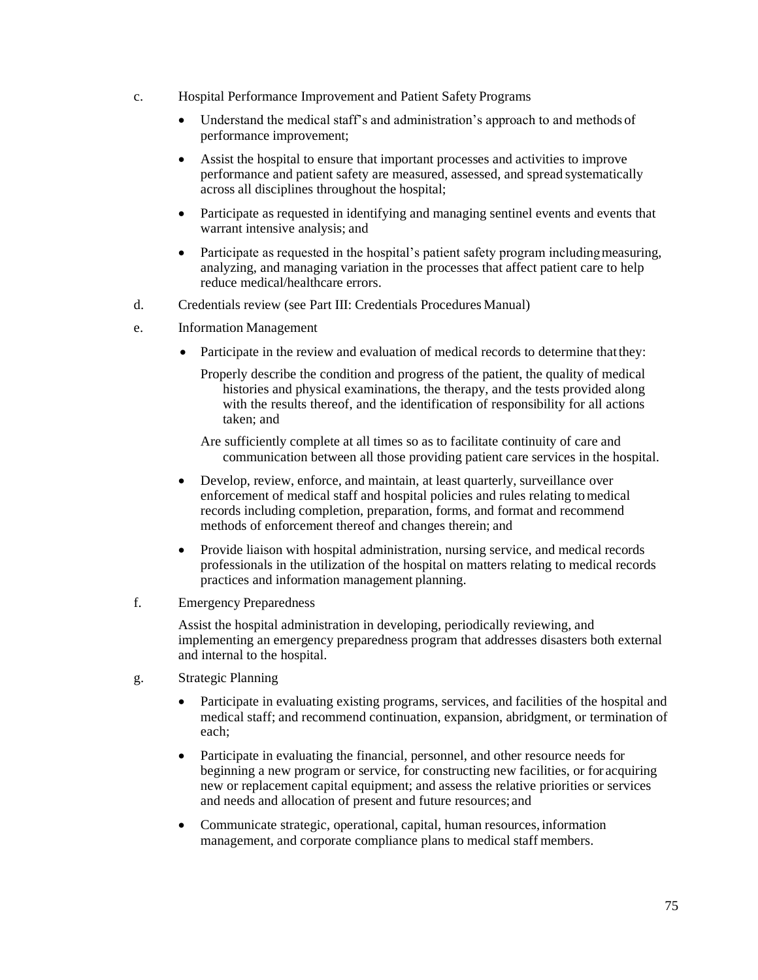- c. Hospital Performance Improvement and Patient Safety Programs
	- Understand the medical staff's and administration's approach to and methods of performance improvement;
	- Assist the hospital to ensure that important processes and activities to improve performance and patient safety are measured, assessed, and spread systematically across all disciplines throughout the hospital;
	- Participate as requested in identifying and managing sentinel events and events that warrant intensive analysis; and
	- Participate as requested in the hospital's patient safety program including measuring, analyzing, and managing variation in the processes that affect patient care to help reduce medical/healthcare errors.
- d. Credentials review (see Part III: Credentials Procedures Manual)
- e. Information Management
	- Participate in the review and evaluation of medical records to determine that they:
		- Properly describe the condition and progress of the patient, the quality of medical histories and physical examinations, the therapy, and the tests provided along with the results thereof, and the identification of responsibility for all actions taken; and
		- Are sufficiently complete at all times so as to facilitate continuity of care and communication between all those providing patient care services in the hospital.
	- Develop, review, enforce, and maintain, at least quarterly, surveillance over enforcement of medical staff and hospital policies and rules relating tomedical records including completion, preparation, forms, and format and recommend methods of enforcement thereof and changes therein; and
	- Provide liaison with hospital administration, nursing service, and medical records professionals in the utilization of the hospital on matters relating to medical records practices and information management planning.
- f. Emergency Preparedness

Assist the hospital administration in developing, periodically reviewing, and implementing an emergency preparedness program that addresses disasters both external and internal to the hospital.

- g. Strategic Planning
	- Participate in evaluating existing programs, services, and facilities of the hospital and medical staff; and recommend continuation, expansion, abridgment, or termination of each;
	- Participate in evaluating the financial, personnel, and other resource needs for beginning a new program or service, for constructing new facilities, or for acquiring new or replacement capital equipment; and assess the relative priorities or services and needs and allocation of present and future resources; and
	- Communicate strategic, operational, capital, human resources, information management, and corporate compliance plans to medical staff members.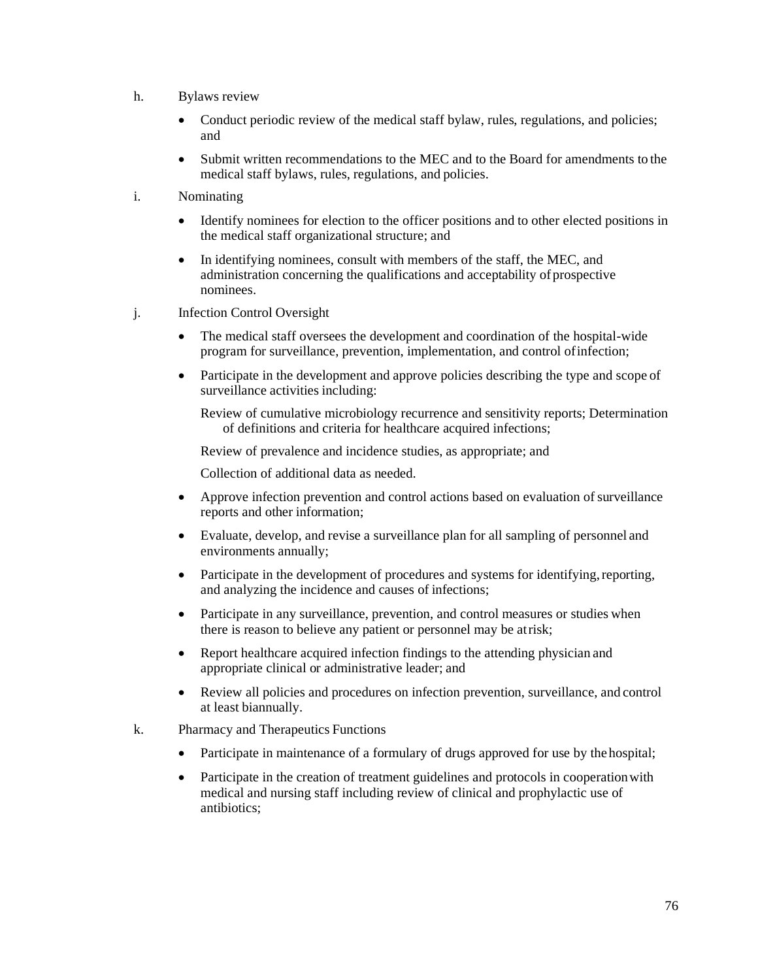- h. Bylaws review
	- Conduct periodic review of the medical staff bylaw, rules, regulations, and policies; and
	- Submit written recommendations to the MEC and to the Board for amendments to the medical staff bylaws, rules, regulations, and policies.
- i. Nominating
	- Identify nominees for election to the officer positions and to other elected positions in the medical staff organizational structure; and
	- In identifying nominees, consult with members of the staff, the MEC, and administration concerning the qualifications and acceptability of prospective nominees.
- j. Infection Control Oversight
	- The medical staff oversees the development and coordination of the hospital-wide program for surveillance, prevention, implementation, and control ofinfection;
	- Participate in the development and approve policies describing the type and scope of surveillance activities including:

Review of cumulative microbiology recurrence and sensitivity reports; Determination of definitions and criteria for healthcare acquired infections;

Review of prevalence and incidence studies, as appropriate; and

Collection of additional data as needed.

- Approve infection prevention and control actions based on evaluation of surveillance reports and other information;
- Evaluate, develop, and revise a surveillance plan for all sampling of personnel and environments annually;
- Participate in the development of procedures and systems for identifying, reporting, and analyzing the incidence and causes of infections;
- Participate in any surveillance, prevention, and control measures or studies when there is reason to believe any patient or personnel may be atrisk;
- Report healthcare acquired infection findings to the attending physician and appropriate clinical or administrative leader; and
- Review all policies and procedures on infection prevention, surveillance, and control at least biannually.
- k. Pharmacy and Therapeutics Functions
	- Participate in maintenance of a formulary of drugs approved for use by the hospital;
	- Participate in the creation of treatment guidelines and protocols in cooperation with medical and nursing staff including review of clinical and prophylactic use of antibiotics;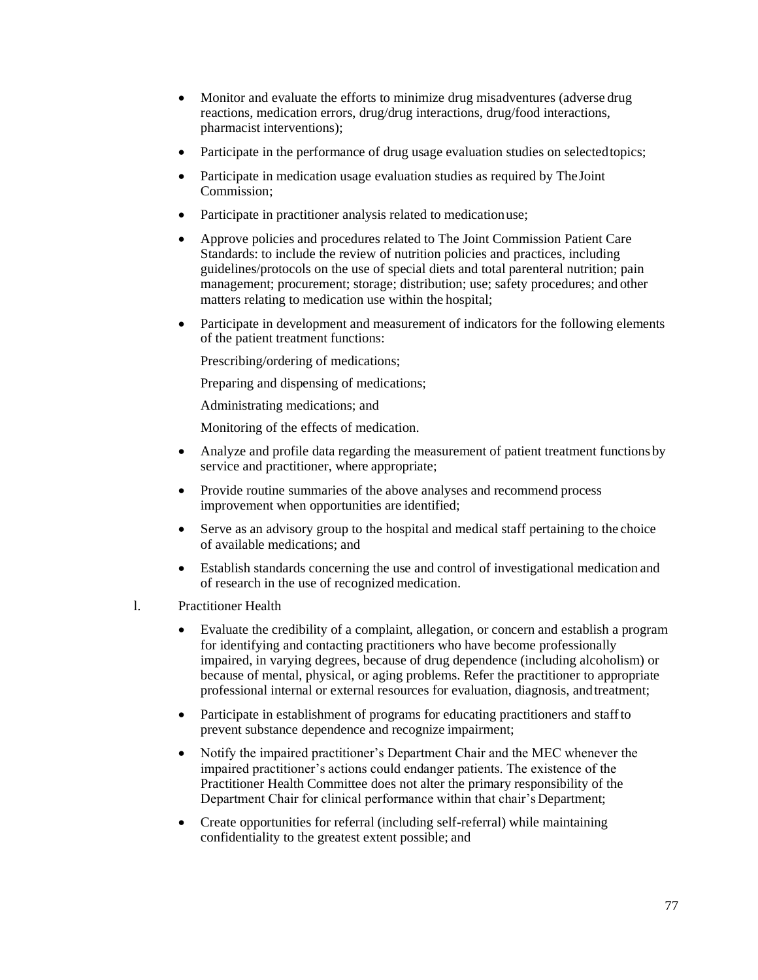- Monitor and evaluate the efforts to minimize drug misadventures (adverse drug reactions, medication errors, drug/drug interactions, drug/food interactions, pharmacist interventions);
- Participate in the performance of drug usage evaluation studies on selected topics;
- Participate in medication usage evaluation studies as required by TheJoint Commission;
- Participate in practitioner analysis related to medicationuse;
- Approve policies and procedures related to The Joint Commission Patient Care Standards: to include the review of nutrition policies and practices, including guidelines/protocols on the use of special diets and total parenteral nutrition; pain management; procurement; storage; distribution; use; safety procedures; and other matters relating to medication use within the hospital;
- Participate in development and measurement of indicators for the following elements of the patient treatment functions:

Prescribing/ordering of medications;

Preparing and dispensing of medications;

Administrating medications; and

Monitoring of the effects of medication.

- Analyze and profile data regarding the measurement of patient treatment functions by service and practitioner, where appropriate;
- Provide routine summaries of the above analyses and recommend process improvement when opportunities are identified;
- Serve as an advisory group to the hospital and medical staff pertaining to the choice of available medications; and
- Establish standards concerning the use and control of investigational medication and of research in the use of recognized medication.
- l. Practitioner Health
	- Evaluate the credibility of a complaint, allegation, or concern and establish a program for identifying and contacting practitioners who have become professionally impaired, in varying degrees, because of drug dependence (including alcoholism) or because of mental, physical, or aging problems. Refer the practitioner to appropriate professional internal or external resources for evaluation, diagnosis, andtreatment;
	- Participate in establishment of programs for educating practitioners and staff to prevent substance dependence and recognize impairment;
	- Notify the impaired practitioner's Department Chair and the MEC whenever the impaired practitioner's actions could endanger patients. The existence of the Practitioner Health Committee does not alter the primary responsibility of the Department Chair for clinical performance within that chair's Department;
	- Create opportunities for referral (including self-referral) while maintaining confidentiality to the greatest extent possible; and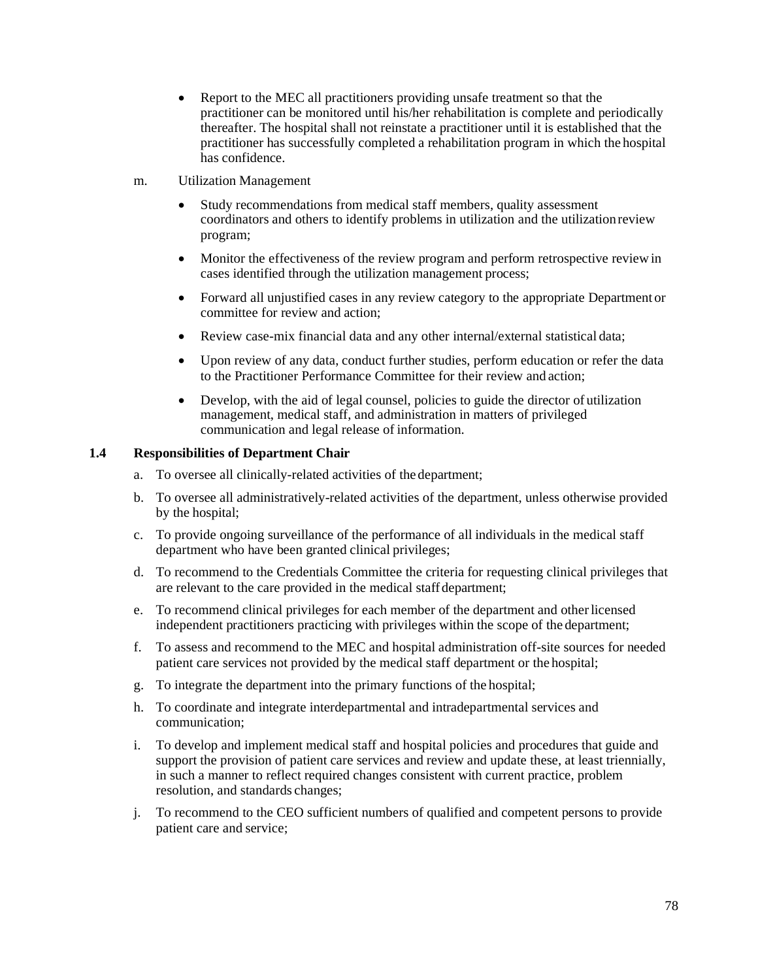- Report to the MEC all practitioners providing unsafe treatment so that the practitioner can be monitored until his/her rehabilitation is complete and periodically thereafter. The hospital shall not reinstate a practitioner until it is established that the practitioner has successfully completed a rehabilitation program in which the hospital has confidence.
- m. Utilization Management
	- Study recommendations from medical staff members, quality assessment coordinators and others to identify problems in utilization and the utilizationreview program;
	- Monitor the effectiveness of the review program and perform retrospective review in cases identified through the utilization management process;
	- Forward all unjustified cases in any review category to the appropriate Department or committee for review and action;
	- Review case-mix financial data and any other internal/external statistical data;
	- Upon review of any data, conduct further studies, perform education or refer the data to the Practitioner Performance Committee for their review and action;
	- Develop, with the aid of legal counsel, policies to guide the director of utilization management, medical staff, and administration in matters of privileged communication and legal release of information.

### **1.4 Responsibilities of Department Chair**

- a. To oversee all clinically-related activities of the department;
- b. To oversee all administratively-related activities of the department, unless otherwise provided by the hospital;
- c. To provide ongoing surveillance of the performance of all individuals in the medical staff department who have been granted clinical privileges;
- d. To recommend to the Credentials Committee the criteria for requesting clinical privileges that are relevant to the care provided in the medical staff department;
- e. To recommend clinical privileges for each member of the department and otherlicensed independent practitioners practicing with privileges within the scope of the department;
- f. To assess and recommend to the MEC and hospital administration off-site sources for needed patient care services not provided by the medical staff department or the hospital;
- g. To integrate the department into the primary functions of the hospital;
- h. To coordinate and integrate interdepartmental and intradepartmental services and communication;
- i. To develop and implement medical staff and hospital policies and procedures that guide and support the provision of patient care services and review and update these, at least triennially, in such a manner to reflect required changes consistent with current practice, problem resolution, and standards changes;
- j. To recommend to the CEO sufficient numbers of qualified and competent persons to provide patient care and service;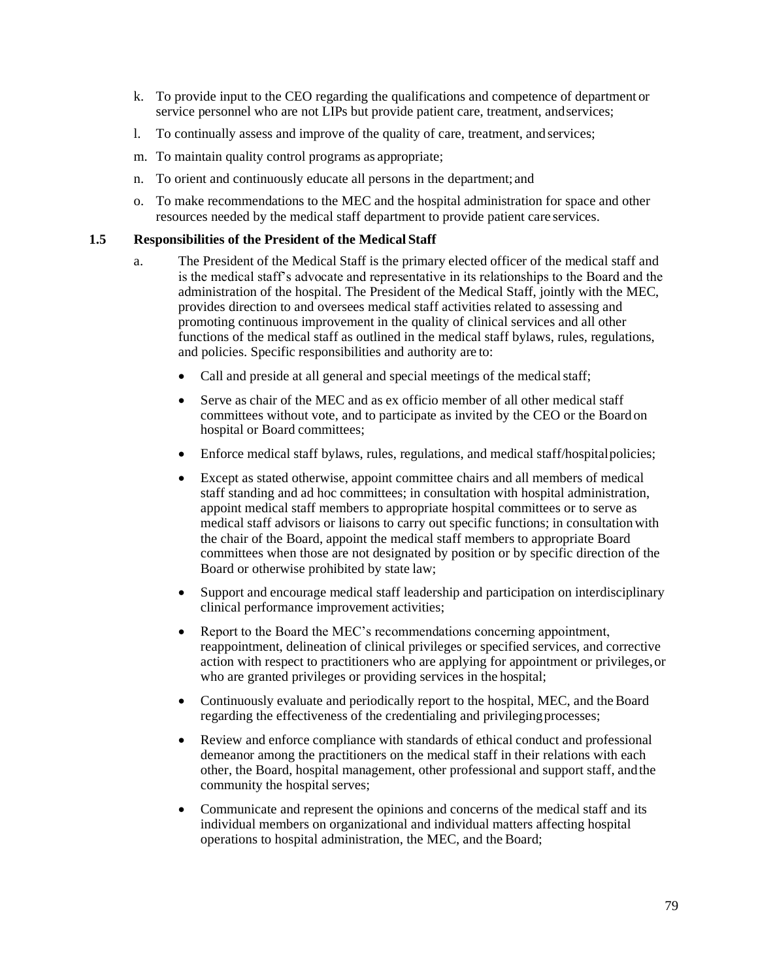- k. To provide input to the CEO regarding the qualifications and competence of department or service personnel who are not LIPs but provide patient care, treatment, andservices;
- l. To continually assess and improve of the quality of care, treatment, and services;
- m. To maintain quality control programs as appropriate;
- n. To orient and continuously educate all persons in the department; and
- o. To make recommendations to the MEC and the hospital administration for space and other resources needed by the medical staff department to provide patient care services.

#### **1.5 Responsibilities of the President of the Medical Staff**

- a. The President of the Medical Staff is the primary elected officer of the medical staff and is the medical staff's advocate and representative in its relationships to the Board and the administration of the hospital. The President of the Medical Staff, jointly with the MEC, provides direction to and oversees medical staff activities related to assessing and promoting continuous improvement in the quality of clinical services and all other functions of the medical staff as outlined in the medical staff bylaws, rules, regulations, and policies. Specific responsibilities and authority are to:
	- Call and preside at all general and special meetings of the medical staff;
	- Serve as chair of the MEC and as ex officio member of all other medical staff committees without vote, and to participate as invited by the CEO or the Board on hospital or Board committees;
	- Enforce medical staff bylaws, rules, regulations, and medical staff/hospitalpolicies;
	- Except as stated otherwise, appoint committee chairs and all members of medical staff standing and ad hoc committees; in consultation with hospital administration, appoint medical staff members to appropriate hospital committees or to serve as medical staff advisors or liaisons to carry out specific functions; in consultationwith the chair of the Board, appoint the medical staff members to appropriate Board committees when those are not designated by position or by specific direction of the Board or otherwise prohibited by state law;
	- Support and encourage medical staff leadership and participation on interdisciplinary clinical performance improvement activities;
	- Report to the Board the MEC's recommendations concerning appointment, reappointment, delineation of clinical privileges or specified services, and corrective action with respect to practitioners who are applying for appointment or privileges,or who are granted privileges or providing services in the hospital;
	- Continuously evaluate and periodically report to the hospital, MEC, and the Board regarding the effectiveness of the credentialing and privileging processes;
	- Review and enforce compliance with standards of ethical conduct and professional demeanor among the practitioners on the medical staff in their relations with each other, the Board, hospital management, other professional and support staff, andthe community the hospital serves;
	- Communicate and represent the opinions and concerns of the medical staff and its individual members on organizational and individual matters affecting hospital operations to hospital administration, the MEC, and the Board;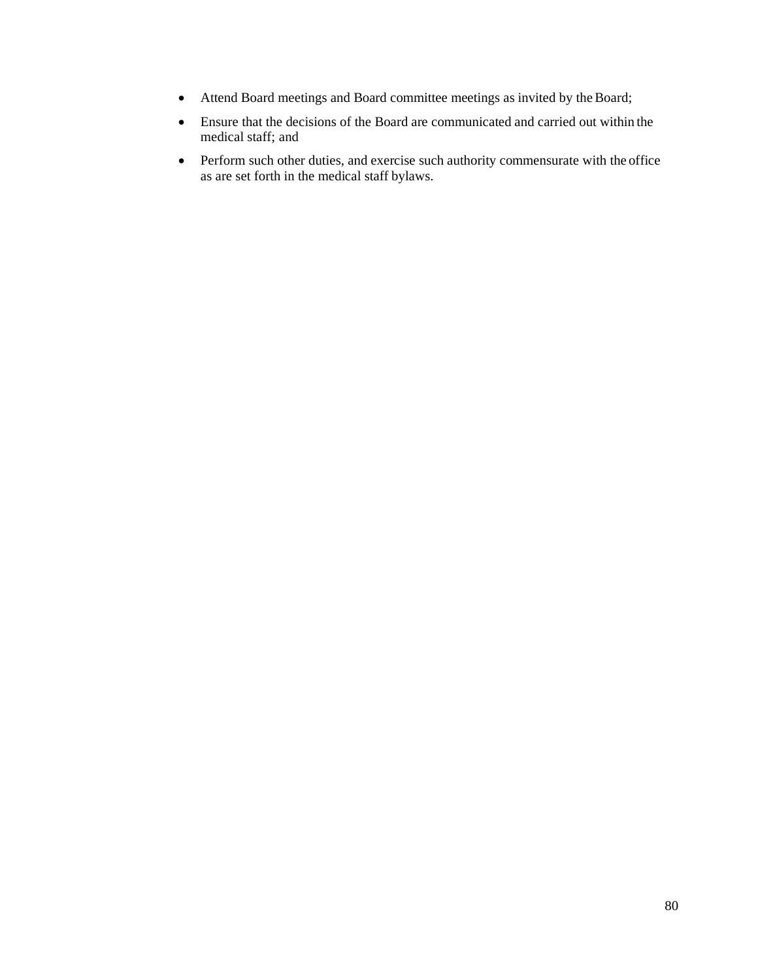- Attend Board meetings and Board committee meetings as invited by the Board;
- Ensure that the decisions of the Board are communicated and carried out within the medical staff; and
- Perform such other duties, and exercise such authority commensurate with the office as are set forth in the medical staff bylaws.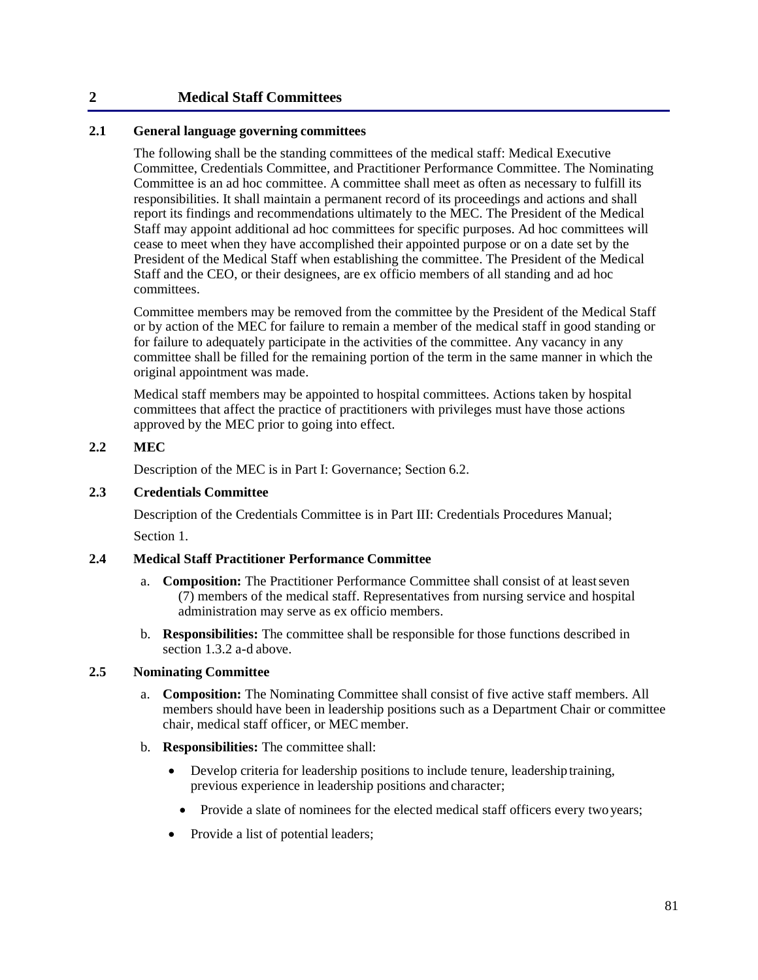### **2 Medical Staff Committees**

### **2.1 General language governing committees**

The following shall be the standing committees of the medical staff: Medical Executive Committee, Credentials Committee, and Practitioner Performance Committee. The Nominating Committee is an ad hoc committee. A committee shall meet as often as necessary to fulfill its responsibilities. It shall maintain a permanent record of its proceedings and actions and shall report its findings and recommendations ultimately to the MEC. The President of the Medical Staff may appoint additional ad hoc committees for specific purposes. Ad hoc committees will cease to meet when they have accomplished their appointed purpose or on a date set by the President of the Medical Staff when establishing the committee. The President of the Medical Staff and the CEO, or their designees, are ex officio members of all standing and ad hoc committees.

Committee members may be removed from the committee by the President of the Medical Staff or by action of the MEC for failure to remain a member of the medical staff in good standing or for failure to adequately participate in the activities of the committee. Any vacancy in any committee shall be filled for the remaining portion of the term in the same manner in which the original appointment was made.

Medical staff members may be appointed to hospital committees. Actions taken by hospital committees that affect the practice of practitioners with privileges must have those actions approved by the MEC prior to going into effect.

#### **2.2 MEC**

Description of the MEC is in Part I: Governance; Section 6.2.

### **2.3 Credentials Committee**

Description of the Credentials Committee is in Part III: Credentials Procedures Manual;

Section 1.

### **2.4 Medical Staff Practitioner Performance Committee**

- a. **Composition:** The Practitioner Performance Committee shall consist of at leastseven (7) members of the medical staff. Representatives from nursing service and hospital administration may serve as ex officio members.
- b. **Responsibilities:** The committee shall be responsible for those functions described in section 1.3.2 a-d above.

#### **2.5 Nominating Committee**

- a. **Composition:** The Nominating Committee shall consist of five active staff members. All members should have been in leadership positions such as a Department Chair or committee chair, medical staff officer, or MEC member.
- b. **Responsibilities:** The committee shall:
	- Develop criteria for leadership positions to include tenure, leadership training, previous experience in leadership positions and character;
		- Provide a slate of nominees for the elected medical staff officers every two years;
	- Provide a list of potential leaders;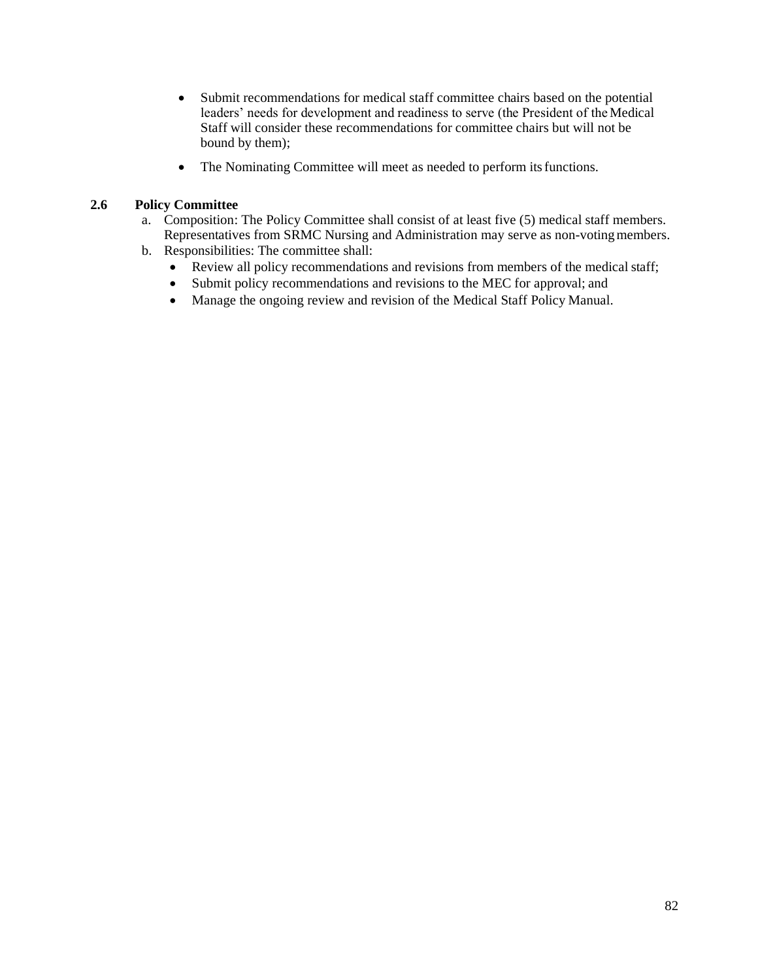- Submit recommendations for medical staff committee chairs based on the potential leaders' needs for development and readiness to serve (the President of the Medical Staff will consider these recommendations for committee chairs but will not be bound by them);
- The Nominating Committee will meet as needed to perform its functions.

### **2.6 Policy Committee**

- a. Composition: The Policy Committee shall consist of at least five (5) medical staff members. Representatives from SRMC Nursing and Administration may serve as non-votingmembers.
- b. Responsibilities: The committee shall:
	- Review all policy recommendations and revisions from members of the medical staff;
	- Submit policy recommendations and revisions to the MEC for approval; and
	- Manage the ongoing review and revision of the Medical Staff Policy Manual.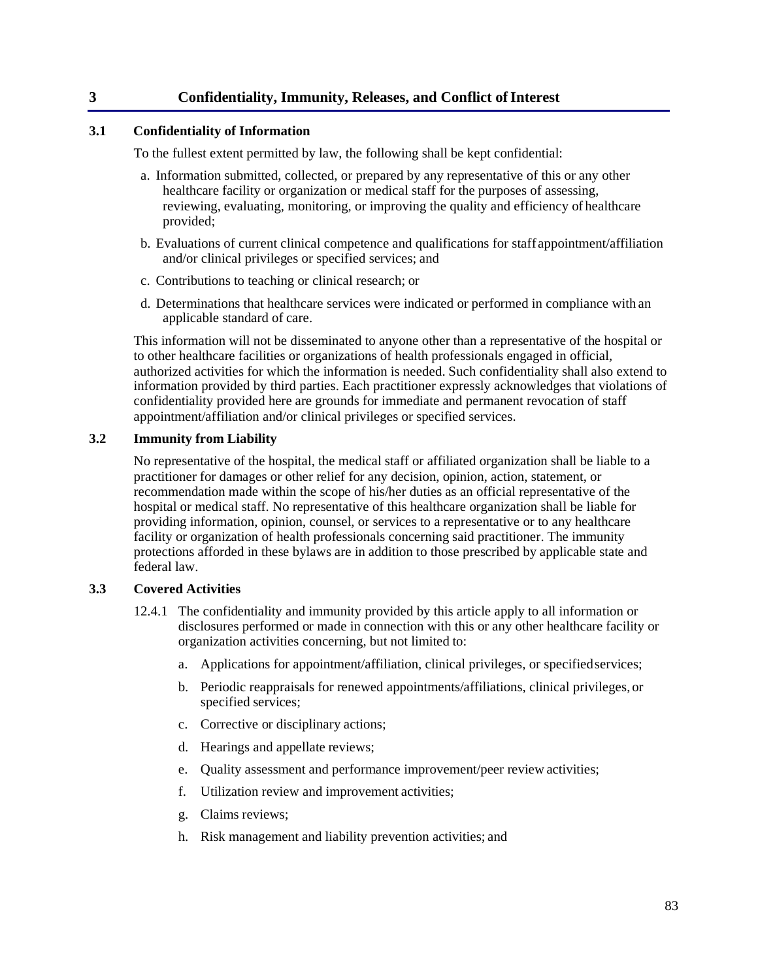### **3 Confidentiality, Immunity, Releases, and Conflict ofInterest**

### **3.1 Confidentiality of Information**

To the fullest extent permitted by law, the following shall be kept confidential:

- a. Information submitted, collected, or prepared by any representative of this or any other healthcare facility or organization or medical staff for the purposes of assessing, reviewing, evaluating, monitoring, or improving the quality and efficiency of healthcare provided;
- b. Evaluations of current clinical competence and qualifications for staff appointment/affiliation and/or clinical privileges or specified services; and
- c. Contributions to teaching or clinical research; or
- d. Determinations that healthcare services were indicated or performed in compliance with an applicable standard of care.

This information will not be disseminated to anyone other than a representative of the hospital or to other healthcare facilities or organizations of health professionals engaged in official, authorized activities for which the information is needed. Such confidentiality shall also extend to information provided by third parties. Each practitioner expressly acknowledges that violations of confidentiality provided here are grounds for immediate and permanent revocation of staff appointment/affiliation and/or clinical privileges or specified services.

### **3.2 Immunity from Liability**

No representative of the hospital, the medical staff or affiliated organization shall be liable to a practitioner for damages or other relief for any decision, opinion, action, statement, or recommendation made within the scope of his/her duties as an official representative of the hospital or medical staff. No representative of this healthcare organization shall be liable for providing information, opinion, counsel, or services to a representative or to any healthcare facility or organization of health professionals concerning said practitioner. The immunity protections afforded in these bylaws are in addition to those prescribed by applicable state and federal law.

### **3.3 Covered Activities**

- 12.4.1 The confidentiality and immunity provided by this article apply to all information or disclosures performed or made in connection with this or any other healthcare facility or organization activities concerning, but not limited to:
	- a. Applications for appointment/affiliation, clinical privileges, or specifiedservices;
	- b. Periodic reappraisals for renewed appointments/affiliations, clinical privileges, or specified services;
	- c. Corrective or disciplinary actions;
	- d. Hearings and appellate reviews;
	- e. Quality assessment and performance improvement/peer review activities;
	- f. Utilization review and improvement activities;
	- g. Claims reviews;
	- h. Risk management and liability prevention activities; and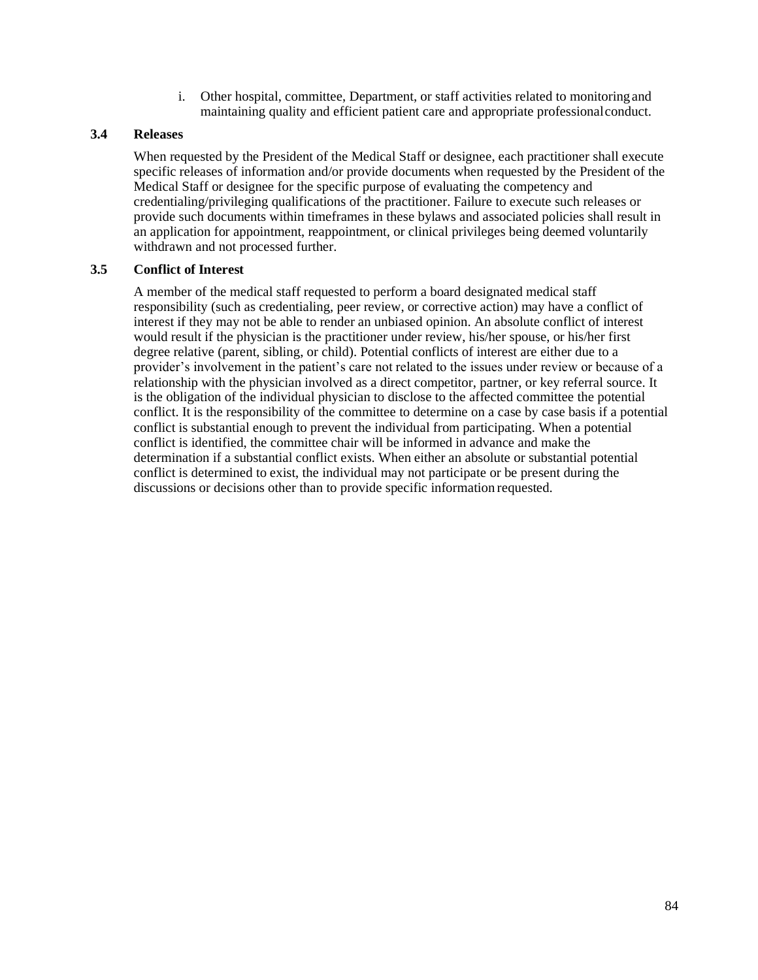i. Other hospital, committee, Department, or staff activities related to monitoringand maintaining quality and efficient patient care and appropriate professionalconduct.

### **3.4 Releases**

When requested by the President of the Medical Staff or designee, each practitioner shall execute specific releases of information and/or provide documents when requested by the President of the Medical Staff or designee for the specific purpose of evaluating the competency and credentialing/privileging qualifications of the practitioner. Failure to execute such releases or provide such documents within timeframes in these bylaws and associated policies shall result in an application for appointment, reappointment, or clinical privileges being deemed voluntarily withdrawn and not processed further.

### **3.5 Conflict of Interest**

A member of the medical staff requested to perform a board designated medical staff responsibility (such as credentialing, peer review, or corrective action) may have a conflict of interest if they may not be able to render an unbiased opinion. An absolute conflict of interest would result if the physician is the practitioner under review, his/her spouse, or his/her first degree relative (parent, sibling, or child). Potential conflicts of interest are either due to a provider's involvement in the patient's care not related to the issues under review or because of a relationship with the physician involved as a direct competitor, partner, or key referral source. It is the obligation of the individual physician to disclose to the affected committee the potential conflict. It is the responsibility of the committee to determine on a case by case basis if a potential conflict is substantial enough to prevent the individual from participating. When a potential conflict is identified, the committee chair will be informed in advance and make the determination if a substantial conflict exists. When either an absolute or substantial potential conflict is determined to exist, the individual may not participate or be present during the discussions or decisions other than to provide specific information requested.